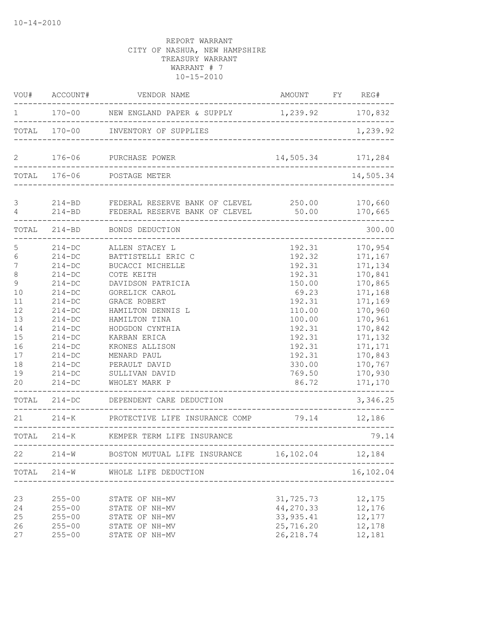| VOU#                                                                                                                           | ACCOUNT#                                                                                                                                                                                                     | VENDOR NAME                                                                                                                                                                                                                                                                                                                           | AMOUNT FY REG#                                                                                                                                             |                                                                                                                                                                                          |
|--------------------------------------------------------------------------------------------------------------------------------|--------------------------------------------------------------------------------------------------------------------------------------------------------------------------------------------------------------|---------------------------------------------------------------------------------------------------------------------------------------------------------------------------------------------------------------------------------------------------------------------------------------------------------------------------------------|------------------------------------------------------------------------------------------------------------------------------------------------------------|------------------------------------------------------------------------------------------------------------------------------------------------------------------------------------------|
| 1                                                                                                                              |                                                                                                                                                                                                              | 170-00 NEW ENGLAND PAPER & SUPPLY 1,239.92 170,832                                                                                                                                                                                                                                                                                    |                                                                                                                                                            |                                                                                                                                                                                          |
|                                                                                                                                |                                                                                                                                                                                                              | TOTAL 170-00 INVENTORY OF SUPPLIES                                                                                                                                                                                                                                                                                                    | --------------------------------                                                                                                                           | 1,239.92                                                                                                                                                                                 |
| 2                                                                                                                              |                                                                                                                                                                                                              | 176-06 PURCHASE POWER                                                                                                                                                                                                                                                                                                                 | 14,505.34                                                                                                                                                  | 171,284                                                                                                                                                                                  |
|                                                                                                                                | TOTAL 176-06                                                                                                                                                                                                 | POSTAGE METER                                                                                                                                                                                                                                                                                                                         |                                                                                                                                                            | 14,505.34                                                                                                                                                                                |
| $\mathfrak{Z}$<br>$\overline{4}$                                                                                               |                                                                                                                                                                                                              | 214-BD FEDERAL RESERVE BANK OF CLEVEL 250.00<br>214-BD FEDERAL RESERVE BANK OF CLEVEL                                                                                                                                                                                                                                                 | 50.00                                                                                                                                                      | 170,660<br>170,665                                                                                                                                                                       |
|                                                                                                                                |                                                                                                                                                                                                              | TOTAL 214-BD BONDS DEDUCTION                                                                                                                                                                                                                                                                                                          |                                                                                                                                                            | 300.00                                                                                                                                                                                   |
| 5<br>$\epsilon$<br>$\boldsymbol{7}$<br>$\,8\,$<br>9<br>10<br>11<br>12<br>13<br>14<br>15<br>16<br>17<br>18<br>19<br>20<br>TOTAL | $214 - DC$<br>$214 - DC$<br>$214-DC$<br>$214 - DC$<br>$214 - DC$<br>$214-DC$<br>$214 - DC$<br>$214-DC$<br>$214-DC$<br>$214-DC$<br>$214-DC$<br>$214-DC$<br>$214-DC$<br>$214 - DC$<br>$214 - DC$<br>$214 - DC$ | ALLEN STACEY L<br>BATTISTELLI ERIC C<br>BUCACCI MICHELLE<br>COTE KEITH<br>DAVIDSON PATRICIA<br>GORELICK CAROL<br><b>GRACE ROBERT</b><br>HAMILTON DENNIS L<br>HAMILTON TINA<br>HODGDON CYNTHIA<br>KARBAN ERICA<br>KRONES ALLISON<br>MENARD PAUL<br>PERAULT DAVID<br>SULLIVAN DAVID<br>WHOLEY MARK P<br>214-DC DEPENDENT CARE DEDUCTION | 192.31<br>192.32<br>192.31<br>192.31<br>150.00<br>69.23<br>192.31<br>110.00<br>100.00<br>192.31<br>192.31<br>192.31<br>192.31<br>330.00<br>769.50<br>86.72 | 170,954<br>171,167<br>171,134<br>170,841<br>170,865<br>171,168<br>171,169<br>170,960<br>170,961<br>170,842<br>171,132<br>171,171<br>170,843<br>170,767<br>170,930<br>171,170<br>3,346.25 |
| 21                                                                                                                             |                                                                                                                                                                                                              | 214-K PROTECTIVE LIFE INSURANCE COMP                                                                                                                                                                                                                                                                                                  | 79.14                                                                                                                                                      | 12,186                                                                                                                                                                                   |
|                                                                                                                                |                                                                                                                                                                                                              | TOTAL 214-K KEMPER TERM LIFE INSURANCE                                                                                                                                                                                                                                                                                                |                                                                                                                                                            | 79.14                                                                                                                                                                                    |
| 22                                                                                                                             | $214 - W$                                                                                                                                                                                                    | BOSTON MUTUAL LIFE INSURANCE                                                                                                                                                                                                                                                                                                          | 16,102.04                                                                                                                                                  | 12,184                                                                                                                                                                                   |
| TOTAL                                                                                                                          | $214 - W$                                                                                                                                                                                                    | WHOLE LIFE DEDUCTION                                                                                                                                                                                                                                                                                                                  |                                                                                                                                                            | 16,102.04                                                                                                                                                                                |
| 23<br>24<br>25<br>26<br>27                                                                                                     | $255 - 00$<br>$255 - 00$<br>$255 - 00$<br>$255 - 00$<br>$255 - 00$                                                                                                                                           | STATE OF NH-MV<br>STATE OF NH-MV<br>STATE OF NH-MV<br>STATE OF NH-MV<br>STATE OF NH-MV                                                                                                                                                                                                                                                | 31,725.73<br>44,270.33<br>33, 935.41<br>25,716.20<br>26, 218.74                                                                                            | 12,175<br>12,176<br>12,177<br>12,178<br>12,181                                                                                                                                           |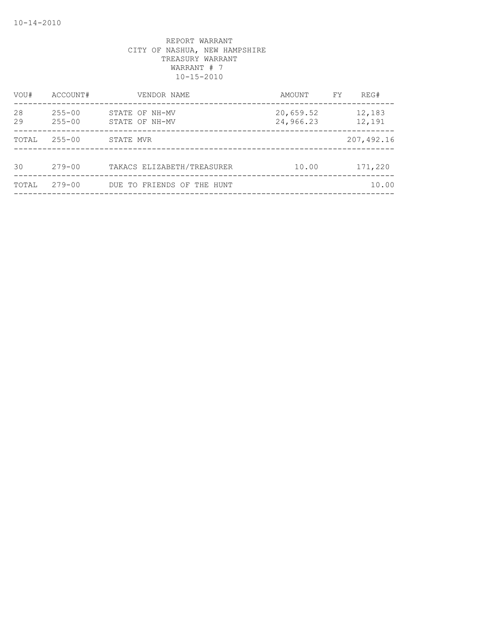| VOU#     | ACCOUNT#                 | VENDOR NAME                      | AMOUNT                 | FY | REG#             |
|----------|--------------------------|----------------------------------|------------------------|----|------------------|
| 28<br>29 | $255 - 00$<br>$255 - 00$ | STATE OF NH-MV<br>STATE OF NH-MV | 20,659.52<br>24,966.23 |    | 12,183<br>12,191 |
| TOTAL    | $255 - 00$               | STATE MVR                        |                        |    | 207,492.16       |
| 30       | $279 - 00$               | TAKACS ELIZABETH/TREASURER       | 10.00                  |    | 171,220          |
| TOTAL    | $279 - 00$               | DUE TO FRIENDS OF THE HUNT       |                        |    | 10.00            |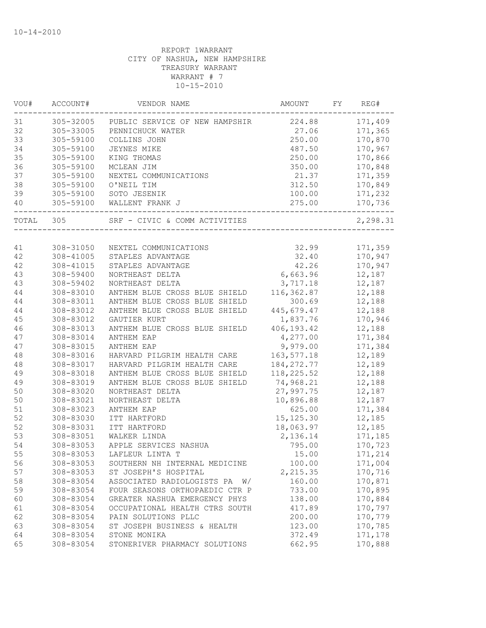| VOU#  | ACCOUNT#               | VENDOR NAME                            | AMOUNT       | FY. | REG#     |
|-------|------------------------|----------------------------------------|--------------|-----|----------|
| 31    | 305-32005              | PUBLIC SERVICE OF NEW HAMPSHIR         | 224.88       |     | 171,409  |
| 32    | 305-33005              | PENNICHUCK WATER                       | 27.06        |     | 171,365  |
| 33    | 305-59100              | COLLINS JOHN                           | 250.00       |     | 170,870  |
| 34    | 305-59100              | JEYNES MIKE                            | 487.50       |     | 170,967  |
| 35    | 305-59100              | KING THOMAS                            | 250.00       |     | 170,866  |
| 36    | 305-59100              | MCLEAN JIM                             | 350.00       |     | 170,848  |
| 37    | 305-59100              | NEXTEL COMMUNICATIONS                  | 21.37        |     | 171,359  |
| 38    | 305-59100              | O'NEIL TIM                             | 312.50       |     | 170,849  |
| 39    | 305-59100              | SOTO JESENIK                           | 100.00       |     | 171,232  |
| 40    | 305-59100              | WALLENT FRANK J                        | 275.00       |     | 170,736  |
| TOTAL | 305                    | SRF - CIVIC & COMM ACTIVITIES          |              |     | 2,298.31 |
| 41    |                        |                                        | 32.99        |     | 171,359  |
| 42    | 308-31050<br>308-41005 | NEXTEL COMMUNICATIONS                  | 32.40        |     | 170,947  |
| 42    | 308-41015              | STAPLES ADVANTAGE<br>STAPLES ADVANTAGE | 42.26        |     | 170,947  |
| 43    | 308-59400              | NORTHEAST DELTA                        | 6,663.96     |     | 12,187   |
| 43    | 308-59402              | NORTHEAST DELTA                        | 3,717.18     |     | 12,187   |
| 44    | 308-83010              | ANTHEM BLUE CROSS BLUE SHIELD          | 116,362.87   |     | 12,188   |
| 44    | 308-83011              | ANTHEM BLUE CROSS BLUE SHIELD          | 300.69       |     | 12,188   |
| 44    | 308-83012              | ANTHEM BLUE CROSS BLUE SHIELD          | 445,679.47   |     | 12,188   |
| 45    | 308-83012              | <b>GAUTIER KURT</b>                    | 1,837.76     |     | 170,946  |
| 46    | 308-83013              | ANTHEM BLUE CROSS BLUE SHIELD          | 406, 193.42  |     | 12,188   |
| 47    | 308-83014              | ANTHEM EAP                             | 4,277.00     |     | 171,384  |
| 47    | 308-83015              | ANTHEM EAP                             | 9,979.00     |     | 171,384  |
| 48    | 308-83016              | HARVARD PILGRIM HEALTH CARE            | 163, 577. 18 |     | 12,189   |
| 48    | 308-83017              | HARVARD PILGRIM HEALTH CARE            | 184, 272.77  |     | 12,189   |
| 49    | 308-83018              | ANTHEM BLUE CROSS BLUE SHIELD          | 118, 225.52  |     | 12,188   |
| 49    | 308-83019              | ANTHEM BLUE CROSS BLUE SHIELD          | 74,968.21    |     | 12,188   |
| 50    | 308-83020              | NORTHEAST DELTA                        | 27,997.75    |     | 12,187   |
| 50    | 308-83021              | NORTHEAST DELTA                        | 10,896.88    |     | 12,187   |
| 51    | 308-83023              | ANTHEM EAP                             | 625.00       |     | 171,384  |
| 52    | 308-83030              | ITT HARTFORD                           | 15, 125.30   |     | 12,185   |
| 52    | 308-83031              | ITT HARTFORD                           | 18,063.97    |     | 12,185   |
| 53    | 308-83051              | WALKER LINDA                           | 2,136.14     |     | 171,185  |
| 54    | 308-83053              | APPLE SERVICES NASHUA                  | 795.00       |     | 170,723  |
| 55    | 308-83053              | LAFLEUR LINTA T                        | 15.00        |     | 171,214  |
| 56    | 308-83053              | SOUTHERN NH INTERNAL MEDICINE          | 100.00       |     | 171,004  |
| 57    | 308-83053              | ST JOSEPH'S HOSPITAL                   | 2,215.35     |     | 170,716  |
| 58    | 308-83054              | ASSOCIATED RADIOLOGISTS PA<br>W/       | 160.00       |     | 170,871  |
| 59    | 308-83054              | FOUR SEASONS ORTHOPAEDIC CTR P         | 733.00       |     | 170,895  |
| 60    | 308-83054              | GREATER NASHUA EMERGENCY PHYS          | 138.00       |     | 170,884  |
| 61    | 308-83054              | OCCUPATIONAL HEALTH CTRS SOUTH         | 417.89       |     | 170,797  |
| 62    | 308-83054              | PAIN SOLUTIONS PLLC                    | 200.00       |     | 170,779  |
| 63    | 308-83054              | ST JOSEPH BUSINESS & HEALTH            | 123.00       |     | 170,785  |
| 64    | 308-83054              | STONE MONIKA                           | 372.49       |     | 171,178  |
| 65    | 308-83054              | STONERIVER PHARMACY SOLUTIONS          | 662.95       |     | 170,888  |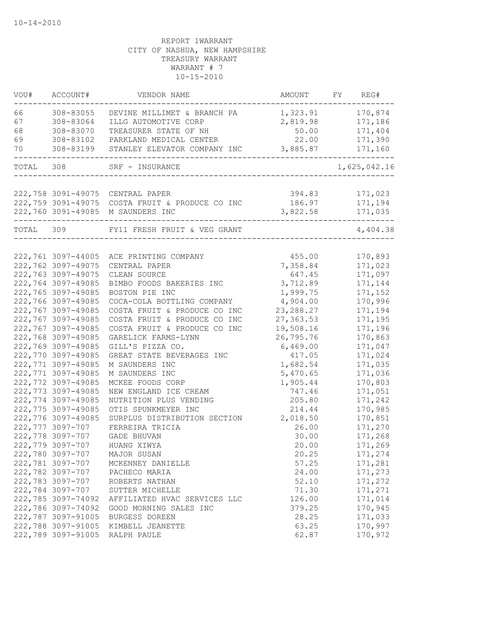| VOU#      | ACCOUNT#           | VENDOR NAME                                   | AMOUNT           | FY | REG#               |
|-----------|--------------------|-----------------------------------------------|------------------|----|--------------------|
| 66        | 308-83055          | DEVINE MILLIMET & BRANCH PA                   | 1,323.91         |    | 170,874            |
| 67        | 308-83064          | ILLG AUTOMOTIVE CORP                          | 2,819.98         |    | 171,186            |
| 68        | 308-83070          | TREASURER STATE OF NH                         | 50.00            |    | 171,404            |
| 69        | 308-83102          | PARKLAND MEDICAL CENTER                       | 22.00            |    | 171,390            |
| 70        | 308-83199          | STANLEY ELEVATOR COMPANY INC                  | 3,885.87         |    | 171,160            |
| TOTAL 308 |                    | SRF - INSURANCE                               |                  |    | 1,625,042.16       |
|           | 222,758 3091-49075 |                                               |                  |    |                    |
|           | 222,759 3091-49075 | CENTRAL PAPER<br>COSTA FRUIT & PRODUCE CO INC | 394.83<br>186.97 |    | 171,023<br>171,194 |
|           | 222,760 3091-49085 | M SAUNDERS INC                                | 3,822.58         |    | 171,035            |
| TOTAL     | 309                | FY11 FRESH FRUIT & VEG GRANT                  |                  |    | 4,404.38           |
|           |                    |                                               |                  |    |                    |
|           | 222,761 3097-44005 | ACE PRINTING COMPANY                          | 455.00           |    | 170,893            |
|           | 222,762 3097-49075 | CENTRAL PAPER                                 | 7,358.84         |    | 171,023            |
|           | 222,763 3097-49075 | CLEAN SOURCE                                  | 647.45           |    | 171,097            |
|           | 222,764 3097-49085 | BIMBO FOODS BAKERIES INC                      | 3,712.89         |    | 171,144            |
|           | 222,765 3097-49085 | BOSTON PIE INC                                | 1,999.75         |    | 171,152            |
|           | 222,766 3097-49085 | COCA-COLA BOTTLING COMPANY                    | 4,904.00         |    | 170,996            |
|           | 222,767 3097-49085 | COSTA FRUIT & PRODUCE CO INC                  | 23, 288.27       |    | 171,194            |
|           | 222,767 3097-49085 | COSTA FRUIT & PRODUCE CO INC                  | 27,363.53        |    | 171,195            |
|           | 222,767 3097-49085 | COSTA FRUIT & PRODUCE CO INC                  | 19,508.16        |    | 171,196            |
|           | 222,768 3097-49085 | GARELICK FARMS-LYNN                           | 26,795.76        |    | 170,863            |
|           | 222,769 3097-49085 | GILL'S PIZZA CO.                              | 6,469.00         |    | 171,047            |
|           | 222,770 3097-49085 | GREAT STATE BEVERAGES INC                     | 417.05           |    | 171,024            |
|           | 222,771 3097-49085 | M SAUNDERS INC                                | 1,682.54         |    | 171,035            |
|           | 222,771 3097-49085 | M SAUNDERS INC                                | 5,470.65         |    | 171,036            |
|           | 222,772 3097-49085 | MCKEE FOODS CORP                              | 1,905.44         |    | 170,803            |
|           | 222,773 3097-49085 | NEW ENGLAND ICE CREAM                         | 747.46           |    | 171,051            |
|           | 222,774 3097-49085 | NUTRITION PLUS VENDING                        | 205.80           |    | 171,242            |
|           | 222,775 3097-49085 | OTIS SPUNKMEYER INC                           | 214.44           |    | 170,985            |
|           | 222,776 3097-49085 | SURPLUS DISTRIBUTION SECTION                  | 2,018.50         |    | 170,851            |
|           | 222,777 3097-707   | FERREIRA TRICIA                               | 26.00            |    | 171,270            |
|           | 222,778 3097-707   | GADE BHUVAN                                   | 30.00            |    | 171,268            |
|           | 222,779 3097-707   | HUANG XIWYA                                   | 20.00            |    | 171,269            |
|           | 222,780 3097-707   | MAJOR SUSAN                                   | 20.25            |    | 171,274            |
|           | 222,781 3097-707   | MCKENNEY DANIELLE                             | 57.25            |    | 171,281            |
|           | 222,782 3097-707   | PACHECO MARIA                                 | 24.00            |    | 171,273            |
|           | 222,783 3097-707   | ROBERTS NATHAN                                | 52.10            |    | 171,272            |
|           | 222,784 3097-707   | SUTTER MICHELLE                               | 71.30            |    | 171,271            |
|           | 222,785 3097-74092 | AFFILIATED HVAC SERVICES LLC                  | 126.00           |    | 171,014            |
|           | 222,786 3097-74092 | GOOD MORNING SALES INC                        | 379.25           |    | 170,945            |
|           | 222,787 3097-91005 | BURGESS DOREEN                                | 28.25            |    | 171,033            |
|           | 222,788 3097-91005 | KIMBELL JEANETTE                              | 63.25            |    | 170,997            |
|           | 222,789 3097-91005 | RALPH PAULE                                   | 62.87            |    | 170,972            |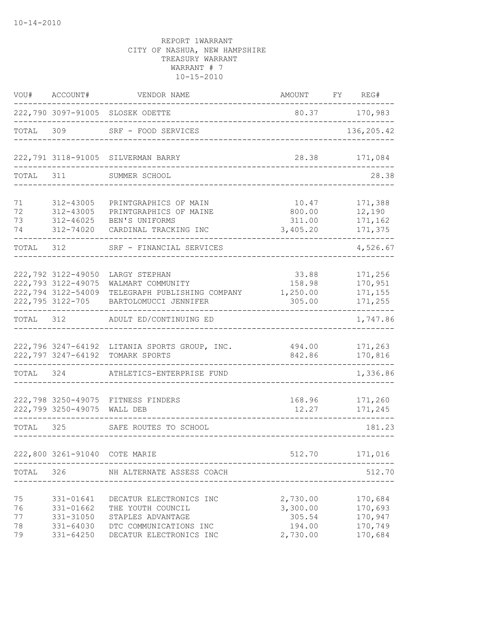| VOU#                       | ACCOUNT#                                                                           | VENDOR NAME                                                                                                            | AMOUNT                                               | FY REG#                                             |
|----------------------------|------------------------------------------------------------------------------------|------------------------------------------------------------------------------------------------------------------------|------------------------------------------------------|-----------------------------------------------------|
|                            |                                                                                    | 222,790 3097-91005 SLOSEK ODETTE                                                                                       |                                                      | 80.37 170,983                                       |
| TOTAL 309                  |                                                                                    | SRF - FOOD SERVICES<br>____________________                                                                            |                                                      | 136,205.42                                          |
|                            |                                                                                    | 222,791 3118-91005 SILVERMAN BARRY                                                                                     | 28.38                                                | 171,084                                             |
| TOTAL 311                  |                                                                                    | SUMMER SCHOOL                                                                                                          |                                                      | 28.38                                               |
| 71<br>72<br>73<br>74       | 312-43005<br>312-43005<br>312-46025<br>312-74020                                   | PRINTGRAPHICS OF MAIN<br>PRINTGRAPHICS OF MAINE<br>BEN'S UNIFORMS<br>CARDINAL TRACKING INC                             | 10.47<br>800.00<br>311.00<br>3,405.20                | 171,388<br>12,190<br>171,162<br>171,375             |
| TOTAL 312                  |                                                                                    | SRF - FINANCIAL SERVICES                                                                                               |                                                      | 4,526.67                                            |
|                            | 222,792 3122-49050<br>222,793 3122-49075<br>222,794 3122-54009<br>222,795 3122-705 | LARGY STEPHAN<br>WALMART COMMUNITY<br>TELEGRAPH PUBLISHING COMPANY<br>BARTOLOMUCCI JENNIFER                            | 33.88<br>158.98<br>1,250.00<br>305.00                | 171,256<br>170,951<br>171,155<br>171,255            |
| TOTAL 312                  |                                                                                    | ADULT ED/CONTINUING ED                                                                                                 |                                                      | 1,747.86                                            |
|                            | 222,797 3247-64192                                                                 | 222,796 3247-64192 LITANIA SPORTS GROUP, INC.<br>TOMARK SPORTS                                                         | 494.00<br>842.86                                     | 171,263<br>170,816                                  |
| TOTAL 324                  |                                                                                    | ATHLETICS-ENTERPRISE FUND                                                                                              |                                                      | 1,336.86                                            |
|                            | 222,799 3250-49075                                                                 | 222,798 3250-49075 FITNESS FINDERS<br>WALL DEB                                                                         | 168.96<br>12.27                                      | 171,260<br>171,245                                  |
| TOTAL                      | 325                                                                                | SAFE ROUTES TO SCHOOL                                                                                                  |                                                      | 181.23                                              |
|                            | 222,800 3261-91040 COTE MARIE                                                      |                                                                                                                        | 512.70                                               | 171,016                                             |
| TOTAL                      | 326                                                                                | NH ALTERNATE ASSESS COACH                                                                                              |                                                      | 512.70                                              |
| 75<br>76<br>77<br>78<br>79 | 331-01641<br>331-01662<br>331-31050<br>331-64030<br>$331 - 64250$                  | DECATUR ELECTRONICS INC<br>THE YOUTH COUNCIL<br>STAPLES ADVANTAGE<br>DTC COMMUNICATIONS INC<br>DECATUR ELECTRONICS INC | 2,730.00<br>3,300.00<br>305.54<br>194.00<br>2,730.00 | 170,684<br>170,693<br>170,947<br>170,749<br>170,684 |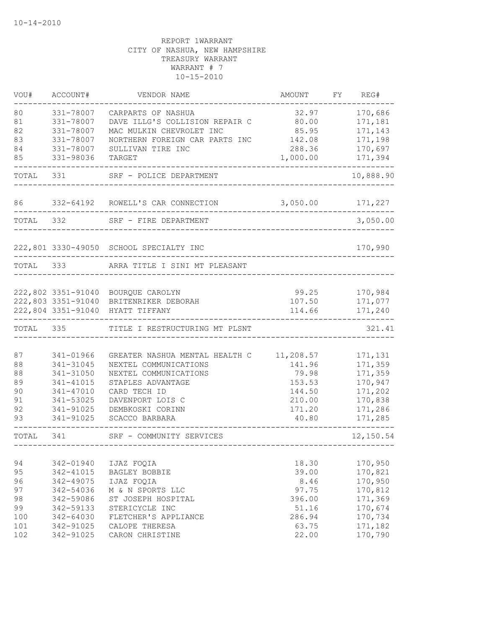| VOU#      | ACCOUNT#               | VENDOR NAME                                             | AMOUNT              | FY | REG#               |
|-----------|------------------------|---------------------------------------------------------|---------------------|----|--------------------|
| 80        | 331-78007              | CARPARTS OF NASHUA                                      | 32.97               |    | 170,686            |
| 81        | 331-78007              | DAVE ILLG'S COLLISION REPAIR C                          | 80.00               |    | 171,181            |
| 82        | 331-78007              | MAC MULKIN CHEVROLET INC                                | 85.95               |    | 171,143            |
| 83        | 331-78007              | NORTHERN FOREIGN CAR PARTS INC                          | 142.08              |    | 171,198            |
| 84        | 331-78007              | SULLIVAN TIRE INC                                       | 288.36              |    | 170,697            |
| 85        | 331-98036              | TARGET                                                  | 1,000.00            |    | 171,394            |
| TOTAL     | 331                    | SRF - POLICE DEPARTMENT                                 |                     |    | 10,888.90          |
| 86        |                        | 332-64192 ROWELL'S CAR CONNECTION                       | 3,050.00            |    | 171,227            |
| TOTAL 332 |                        | SRF - FIRE DEPARTMENT                                   |                     |    | 3,050.00           |
|           |                        |                                                         |                     |    |                    |
|           |                        | 222,801 3330-49050 SCHOOL SPECIALTY INC                 |                     |    | 170,990            |
| TOTAL     | 333                    | ARRA TITLE I SINI MT PLEASANT                           |                     |    |                    |
|           |                        |                                                         |                     |    |                    |
|           | 222,802 3351-91040     | BOURQUE CAROLYN                                         | 99.25               |    | 170,984            |
|           | 222,803 3351-91040     | BRITENRIKER DEBORAH                                     | 107.50              |    | 171,077            |
|           | 222,804 3351-91040     | HYATT TIFFANY                                           | 114.66              |    | 171,240            |
| TOTAL     | 335                    | TITLE I RESTRUCTURING MT PLSNT                          |                     |    | 321.41             |
| 87        |                        |                                                         |                     |    |                    |
| 88        | 341-01966<br>341-31045 | GREATER NASHUA MENTAL HEALTH C<br>NEXTEL COMMUNICATIONS | 11,208.57<br>141.96 |    | 171,131<br>171,359 |
| 88        | 341-31050              | NEXTEL COMMUNICATIONS                                   | 79.98               |    | 171,359            |
| 89        | 341-41015              | STAPLES ADVANTAGE                                       | 153.53              |    | 170,947            |
| 90        | 341-47010              | CARD TECH ID                                            | 144.50              |    | 171,202            |
| 91        | 341-53025              | DAVENPORT LOIS C                                        | 210.00              |    | 170,838            |
| 92        | 341-91025              | DEMBKOSKI CORINN                                        | 171.20              |    | 171,286            |
| 93        | 341-91025              | SCACCO BARBARA                                          | 40.80               |    | 171,285            |
| TOTAL     | 341                    | SRF - COMMUNITY SERVICES                                |                     |    | 12,150.54          |
|           |                        |                                                         |                     |    |                    |
| 94        | 342-01940              | IJAZ FOQIA                                              | 18.30               |    | 170,950            |
| 95        | 342-41015              | BAGLEY BOBBIE                                           | 39.00               |    | 170,821            |
| 96        | 342-49075              | IJAZ FOQIA                                              | 8.46                |    | 170,950            |
| 97        | 342-54036              | M & N SPORTS LLC                                        | 97.75               |    | 170,812            |
| 98        | 342-59086              | ST JOSEPH HOSPITAL                                      | 396.00              |    | 171,369            |
| 99        | 342-59133              | STERICYCLE INC                                          | 51.16               |    | 170,674            |
| 100       | 342-64030              | FLETCHER'S APPLIANCE                                    | 286.94              |    | 170,734            |
| 101       | 342-91025              | CALOPE THERESA                                          | 63.75               |    | 171,182            |
| 102       | 342-91025              | CARON CHRISTINE                                         | 22.00               |    | 170,790            |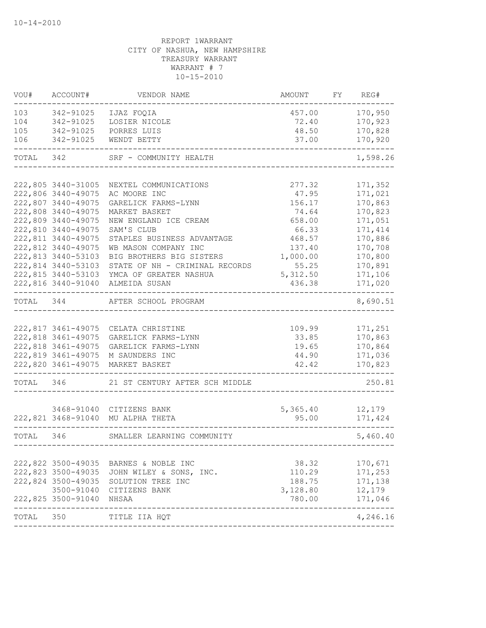| VOU#      | ACCOUNT#                                 | VENDOR NAME                                        | AMOUNT           | FY | REG#               |
|-----------|------------------------------------------|----------------------------------------------------|------------------|----|--------------------|
| 103       | 342-91025                                | IJAZ FOQIA                                         | 457.00           |    | 170,950            |
| 104       | 342-91025                                | LOSIER NICOLE                                      | 72.40            |    | 170,923            |
| 105       | 342-91025                                | PORRES LUIS                                        | 48.50            |    | 170,828            |
| 106       | 342-91025                                | WENDT BETTY                                        | 37.00            |    | 170,920            |
| TOTAL 342 |                                          | SRF - COMMUNITY HEALTH                             |                  |    | 1,598.26           |
|           |                                          |                                                    |                  |    |                    |
|           | 222,805 3440-31005                       | NEXTEL COMMUNICATIONS                              | 277.32           |    | 171,352            |
|           | 222,806 3440-49075                       | AC MOORE INC                                       | 47.95            |    | 171,021            |
|           | 222,807 3440-49075                       | GARELICK FARMS-LYNN                                | 156.17           |    | 170,863            |
|           | 222,808 3440-49075                       | MARKET BASKET                                      | 74.64            |    | 170,823            |
|           | 222,809 3440-49075                       | NEW ENGLAND ICE CREAM                              | 658.00           |    | 171,051            |
|           | 222,810 3440-49075<br>222,811 3440-49075 | SAM'S CLUB                                         | 66.33            |    | 171, 414           |
|           | 222,812 3440-49075                       | STAPLES BUSINESS ADVANTAGE<br>WB MASON COMPANY INC | 468.57<br>137.40 |    | 170,886<br>170,708 |
|           | 222,813 3440-53103                       | BIG BROTHERS BIG SISTERS                           | 1,000.00         |    | 170,800            |
|           | 222,814 3440-53103                       | STATE OF NH - CRIMINAL RECORDS                     | 55.25            |    | 170,891            |
|           | 222,815 3440-53103                       | YMCA OF GREATER NASHUA                             | 5, 312.50        |    | 171,106            |
|           | 222,816 3440-91040                       | ALMEIDA SUSAN                                      | 436.38           |    | 171,020            |
|           |                                          |                                                    |                  |    |                    |
| TOTAL 344 |                                          | AFTER SCHOOL PROGRAM                               |                  |    | 8,690.51           |
|           |                                          |                                                    |                  |    |                    |
|           |                                          | 222,817 3461-49075 CELATA CHRISTINE                | 109.99           |    | 171,251            |
|           | 222,818 3461-49075                       | GARELICK FARMS-LYNN                                | 33.85            |    | 170,863            |
|           | 222,818 3461-49075                       | GARELICK FARMS-LYNN                                | 19.65            |    | 170,864            |
|           | 222,819 3461-49075                       | M SAUNDERS INC                                     | 44.90            |    | 171,036            |
|           | 222,820 3461-49075                       | MARKET BASKET                                      | 42.42            |    | 170,823            |
| TOTAL     | 346                                      | 21 ST CENTURY AFTER SCH MIDDLE                     |                  |    | 250.81             |
|           |                                          |                                                    |                  |    |                    |
|           |                                          | 3468-91040 CITIZENS BANK                           | 5,365.40         |    | 12,179             |
|           |                                          | 222,821 3468-91040 MU ALPHA THETA                  | 95.00            |    | 171,424            |
| TOTAL 346 |                                          | SMALLER LEARNING COMMUNITY                         |                  |    | 5,460.40           |
|           |                                          |                                                    |                  |    |                    |
|           | 222,822 3500-49035                       | BARNES & NOBLE INC                                 | 38.32            |    | 170,671            |
|           | 222,823 3500-49035                       | JOHN WILEY & SONS, INC.                            | 110.29           |    | 171,253            |
|           | 222,824 3500-49035                       | SOLUTION TREE INC                                  | 188.75           |    | 171,138            |
|           | 3500-91040                               | CITIZENS BANK                                      | 3,128.80         |    | 12,179             |
|           | 222,825 3500-91040                       | NHSAA                                              | 780.00           |    | 171,046            |
| TOTAL     | 350                                      | TITLE IIA HQT                                      |                  |    | 4,246.16           |
|           |                                          |                                                    |                  |    |                    |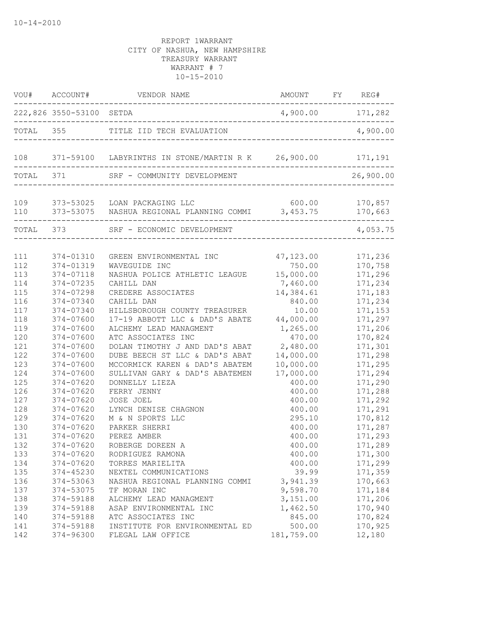|            | VOU# ACCOUNT#            | VENDOR NAME                                                    | AMOUNT FY REG#       |                   |
|------------|--------------------------|----------------------------------------------------------------|----------------------|-------------------|
|            | 222,826 3550-53100 SETDA |                                                                | 4,900.00 171,282     |                   |
|            |                          | TOTAL 355 TITLE IID TECH EVALUATION                            |                      | 4,900.00          |
|            |                          | 108 371-59100 LABYRINTHS IN STONE/MARTIN R K 26,900.00 171,191 |                      |                   |
| TOTAL 371  |                          | SRF - COMMUNITY DEVELOPMENT                                    |                      | 26,900.00         |
| 109        |                          | 373-53025 LOAN PACKAGING LLC                                   | 600.00 170,857       |                   |
| 110        |                          | 373-53075 NASHUA REGIONAL PLANNING COMMI 3,453.75              |                      | 170,663           |
|            | TOTAL 373                | SRF - ECONOMIC DEVELOPMENT                                     |                      | 4,053.75          |
| 111        | 374-01310                | GREEN ENVIRONMENTAL INC                                        | 47,123.00            | 171,236           |
| 112        | 374-01319                | WAVEGUIDE INC                                                  | 750.00               | 170,758           |
| 113        | 374-07118                | NASHUA POLICE ATHLETIC LEAGUE                                  | 15,000.00            | 171,296           |
| 114        | 374-07235                | CAHILL DAN                                                     | 7,460.00             | 171,234           |
| 115        | 374-07298                | CREDERE ASSOCIATES                                             | 14,384.61            | 171,183           |
| 116        | 374-07340                | CAHILL DAN                                                     | 840.00               | 171,234           |
| 117        | 374-07340                | HILLSBOROUGH COUNTY TREASURER                                  | 10.00                | 171,153           |
| 118        | 374-07600                | 17-19 ABBOTT LLC & DAD'S ABATE                                 | 44,000.00            | 171,297           |
| 119        | $374 - 07600$            | ALCHEMY LEAD MANAGMENT                                         | 1,265.00             | 171,206           |
| 120        | 374-07600                | ATC ASSOCIATES INC                                             | 470.00               | 170,824           |
| 121        | 374-07600                | DOLAN TIMOTHY J AND DAD'S ABAT                                 | 2,480.00             | 171,301           |
| 122        | 374-07600                | DUBE BEECH ST LLC & DAD'S ABAT                                 | 14,000.00            | 171,298           |
| 123        | $374 - 07600$            | MCCORMICK KAREN & DAD'S ABATEM                                 | 10,000.00            | 171,295           |
| 124        | 374-07600                | SULLIVAN GARY & DAD'S ABATEMEN                                 | 17,000.00            | 171,294           |
| 125        | 374-07620                | DONNELLY LIEZA                                                 | 400.00               | 171,290           |
| 126        | 374-07620                | FERRY JENNY                                                    | 400.00               | 171,288           |
| 127        | 374-07620                | JOSE JOEL                                                      | 400.00               | 171,292           |
| 128        | 374-07620                | LYNCH DENISE CHAGNON                                           | 400.00               | 171,291           |
| 129        | 374-07620                | M & N SPORTS LLC                                               | 295.10               | 170,812           |
| 130        | 374-07620                | PARKER SHERRI                                                  | 400.00               | 171,287           |
| 131        | 374-07620                | PEREZ AMBER                                                    | 400.00               | 171,293           |
| 132        | 374-07620                | ROBERGE DOREEN A                                               | 400.00               | 171,289           |
| 133        | 374-07620                | RODRIGUEZ RAMONA                                               | 400.00               | 171,300           |
| 134        | 374-07620                | TORRES MARIELITA                                               | 400.00               | 171,299           |
| 135        | 374-45230                | NEXTEL COMMUNICATIONS                                          | 39.99                | 171,359           |
| 136        | 374-53063                | NASHUA REGIONAL PLANNING COMMI                                 | 3,941.39             | 170,663           |
| 137        | 374-53075                | TF MORAN INC                                                   | 9,598.70             | 171,184           |
| 138        | 374-59188                | ALCHEMY LEAD MANAGMENT                                         | 3,151.00             | 171,206           |
| 139        | 374-59188                | ASAP ENVIRONMENTAL INC                                         | 1,462.50             | 170,940           |
| 140        | 374-59188                | ATC ASSOCIATES INC                                             | 845.00               | 170,824           |
| 141<br>142 | 374-59188<br>374-96300   | INSTITUTE FOR ENVIRONMENTAL ED<br>FLEGAL LAW OFFICE            | 500.00<br>181,759.00 | 170,925<br>12,180 |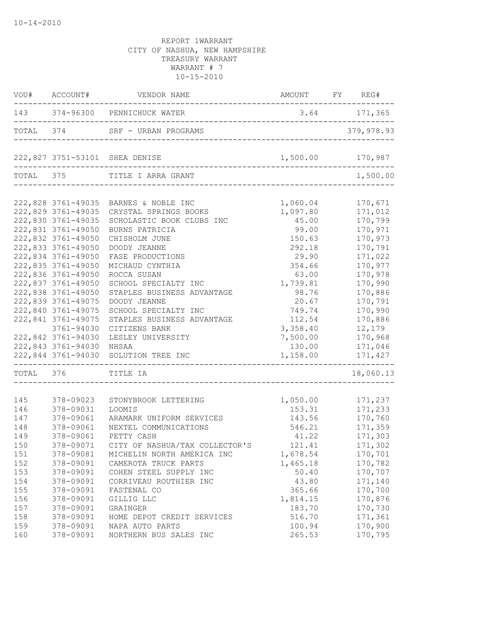|     |                    | VOU# ACCOUNT# VENDOR NAME                                               | AMOUNT FY REG# |                  |
|-----|--------------------|-------------------------------------------------------------------------|----------------|------------------|
|     |                    | 143 374-96300 PENNICHUCK WATER<br>------------------------------------  | $3.64$ 171,365 |                  |
|     |                    | TOTAL 374 SRF - URBAN PROGRAMS<br>。<br>-------------------------------- |                | 379,978.93       |
|     |                    | 222,827 3751-53101 SHEA DENISE                                          |                | 1,500.00 170,987 |
|     |                    | TOTAL 375 TITLE I ARRA GRANT                                            |                | 1,500.00         |
|     |                    |                                                                         |                |                  |
|     |                    | 222,828 3761-49035 BARNES & NOBLE INC                                   | 1,060.04       | 170,671          |
|     | 222,829 3761-49035 | CRYSTAL SPRINGS BOOKS                                                   | 1,097.80       | 171,012          |
|     | 222,830 3761-49035 | SCHOLASTIC BOOK CLUBS INC                                               | 45.00          | 170,799          |
|     | 222,831 3761-49050 | BURNS PATRICIA                                                          | 99.00          | 170,971          |
|     | 222,832 3761-49050 | CHISHOLM JUNE                                                           | 150.63         | 170,973          |
|     | 222,833 3761-49050 | DOODY JEANNE                                                            | 292.18         | 170,791          |
|     | 222,834 3761-49050 | FASE PRODUCTIONS                                                        | 29.90          | 171,022          |
|     | 222,835 3761-49050 | MICHAUD CYNTHIA                                                         | 354.66         | 170,977          |
|     | 222,836 3761-49050 | ROCCA SUSAN                                                             | 63.00          | 170,978          |
|     | 222,837 3761-49050 | SCHOOL SPECIALTY INC                                                    | 1,739.81       | 170,990          |
|     | 222,838 3761-49050 | STAPLES BUSINESS ADVANTAGE                                              | 98.76          | 170,886          |
|     | 222,839 3761-49075 | DOODY JEANNE                                                            | 20.67          | 170,791          |
|     | 222,840 3761-49075 | SCHOOL SPECIALTY INC                                                    | 749.74         | 170,990          |
|     | 222,841 3761-49075 | STAPLES BUSINESS ADVANTAGE                                              | 112.54         | 170,886          |
|     | 3761-94030         | CITIZENS BANK                                                           | 3,358.40       | 12,179           |
|     | 222,842 3761-94030 | LESLEY UNIVERSITY                                                       | 7,500.00       | 170,968          |
|     | 222,843 3761-94030 | NHSAA                                                                   | 130.00         | 171,046          |
|     | 222,844 3761-94030 | SOLUTION TREE INC                                                       | 1,158.00       | 171,427          |
|     | TOTAL 376 TITLE IA |                                                                         |                | 18,060.13        |
| 145 | 378-09023          | STONYBROOK LETTERING                                                    | 1,050.00       | 171,237          |
| 146 | 378-09031          | LOOMIS                                                                  | 153.31         | 171,233          |
| 147 | 378-09061          | ARAMARK UNIFORM SERVICES                                                | 143.56         | 170,760          |
| 148 | 378-09061          | NEXTEL COMMUNICATIONS                                                   | 546.21         | 171,359          |
| 149 | 378-09061          | PETTY CASH                                                              | 41.22          | 171,303          |
| 150 | 378-09071          | CITY OF NASHUA/TAX COLLECTOR'S                                          | 121.41         | 171,302          |
| 151 | 378-09081          | MICHELIN NORTH AMERICA INC                                              | 1,678.54       | 170,701          |
| 152 | 378-09091          | CAMEROTA TRUCK PARTS                                                    | 1,465.18       | 170,782          |
|     |                    |                                                                         | 50.40          |                  |
| 153 | 378-09091          | COHEN STEEL SUPPLY INC                                                  |                | 170,707          |
| 154 | 378-09091          | CORRIVEAU ROUTHIER INC                                                  | 43.80          | 171,140          |
| 155 | 378-09091          | FASTENAL CO                                                             | 365.66         | 170,700          |
| 156 | 378-09091          | GILLIG LLC                                                              | 1,814.15       | 170,876          |
| 157 | 378-09091          | GRAINGER                                                                | 183.70         | 170,730          |
| 158 | 378-09091          | HOME DEPOT CREDIT SERVICES                                              | 516.70         | 171,361          |
| 159 | 378-09091          | NAPA AUTO PARTS                                                         | 100.94         | 170,900          |
| 160 | 378-09091          | NORTHERN BUS SALES INC                                                  | 265.53         | 170,795          |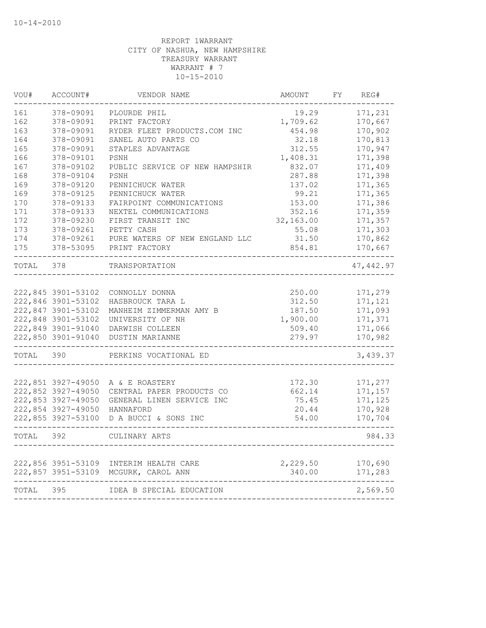| VOU#  | ACCOUNT#                                 | VENDOR NAME                                           | AMOUNT             | FY. | REG#               |
|-------|------------------------------------------|-------------------------------------------------------|--------------------|-----|--------------------|
| 161   | 378-09091                                | PLOURDE PHIL                                          | 19.29              |     | 171,231            |
| 162   | 378-09091                                | PRINT FACTORY                                         | 1,709.62           |     | 170,667            |
| 163   | 378-09091                                | RYDER FLEET PRODUCTS.COM INC                          | 454.98             |     | 170,902            |
| 164   | 378-09091                                | SANEL AUTO PARTS CO                                   | 32.18              |     | 170,813            |
| 165   | 378-09091                                | STAPLES ADVANTAGE                                     | 312.55             |     | 170,947            |
| 166   | 378-09101                                | PSNH                                                  | 1,408.31           |     | 171,398            |
| 167   | 378-09102                                | PUBLIC SERVICE OF NEW HAMPSHIR                        | 832.07             |     | 171,409            |
| 168   | 378-09104                                | PSNH                                                  | 287.88             |     | 171,398            |
| 169   | 378-09120                                | PENNICHUCK WATER                                      | 137.02             |     | 171,365            |
| 169   | 378-09125                                | PENNICHUCK WATER                                      | 99.21              |     | 171,365            |
| 170   | 378-09133                                | FAIRPOINT COMMUNICATIONS                              | 153.00             |     | 171,386            |
| 171   | 378-09133                                | NEXTEL COMMUNICATIONS                                 | 352.16             |     | 171,359            |
| 172   | 378-09230                                | FIRST TRANSIT INC                                     | 32,163.00          |     | 171,357            |
| 173   | 378-09261                                | PETTY CASH                                            | 55.08              |     | 171,303            |
| 174   | 378-09261                                | PURE WATERS OF NEW ENGLAND LLC                        | 31.50              |     | 170,862            |
| 175   | 378-53095                                | PRINT FACTORY                                         | 854.81             |     | 170,667            |
| TOTAL | 378                                      | TRANSPORTATION                                        |                    |     | 47, 442.97         |
|       |                                          |                                                       |                    |     |                    |
|       | 222,845 3901-53102                       | CONNOLLY DONNA                                        | 250.00             |     | 171,279            |
|       | 222,846 3901-53102<br>222,847 3901-53102 | HASBROUCK TARA L                                      | 312.50             |     | 171,121<br>171,093 |
|       | 222,848 3901-53102                       | MANHEIM ZIMMERMAN AMY B                               | 187.50<br>1,900.00 |     | 171,371            |
|       | 222,849 3901-91040                       | UNIVERSITY OF NH                                      |                    |     | 171,066            |
|       |                                          | DARWISH COLLEEN<br>222,850 3901-91040 DUSTIN MARIANNE | 509.40<br>279.97   |     | 170,982            |
| TOTAL | 390                                      | PERKINS VOCATIONAL ED                                 |                    |     | 3,439.37           |
|       |                                          |                                                       |                    |     |                    |
|       | 222,851 3927-49050                       | A & E ROASTERY                                        | 172.30             |     | 171,277            |
|       | 222,852 3927-49050                       | CENTRAL PAPER PRODUCTS CO                             | 662.14             |     | 171,157            |
|       | 222,853 3927-49050                       | GENERAL LINEN SERVICE INC                             | 75.45              |     | 171,125            |
|       | 222,854 3927-49050                       | HANNAFORD                                             | 20.44              |     | 170,928            |
|       | 222,855 3927-53100                       | D A BUCCI & SONS INC                                  | 54.00              |     | 170,704            |
| TOTAL | 392                                      | CULINARY ARTS                                         |                    |     | 984.33             |
|       |                                          |                                                       |                    |     |                    |
|       | 222,856 3951-53109                       | INTERIM HEALTH CARE                                   | 2,229.50           |     | 170,690            |
|       | 222,857 3951-53109                       | MCGURK, CAROL ANN                                     | 340.00             |     | 171,283            |
| TOTAL | 395                                      | IDEA B SPECIAL EDUCATION                              |                    |     | 2,569.50           |
|       |                                          |                                                       |                    |     |                    |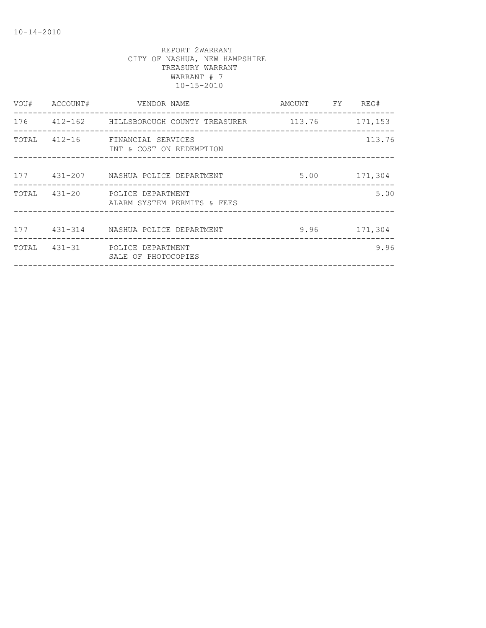| VOU# | ACCOUNT# | VENDOR NAME                                                   | AMOUNT FY REG# |              |
|------|----------|---------------------------------------------------------------|----------------|--------------|
|      |          | 176   412-162   HILLSBOROUGH COUNTY TREASURER   113.76        |                | 171,153      |
|      |          | TOTAL 412-16 FINANCIAL SERVICES<br>INT & COST ON REDEMPTION   |                | 113.76       |
|      |          | 177 431-207 NASHUA POLICE DEPARTMENT                          |                | 5.00 171,304 |
|      |          | TOTAL 431-20 POLICE DEPARTMENT<br>ALARM SYSTEM PERMITS & FEES |                | 5.00         |
|      |          | 177 431-314 NASHUA POLICE DEPARTMENT                          |                | 9.96 171,304 |
|      |          | TOTAL 431-31 POLICE DEPARTMENT<br>SALE OF PHOTOCOPIES         |                | 9.96         |
|      |          |                                                               |                |              |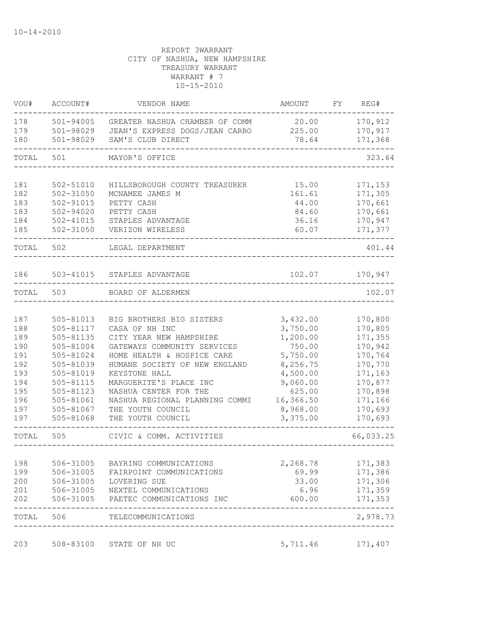| VOU#       | ACCOUNT#               | VENDOR NAME                                        | AMOUNT               | FY | REG#               |
|------------|------------------------|----------------------------------------------------|----------------------|----|--------------------|
| 178        | 501-94005              | GREATER NASHUA CHAMBER OF COMM                     | 20.00                |    | 170,912            |
| 179        | 501-98029              | JEAN'S EXPRESS DOGS/JEAN CARBO                     | 225.00               |    | 170,917            |
| 180        | 501-98029              | SAM'S CLUB DIRECT                                  | 78.64                |    | 171,368            |
| TOTAL      | 501                    | MAYOR'S OFFICE                                     |                      |    | 323.64             |
| 181        | 502-51010              | HILLSBOROUGH COUNTY TREASURER                      | 15.00                |    | 171,153            |
| 182        | 502-31050              | MCNAMEE JAMES M                                    | 161.61               |    | 171,305            |
| 183        | 502-91015              | PETTY CASH                                         | 44.00                |    | 170,661            |
| 183        | $502 - 94020$          | PETTY CASH                                         | 84.60                |    | 170,661            |
| 184        | $502 - 41015$          | STAPLES ADVANTAGE                                  | 36.16                |    | 170,947            |
| 185        | 502-31050              | VERIZON WIRELESS                                   | 60.07                |    | 171,377            |
| TOTAL      | 502                    | LEGAL DEPARTMENT                                   |                      |    | 401.44             |
| 186        |                        | 503-41015 STAPLES ADVANTAGE                        | 102.07               |    | 170,947            |
| TOTAL      | 503                    | BOARD OF ALDERMEN                                  |                      |    | 102.07             |
|            |                        |                                                    |                      |    |                    |
| 187        | 505-81013              | BIG BROTHERS BIG SISTERS                           | 3,432.00             |    | 170,800            |
| 188        | 505-81117              | CASA OF NH INC                                     | 3,750.00             |    | 170,805            |
| 189        | 505-81135              | CITY YEAR NEW HAMPSHIRE                            | 1,200.00             |    | 171,355            |
| 190        | 505-81004              | GATEWAYS COMMUNITY SERVICES                        | 750.00               |    | 170,942            |
| 191        | 505-81024              | HOME HEALTH & HOSPICE CARE                         | 5,750.00             |    | 170,764            |
| 192        | 505-81039              | HUMANE SOCIETY OF NEW ENGLAND                      | 8,256.75             |    | 170,770            |
| 193<br>194 | 505-81019<br>505-81115 | KEYSTONE HALL<br>MARGUERITE'S PLACE INC            | 4,500.00<br>9,060.00 |    | 171,163<br>170,877 |
| 195        | 505-81123              | NASHUA CENTER FOR THE                              | 625.00               |    | 170,898            |
| 196        | 505-81061              | NASHUA REGIONAL PLANNING COMMI                     | 16,366.50            |    | 171,166            |
| 197        | 505-81067              | THE YOUTH COUNCIL                                  | 8,968.00             |    | 170,693            |
| 197        | 505-81068              | THE YOUTH COUNCIL                                  | 3,375.00             |    | 170,693            |
| TOTAL      | 505                    | CIVIC & COMM. ACTIVITIES                           |                      |    | 66,033.25          |
|            |                        |                                                    |                      |    |                    |
| 198        | 506-31005              | BAYRING COMMUNICATIONS<br>FAIRPOINT COMMUNICATIONS | 2,268.78             |    | 171,383            |
| 199<br>200 | 506-31005<br>506-31005 | LOVERING SUE                                       | 69.99<br>33.00       |    | 171,386<br>171,306 |
| 201        | 506-31005              | NEXTEL COMMUNICATIONS                              | 6.96                 |    | 171,359            |
| 202        | 506-31005              | PAETEC COMMUNICATIONS INC                          | 600.00               |    | 171,353            |
| TOTAL      | 506                    | TELECOMMUNICATIONS<br>________________             |                      |    | 2,978.73           |
|            |                        |                                                    |                      |    |                    |
| 203        | 508-83100              | STATE OF NH UC                                     | 5,711.46             |    | 171,407            |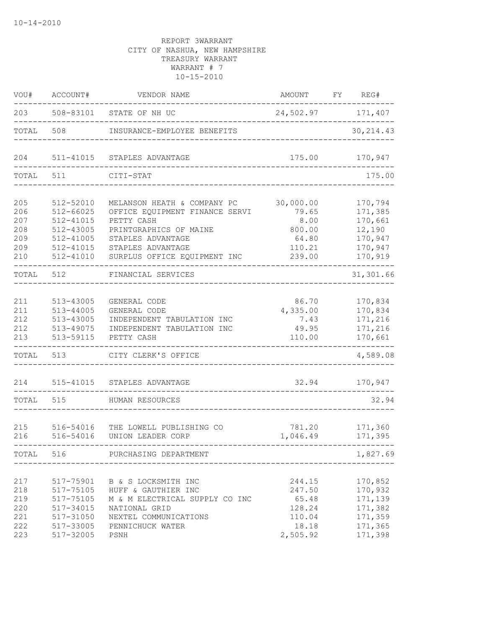| VOU#                                          | ACCOUNT#                                                                   | VENDOR NAME                                                                                                                                                  | AMOUNT                                                             | FY | REG#                                                                      |
|-----------------------------------------------|----------------------------------------------------------------------------|--------------------------------------------------------------------------------------------------------------------------------------------------------------|--------------------------------------------------------------------|----|---------------------------------------------------------------------------|
| 203                                           |                                                                            | 508-83101 STATE OF NH UC                                                                                                                                     | 24,502.97 171,407                                                  |    |                                                                           |
| TOTAL                                         | 508                                                                        | INSURANCE-EMPLOYEE BENEFITS                                                                                                                                  |                                                                    |    | 30, 214.43                                                                |
| 204                                           | 511-41015                                                                  | STAPLES ADVANTAGE                                                                                                                                            | 175.00                                                             |    | 170,947                                                                   |
| TOTAL                                         | 511                                                                        | CITI-STAT                                                                                                                                                    |                                                                    |    | 175.00                                                                    |
| 205<br>206                                    | 512-52010<br>$512 - 66025$                                                 | MELANSON HEATH & COMPANY PC<br>OFFICE EQUIPMENT FINANCE SERVI                                                                                                | 30,000.00<br>79.65                                                 |    | 170,794<br>171,385                                                        |
| 207<br>208<br>209<br>209                      | 512-41015<br>512-43005<br>512-41005<br>512-41015                           | PETTY CASH<br>PRINTGRAPHICS OF MAINE<br>STAPLES ADVANTAGE<br>STAPLES ADVANTAGE                                                                               | 8.00<br>800.00<br>64.80<br>110.21                                  |    | 170,661<br>12,190<br>170,947<br>170,947                                   |
| 210<br>TOTAL                                  | 512-41010<br>512                                                           | SURPLUS OFFICE EQUIPMENT INC<br>FINANCIAL SERVICES                                                                                                           | 239.00                                                             |    | 170,919<br>31,301.66                                                      |
| 211<br>211<br>212<br>212<br>213               | 513-43005<br>513-44005<br>513-43005<br>513-49075<br>513-59115              | GENERAL CODE<br>GENERAL CODE<br>INDEPENDENT TABULATION INC<br>INDEPENDENT TABULATION INC<br>PETTY CASH                                                       | 86.70<br>4,335.00<br>7.43<br>49.95<br>110.00                       |    | 170,834<br>170,834<br>171,216<br>171,216<br>170,661                       |
| TOTAL                                         | 513                                                                        | CITY CLERK'S OFFICE                                                                                                                                          |                                                                    |    | 4,589.08                                                                  |
| 214<br>TOTAL                                  | 515-41015<br>515                                                           | STAPLES ADVANTAGE<br>HUMAN RESOURCES                                                                                                                         | 32.94                                                              |    | 170,947<br>32.94                                                          |
| 215<br>216                                    | 516-54016<br>516-54016                                                     | THE LOWELL PUBLISHING CO<br>UNION LEADER CORP<br>. _ _ _ _ _ _ _ _ _ _ _ _ _ _                                                                               | 781.20<br>1,046.49                                                 |    | 171,360<br>171,395                                                        |
|                                               | TOTAL 516                                                                  | PURCHASING DEPARTMENT                                                                                                                                        |                                                                    |    | 1,827.69                                                                  |
| 217<br>218<br>219<br>220<br>221<br>222<br>223 | 517-75105<br>517-75105<br>517-34015<br>517-31050<br>517-33005<br>517-32005 | 517-75901 B & S LOCKSMITH INC<br>HUFF & GAUTHIER INC<br>M & M ELECTRICAL SUPPLY CO INC<br>NATIONAL GRID<br>NEXTEL COMMUNICATIONS<br>PENNICHUCK WATER<br>PSNH | 244.15<br>247.50<br>65.48<br>128.24<br>110.04<br>18.18<br>2,505.92 |    | 170,852<br>170,932<br>171,139<br>171,382<br>171,359<br>171,365<br>171,398 |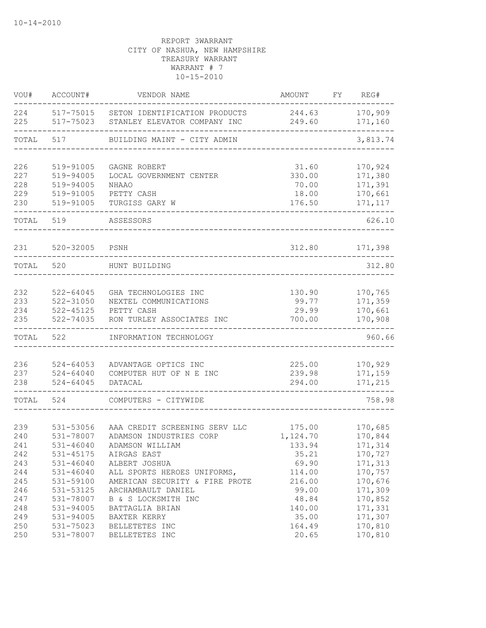| VOU#  | ACCOUNT#      | VENDOR NAME                    | AMOUNT   | FY. | REG#     |
|-------|---------------|--------------------------------|----------|-----|----------|
| 224   | 517-75015     | SETON IDENTIFICATION PRODUCTS  | 244.63   |     | 170,909  |
| 225   | 517-75023     | STANLEY ELEVATOR COMPANY INC   | 249.60   |     | 171,160  |
| TOTAL | 517           | BUILDING MAINT - CITY ADMIN    |          |     | 3,813.74 |
| 226   | 519-91005     | GAGNE ROBERT                   | 31.60    |     | 170,924  |
| 227   | 519-94005     | LOCAL GOVERNMENT CENTER        | 330.00   |     | 171,380  |
| 228   | 519-94005     | <b>NHAAO</b>                   | 70.00    |     | 171,391  |
| 229   | 519-91005     | PETTY CASH                     | 18.00    |     | 170,661  |
| 230   | 519-91005     | TURGISS GARY W                 | 176.50   |     | 171, 117 |
| TOTAL | 519           | ASSESSORS                      |          |     | 626.10   |
| 231   | 520-32005     | PSNH                           | 312.80   |     | 171,398  |
| TOTAL | 520           | HUNT BUILDING                  |          |     | 312.80   |
| 232   | $522 - 64045$ | GHA TECHNOLOGIES INC           | 130.90   |     | 170,765  |
| 233   | 522-31050     | NEXTEL COMMUNICATIONS          | 99.77    |     | 171,359  |
| 234   | 522-45125     | PETTY CASH                     | 29.99    |     | 170,661  |
| 235   | 522-74035     | RON TURLEY ASSOCIATES INC      | 700.00   |     | 170,908  |
| TOTAL | 522           | INFORMATION TECHNOLOGY         |          |     | 960.66   |
| 236   | $524 - 64053$ | ADVANTAGE OPTICS INC           | 225.00   |     | 170,929  |
| 237   | $524 - 64040$ | COMPUTER HUT OF N E INC        | 239.98   |     | 171,159  |
| 238   | $524 - 64045$ | DATACAL                        | 294.00   |     | 171,215  |
| TOTAL | 524           | COMPUTERS - CITYWIDE           |          |     | 758.98   |
| 239   | 531-53056     | AAA CREDIT SCREENING SERV LLC  | 175.00   |     | 170,685  |
| 240   | 531-78007     | ADAMSON INDUSTRIES CORP        | 1,124.70 |     | 170,844  |
| 241   | 531-46040     | ADAMSON WILLIAM                | 133.94   |     | 171,314  |
| 242   | 531-45175     | AIRGAS EAST                    | 35.21    |     | 170,727  |
| 243   | $531 - 46040$ | ALBERT JOSHUA                  | 69.90    |     | 171,313  |
| 244   | $531 - 46040$ | ALL SPORTS HEROES UNIFORMS,    | 114.00   |     | 170,757  |
| 245   | 531-59100     | AMERICAN SECURITY & FIRE PROTE | 216.00   |     | 170,676  |
| 246   | 531-53125     | ARCHAMBAULT DANIEL             | 99.00    |     | 171,309  |
| 247   | 531-78007     | B & S LOCKSMITH INC            | 48.84    |     | 170,852  |
| 248   | 531-94005     | BATTAGLIA BRIAN                | 140.00   |     | 171,331  |
| 249   | 531-94005     | BAXTER KERRY                   | 35.00    |     | 171,307  |
| 250   | 531-75023     | BELLETETES INC                 | 164.49   |     | 170,810  |
| 250   | 531-78007     | BELLETETES INC                 | 20.65    |     | 170,810  |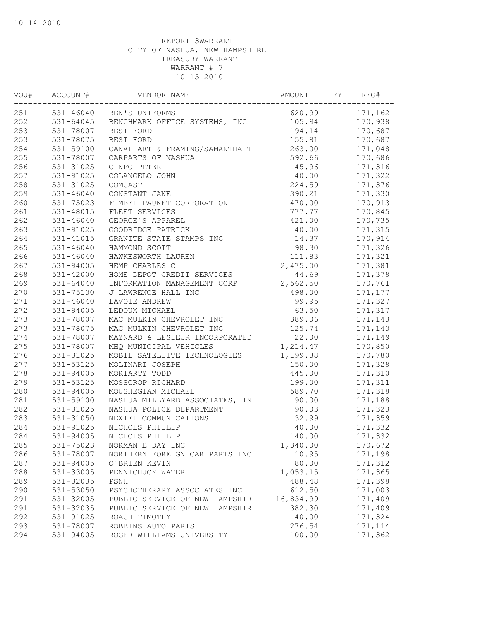| VOU# | ACCOUNT#      | VENDOR NAME                             | AMOUNT    | FY | REG#           |
|------|---------------|-----------------------------------------|-----------|----|----------------|
| 251  |               | 531-46040 BEN'S UNIFORMS                |           |    | 620.99 171,162 |
| 252  |               | 531-64045 BENCHMARK OFFICE SYSTEMS, INC | 105.94    |    | 170,938        |
| 253  | 531-78007     | BEST FORD                               | 194.14    |    | 170,687        |
| 253  | 531-78075     | BEST FORD                               | 155.81    |    | 170,687        |
| 254  | 531-59100     | CANAL ART & FRAMING/SAMANTHA T          | 263.00    |    | 171,048        |
| 255  | 531-78007     | CARPARTS OF NASHUA                      | 592.66    |    | 170,686        |
| 256  | 531-31025     | CINFO PETER                             | 45.96     |    | 171,316        |
| 257  | 531-91025     | COLANGELO JOHN                          | 40.00     |    | 171,322        |
| 258  | 531-31025     | COMCAST                                 | 224.59    |    | 171,376        |
| 259  | $531 - 46040$ | CONSTANT JANE                           | 390.21    |    | 171,330        |
| 260  | 531-75023     | FIMBEL PAUNET CORPORATION               | 470.00    |    | 170,913        |
| 261  | 531-48015     | FLEET SERVICES                          | 777.77    |    | 170,845        |
| 262  | $531 - 46040$ | GEORGE'S APPAREL                        | 421.00    |    | 170,735        |
| 263  | 531-91025     | GOODRIDGE PATRICK                       | 40.00     |    | 171,315        |
| 264  | 531-41015     | GRANITE STATE STAMPS INC                | 14.37     |    | 170,914        |
| 265  | $531 - 46040$ | HAMMOND SCOTT                           | 98.30     |    | 171,326        |
| 266  | $531 - 46040$ | HAWKESWORTH LAUREN                      | 111.83    |    | 171,321        |
| 267  | 531-94005     | HEMP CHARLES C                          | 2,475.00  |    | 171,381        |
| 268  | 531-42000     | HOME DEPOT CREDIT SERVICES              | 44.69     |    | 171,378        |
| 269  | $531 - 64040$ | INFORMATION MANAGEMENT CORP             | 2,562.50  |    | 170,761        |
| 270  | 531-75130     | J LAWRENCE HALL INC                     | 498.00    |    | 171,177        |
| 271  | $531 - 46040$ | LAVOIE ANDREW                           | 99.95     |    | 171,327        |
| 272  | 531-94005     | LEDOUX MICHAEL                          | 63.50     |    | 171,317        |
| 273  | 531-78007     | MAC MULKIN CHEVROLET INC                | 389.06    |    | 171,143        |
| 273  | 531-78075     | MAC MULKIN CHEVROLET INC                | 125.74    |    | 171,143        |
| 274  | 531-78007     | MAYNARD & LESIEUR INCORPORATED          | 22.00     |    | 171,149        |
| 275  | 531-78007     | MHQ MUNICIPAL VEHICLES                  | 1,214.47  |    | 170,850        |
| 276  | 531-31025     | MOBIL SATELLITE TECHNOLOGIES            | 1,199.88  |    | 170,780        |
| 277  | 531-53125     | MOLINARI JOSEPH                         | 150.00    |    | 171,328        |
| 278  | 531-94005     | MORIARTY TODD                           | 445.00    |    | 171,310        |
| 279  | 531-53125     | MOSSCROP RICHARD                        | 199.00    |    | 171,311        |
| 280  | 531-94005     | MOUSHEGIAN MICHAEL                      | 589.70    |    | 171,318        |
| 281  | 531-59100     | NASHUA MILLYARD ASSOCIATES, IN          | 90.00     |    | 171,188        |
| 282  | 531-31025     | NASHUA POLICE DEPARTMENT                | 90.03     |    | 171,323        |
| 283  | 531-31050     | NEXTEL COMMUNICATIONS                   | 32.99     |    | 171,359        |
| 284  | 531-91025     | NICHOLS PHILLIP                         | 40.00     |    | 171,332        |
| 284  | 531-94005     | NICHOLS PHILLIP                         | 140.00    |    | 171,332        |
| 285  | 531-75023     | NORMAN E DAY INC                        | 1,340.00  |    | 170,672        |
| 286  | 531-78007     | NORTHERN FOREIGN CAR PARTS INC          | 10.95     |    | 171,198        |
| 287  | 531-94005     | O'BRIEN KEVIN                           | 80.00     |    | 171,312        |
| 288  | 531-33005     | PENNICHUCK WATER                        | 1,053.15  |    | 171,365        |
| 289  | 531-32035     | PSNH                                    | 488.48    |    | 171,398        |
| 290  | 531-53050     | PSYCHOTHERAPY ASSOCIATES INC            | 612.50    |    | 171,003        |
| 291  | 531-32005     | PUBLIC SERVICE OF NEW HAMPSHIR          | 16,834.99 |    | 171,409        |
| 291  | 531-32035     | PUBLIC SERVICE OF NEW HAMPSHIR          | 382.30    |    | 171,409        |
| 292  | 531-91025     | ROACH TIMOTHY                           | 40.00     |    | 171,324        |
| 293  | 531-78007     | ROBBINS AUTO PARTS                      | 276.54    |    | 171, 114       |
| 294  | 531-94005     | ROGER WILLIAMS UNIVERSITY               | 100.00    |    | 171,362        |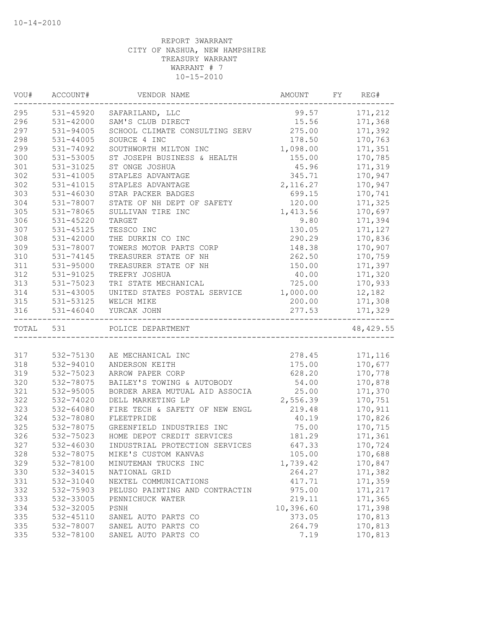| 171,212<br>531-45920<br>99.57<br>SAFARILAND, LLC<br>SAM'S CLUB DIRECT<br>171,368<br>531-42000<br>15.56<br>531-94005<br>275.00<br>SCHOOL CLIMATE CONSULTING SERV<br>171,392<br>170,763<br>531-44005<br>SOURCE 4 INC<br>178.50<br>SOUTHWORTH MILTON INC<br>1,098.00<br>171,351<br>531-74092<br>170,785<br>531-53005<br>ST JOSEPH BUSINESS & HEALTH<br>155.00<br>531-31025<br>45.96<br>171,319<br>ST ONGE JOSHUA<br>345.71<br>170,947<br>531-41005<br>STAPLES ADVANTAGE<br>2, 116.27<br>170,947<br>531-41015<br>STAPLES ADVANTAGE<br>$531 - 46030$<br>STAR PACKER BADGES<br>699.15<br>170,741<br>531-78007<br>STATE OF NH DEPT OF SAFETY<br>120.00<br>171,325<br>305<br>531-78065<br>170,697<br>SULLIVAN TIRE INC<br>1,413.56<br>306<br>9.80<br>531-45220<br>TARGET<br>171,394<br>307<br>531-45125<br>TESSCO INC<br>130.05<br>171,127<br>308<br>170,836<br>531-42000<br>THE DURKIN CO INC<br>290.29<br>170,907<br>309<br>531-78007<br>TOWERS MOTOR PARTS CORP<br>148.38<br>310<br>262.50<br>170,759<br>531-74145<br>TREASURER STATE OF NH<br>311<br>171,397<br>531-95000<br>TREASURER STATE OF NH<br>150.00<br>312<br>531-91025<br>40.00<br>171,320<br>TREFRY JOSHUA<br>313<br>531-75023<br>TRI STATE MECHANICAL<br>725.00<br>170,933<br>314<br>UNITED STATES POSTAL SERVICE<br>1,000.00<br>12,182<br>531-43005<br>315<br>531-53125<br>WELCH MIKE<br>200.00<br>171,308<br>531-46040<br>277.53<br>171,329<br>YURCAK JOHN<br>____________________________________<br>48, 429.55<br>TOTAL 531<br>POLICE DEPARTMENT<br>171,116<br>532-75130<br>278.45<br>AE MECHANICAL INC<br>532-94010<br>ANDERSON KEITH<br>175.00<br>170,677<br>532-75023<br>628.20<br>170,778<br>ARROW PAPER CORP<br>532-78075<br>BAILEY'S TOWING & AUTOBODY<br>54.00<br>170,878<br>25.00<br>171,370<br>532-95005<br>BORDER AREA MUTUAL AID ASSOCIA<br>DELL MARKETING LP<br>2,556.39<br>170,751<br>532-74020<br>532-64080<br>FIRE TECH & SAFETY OF NEW ENGL<br>219.48<br>170,911<br>532-78080<br>40.19<br>170,826<br>FLEETPRIDE<br>75.00<br>170,715<br>532-78075<br>GREENFIELD INDUSTRIES INC<br>532-75023<br>HOME DEPOT CREDIT SERVICES<br>181.29<br>171,361<br>532-46030<br>INDUSTRIAL PROTECTION SERVICES<br>647.33<br>170,724<br>328<br>532-78075<br>MIKE'S CUSTOM KANVAS<br>105.00<br>170,688<br>329<br>532-78100<br>1,739.42<br>170,847<br>MINUTEMAN TRUCKS INC<br>330<br>532-34015<br>264.27<br>171,382<br>NATIONAL GRID<br>171,359<br>331<br>532-31040<br>NEXTEL COMMUNICATIONS<br>417.71<br>171,217<br>332<br>532-75903<br>975.00<br>PELUSO PAINTING AND CONTRACTIN<br>333<br>171,365<br>532-33005<br>PENNICHUCK WATER<br>219.11<br>334<br>532-32005<br>10,396.60<br>171,398<br>PSNH<br>335<br>532-45110<br>170,813<br>SANEL AUTO PARTS CO<br>373.05<br>335<br>532-78007<br>SANEL AUTO PARTS CO<br>264.79<br>170,813 | VOU# | ACCOUNT#  | VENDOR NAME         | AMOUNT | FY | REG#    |
|-------------------------------------------------------------------------------------------------------------------------------------------------------------------------------------------------------------------------------------------------------------------------------------------------------------------------------------------------------------------------------------------------------------------------------------------------------------------------------------------------------------------------------------------------------------------------------------------------------------------------------------------------------------------------------------------------------------------------------------------------------------------------------------------------------------------------------------------------------------------------------------------------------------------------------------------------------------------------------------------------------------------------------------------------------------------------------------------------------------------------------------------------------------------------------------------------------------------------------------------------------------------------------------------------------------------------------------------------------------------------------------------------------------------------------------------------------------------------------------------------------------------------------------------------------------------------------------------------------------------------------------------------------------------------------------------------------------------------------------------------------------------------------------------------------------------------------------------------------------------------------------------------------------------------------------------------------------------------------------------------------------------------------------------------------------------------------------------------------------------------------------------------------------------------------------------------------------------------------------------------------------------------------------------------------------------------------------------------------------------------------------------------------------------------------------------------------------------------------------------------------------------------------------------------------------------------------------------------------------------------------------------------------------------------------------------------------------------------------------------------------------------------------------------|------|-----------|---------------------|--------|----|---------|
|                                                                                                                                                                                                                                                                                                                                                                                                                                                                                                                                                                                                                                                                                                                                                                                                                                                                                                                                                                                                                                                                                                                                                                                                                                                                                                                                                                                                                                                                                                                                                                                                                                                                                                                                                                                                                                                                                                                                                                                                                                                                                                                                                                                                                                                                                                                                                                                                                                                                                                                                                                                                                                                                                                                                                                                           | 295  |           |                     |        |    |         |
|                                                                                                                                                                                                                                                                                                                                                                                                                                                                                                                                                                                                                                                                                                                                                                                                                                                                                                                                                                                                                                                                                                                                                                                                                                                                                                                                                                                                                                                                                                                                                                                                                                                                                                                                                                                                                                                                                                                                                                                                                                                                                                                                                                                                                                                                                                                                                                                                                                                                                                                                                                                                                                                                                                                                                                                           | 296  |           |                     |        |    |         |
|                                                                                                                                                                                                                                                                                                                                                                                                                                                                                                                                                                                                                                                                                                                                                                                                                                                                                                                                                                                                                                                                                                                                                                                                                                                                                                                                                                                                                                                                                                                                                                                                                                                                                                                                                                                                                                                                                                                                                                                                                                                                                                                                                                                                                                                                                                                                                                                                                                                                                                                                                                                                                                                                                                                                                                                           | 297  |           |                     |        |    |         |
|                                                                                                                                                                                                                                                                                                                                                                                                                                                                                                                                                                                                                                                                                                                                                                                                                                                                                                                                                                                                                                                                                                                                                                                                                                                                                                                                                                                                                                                                                                                                                                                                                                                                                                                                                                                                                                                                                                                                                                                                                                                                                                                                                                                                                                                                                                                                                                                                                                                                                                                                                                                                                                                                                                                                                                                           | 298  |           |                     |        |    |         |
|                                                                                                                                                                                                                                                                                                                                                                                                                                                                                                                                                                                                                                                                                                                                                                                                                                                                                                                                                                                                                                                                                                                                                                                                                                                                                                                                                                                                                                                                                                                                                                                                                                                                                                                                                                                                                                                                                                                                                                                                                                                                                                                                                                                                                                                                                                                                                                                                                                                                                                                                                                                                                                                                                                                                                                                           | 299  |           |                     |        |    |         |
|                                                                                                                                                                                                                                                                                                                                                                                                                                                                                                                                                                                                                                                                                                                                                                                                                                                                                                                                                                                                                                                                                                                                                                                                                                                                                                                                                                                                                                                                                                                                                                                                                                                                                                                                                                                                                                                                                                                                                                                                                                                                                                                                                                                                                                                                                                                                                                                                                                                                                                                                                                                                                                                                                                                                                                                           | 300  |           |                     |        |    |         |
|                                                                                                                                                                                                                                                                                                                                                                                                                                                                                                                                                                                                                                                                                                                                                                                                                                                                                                                                                                                                                                                                                                                                                                                                                                                                                                                                                                                                                                                                                                                                                                                                                                                                                                                                                                                                                                                                                                                                                                                                                                                                                                                                                                                                                                                                                                                                                                                                                                                                                                                                                                                                                                                                                                                                                                                           | 301  |           |                     |        |    |         |
|                                                                                                                                                                                                                                                                                                                                                                                                                                                                                                                                                                                                                                                                                                                                                                                                                                                                                                                                                                                                                                                                                                                                                                                                                                                                                                                                                                                                                                                                                                                                                                                                                                                                                                                                                                                                                                                                                                                                                                                                                                                                                                                                                                                                                                                                                                                                                                                                                                                                                                                                                                                                                                                                                                                                                                                           | 302  |           |                     |        |    |         |
|                                                                                                                                                                                                                                                                                                                                                                                                                                                                                                                                                                                                                                                                                                                                                                                                                                                                                                                                                                                                                                                                                                                                                                                                                                                                                                                                                                                                                                                                                                                                                                                                                                                                                                                                                                                                                                                                                                                                                                                                                                                                                                                                                                                                                                                                                                                                                                                                                                                                                                                                                                                                                                                                                                                                                                                           | 302  |           |                     |        |    |         |
|                                                                                                                                                                                                                                                                                                                                                                                                                                                                                                                                                                                                                                                                                                                                                                                                                                                                                                                                                                                                                                                                                                                                                                                                                                                                                                                                                                                                                                                                                                                                                                                                                                                                                                                                                                                                                                                                                                                                                                                                                                                                                                                                                                                                                                                                                                                                                                                                                                                                                                                                                                                                                                                                                                                                                                                           | 303  |           |                     |        |    |         |
|                                                                                                                                                                                                                                                                                                                                                                                                                                                                                                                                                                                                                                                                                                                                                                                                                                                                                                                                                                                                                                                                                                                                                                                                                                                                                                                                                                                                                                                                                                                                                                                                                                                                                                                                                                                                                                                                                                                                                                                                                                                                                                                                                                                                                                                                                                                                                                                                                                                                                                                                                                                                                                                                                                                                                                                           | 304  |           |                     |        |    |         |
|                                                                                                                                                                                                                                                                                                                                                                                                                                                                                                                                                                                                                                                                                                                                                                                                                                                                                                                                                                                                                                                                                                                                                                                                                                                                                                                                                                                                                                                                                                                                                                                                                                                                                                                                                                                                                                                                                                                                                                                                                                                                                                                                                                                                                                                                                                                                                                                                                                                                                                                                                                                                                                                                                                                                                                                           |      |           |                     |        |    |         |
|                                                                                                                                                                                                                                                                                                                                                                                                                                                                                                                                                                                                                                                                                                                                                                                                                                                                                                                                                                                                                                                                                                                                                                                                                                                                                                                                                                                                                                                                                                                                                                                                                                                                                                                                                                                                                                                                                                                                                                                                                                                                                                                                                                                                                                                                                                                                                                                                                                                                                                                                                                                                                                                                                                                                                                                           |      |           |                     |        |    |         |
|                                                                                                                                                                                                                                                                                                                                                                                                                                                                                                                                                                                                                                                                                                                                                                                                                                                                                                                                                                                                                                                                                                                                                                                                                                                                                                                                                                                                                                                                                                                                                                                                                                                                                                                                                                                                                                                                                                                                                                                                                                                                                                                                                                                                                                                                                                                                                                                                                                                                                                                                                                                                                                                                                                                                                                                           |      |           |                     |        |    |         |
|                                                                                                                                                                                                                                                                                                                                                                                                                                                                                                                                                                                                                                                                                                                                                                                                                                                                                                                                                                                                                                                                                                                                                                                                                                                                                                                                                                                                                                                                                                                                                                                                                                                                                                                                                                                                                                                                                                                                                                                                                                                                                                                                                                                                                                                                                                                                                                                                                                                                                                                                                                                                                                                                                                                                                                                           |      |           |                     |        |    |         |
|                                                                                                                                                                                                                                                                                                                                                                                                                                                                                                                                                                                                                                                                                                                                                                                                                                                                                                                                                                                                                                                                                                                                                                                                                                                                                                                                                                                                                                                                                                                                                                                                                                                                                                                                                                                                                                                                                                                                                                                                                                                                                                                                                                                                                                                                                                                                                                                                                                                                                                                                                                                                                                                                                                                                                                                           |      |           |                     |        |    |         |
|                                                                                                                                                                                                                                                                                                                                                                                                                                                                                                                                                                                                                                                                                                                                                                                                                                                                                                                                                                                                                                                                                                                                                                                                                                                                                                                                                                                                                                                                                                                                                                                                                                                                                                                                                                                                                                                                                                                                                                                                                                                                                                                                                                                                                                                                                                                                                                                                                                                                                                                                                                                                                                                                                                                                                                                           |      |           |                     |        |    |         |
|                                                                                                                                                                                                                                                                                                                                                                                                                                                                                                                                                                                                                                                                                                                                                                                                                                                                                                                                                                                                                                                                                                                                                                                                                                                                                                                                                                                                                                                                                                                                                                                                                                                                                                                                                                                                                                                                                                                                                                                                                                                                                                                                                                                                                                                                                                                                                                                                                                                                                                                                                                                                                                                                                                                                                                                           |      |           |                     |        |    |         |
|                                                                                                                                                                                                                                                                                                                                                                                                                                                                                                                                                                                                                                                                                                                                                                                                                                                                                                                                                                                                                                                                                                                                                                                                                                                                                                                                                                                                                                                                                                                                                                                                                                                                                                                                                                                                                                                                                                                                                                                                                                                                                                                                                                                                                                                                                                                                                                                                                                                                                                                                                                                                                                                                                                                                                                                           |      |           |                     |        |    |         |
|                                                                                                                                                                                                                                                                                                                                                                                                                                                                                                                                                                                                                                                                                                                                                                                                                                                                                                                                                                                                                                                                                                                                                                                                                                                                                                                                                                                                                                                                                                                                                                                                                                                                                                                                                                                                                                                                                                                                                                                                                                                                                                                                                                                                                                                                                                                                                                                                                                                                                                                                                                                                                                                                                                                                                                                           |      |           |                     |        |    |         |
|                                                                                                                                                                                                                                                                                                                                                                                                                                                                                                                                                                                                                                                                                                                                                                                                                                                                                                                                                                                                                                                                                                                                                                                                                                                                                                                                                                                                                                                                                                                                                                                                                                                                                                                                                                                                                                                                                                                                                                                                                                                                                                                                                                                                                                                                                                                                                                                                                                                                                                                                                                                                                                                                                                                                                                                           |      |           |                     |        |    |         |
|                                                                                                                                                                                                                                                                                                                                                                                                                                                                                                                                                                                                                                                                                                                                                                                                                                                                                                                                                                                                                                                                                                                                                                                                                                                                                                                                                                                                                                                                                                                                                                                                                                                                                                                                                                                                                                                                                                                                                                                                                                                                                                                                                                                                                                                                                                                                                                                                                                                                                                                                                                                                                                                                                                                                                                                           |      |           |                     |        |    |         |
|                                                                                                                                                                                                                                                                                                                                                                                                                                                                                                                                                                                                                                                                                                                                                                                                                                                                                                                                                                                                                                                                                                                                                                                                                                                                                                                                                                                                                                                                                                                                                                                                                                                                                                                                                                                                                                                                                                                                                                                                                                                                                                                                                                                                                                                                                                                                                                                                                                                                                                                                                                                                                                                                                                                                                                                           | 316  |           |                     |        |    |         |
|                                                                                                                                                                                                                                                                                                                                                                                                                                                                                                                                                                                                                                                                                                                                                                                                                                                                                                                                                                                                                                                                                                                                                                                                                                                                                                                                                                                                                                                                                                                                                                                                                                                                                                                                                                                                                                                                                                                                                                                                                                                                                                                                                                                                                                                                                                                                                                                                                                                                                                                                                                                                                                                                                                                                                                                           |      |           |                     |        |    |         |
|                                                                                                                                                                                                                                                                                                                                                                                                                                                                                                                                                                                                                                                                                                                                                                                                                                                                                                                                                                                                                                                                                                                                                                                                                                                                                                                                                                                                                                                                                                                                                                                                                                                                                                                                                                                                                                                                                                                                                                                                                                                                                                                                                                                                                                                                                                                                                                                                                                                                                                                                                                                                                                                                                                                                                                                           |      |           |                     |        |    |         |
|                                                                                                                                                                                                                                                                                                                                                                                                                                                                                                                                                                                                                                                                                                                                                                                                                                                                                                                                                                                                                                                                                                                                                                                                                                                                                                                                                                                                                                                                                                                                                                                                                                                                                                                                                                                                                                                                                                                                                                                                                                                                                                                                                                                                                                                                                                                                                                                                                                                                                                                                                                                                                                                                                                                                                                                           | 317  |           |                     |        |    |         |
|                                                                                                                                                                                                                                                                                                                                                                                                                                                                                                                                                                                                                                                                                                                                                                                                                                                                                                                                                                                                                                                                                                                                                                                                                                                                                                                                                                                                                                                                                                                                                                                                                                                                                                                                                                                                                                                                                                                                                                                                                                                                                                                                                                                                                                                                                                                                                                                                                                                                                                                                                                                                                                                                                                                                                                                           | 318  |           |                     |        |    |         |
|                                                                                                                                                                                                                                                                                                                                                                                                                                                                                                                                                                                                                                                                                                                                                                                                                                                                                                                                                                                                                                                                                                                                                                                                                                                                                                                                                                                                                                                                                                                                                                                                                                                                                                                                                                                                                                                                                                                                                                                                                                                                                                                                                                                                                                                                                                                                                                                                                                                                                                                                                                                                                                                                                                                                                                                           | 319  |           |                     |        |    |         |
|                                                                                                                                                                                                                                                                                                                                                                                                                                                                                                                                                                                                                                                                                                                                                                                                                                                                                                                                                                                                                                                                                                                                                                                                                                                                                                                                                                                                                                                                                                                                                                                                                                                                                                                                                                                                                                                                                                                                                                                                                                                                                                                                                                                                                                                                                                                                                                                                                                                                                                                                                                                                                                                                                                                                                                                           | 320  |           |                     |        |    |         |
|                                                                                                                                                                                                                                                                                                                                                                                                                                                                                                                                                                                                                                                                                                                                                                                                                                                                                                                                                                                                                                                                                                                                                                                                                                                                                                                                                                                                                                                                                                                                                                                                                                                                                                                                                                                                                                                                                                                                                                                                                                                                                                                                                                                                                                                                                                                                                                                                                                                                                                                                                                                                                                                                                                                                                                                           | 321  |           |                     |        |    |         |
|                                                                                                                                                                                                                                                                                                                                                                                                                                                                                                                                                                                                                                                                                                                                                                                                                                                                                                                                                                                                                                                                                                                                                                                                                                                                                                                                                                                                                                                                                                                                                                                                                                                                                                                                                                                                                                                                                                                                                                                                                                                                                                                                                                                                                                                                                                                                                                                                                                                                                                                                                                                                                                                                                                                                                                                           | 322  |           |                     |        |    |         |
|                                                                                                                                                                                                                                                                                                                                                                                                                                                                                                                                                                                                                                                                                                                                                                                                                                                                                                                                                                                                                                                                                                                                                                                                                                                                                                                                                                                                                                                                                                                                                                                                                                                                                                                                                                                                                                                                                                                                                                                                                                                                                                                                                                                                                                                                                                                                                                                                                                                                                                                                                                                                                                                                                                                                                                                           | 323  |           |                     |        |    |         |
|                                                                                                                                                                                                                                                                                                                                                                                                                                                                                                                                                                                                                                                                                                                                                                                                                                                                                                                                                                                                                                                                                                                                                                                                                                                                                                                                                                                                                                                                                                                                                                                                                                                                                                                                                                                                                                                                                                                                                                                                                                                                                                                                                                                                                                                                                                                                                                                                                                                                                                                                                                                                                                                                                                                                                                                           | 324  |           |                     |        |    |         |
|                                                                                                                                                                                                                                                                                                                                                                                                                                                                                                                                                                                                                                                                                                                                                                                                                                                                                                                                                                                                                                                                                                                                                                                                                                                                                                                                                                                                                                                                                                                                                                                                                                                                                                                                                                                                                                                                                                                                                                                                                                                                                                                                                                                                                                                                                                                                                                                                                                                                                                                                                                                                                                                                                                                                                                                           | 325  |           |                     |        |    |         |
|                                                                                                                                                                                                                                                                                                                                                                                                                                                                                                                                                                                                                                                                                                                                                                                                                                                                                                                                                                                                                                                                                                                                                                                                                                                                                                                                                                                                                                                                                                                                                                                                                                                                                                                                                                                                                                                                                                                                                                                                                                                                                                                                                                                                                                                                                                                                                                                                                                                                                                                                                                                                                                                                                                                                                                                           | 326  |           |                     |        |    |         |
|                                                                                                                                                                                                                                                                                                                                                                                                                                                                                                                                                                                                                                                                                                                                                                                                                                                                                                                                                                                                                                                                                                                                                                                                                                                                                                                                                                                                                                                                                                                                                                                                                                                                                                                                                                                                                                                                                                                                                                                                                                                                                                                                                                                                                                                                                                                                                                                                                                                                                                                                                                                                                                                                                                                                                                                           | 327  |           |                     |        |    |         |
|                                                                                                                                                                                                                                                                                                                                                                                                                                                                                                                                                                                                                                                                                                                                                                                                                                                                                                                                                                                                                                                                                                                                                                                                                                                                                                                                                                                                                                                                                                                                                                                                                                                                                                                                                                                                                                                                                                                                                                                                                                                                                                                                                                                                                                                                                                                                                                                                                                                                                                                                                                                                                                                                                                                                                                                           |      |           |                     |        |    |         |
|                                                                                                                                                                                                                                                                                                                                                                                                                                                                                                                                                                                                                                                                                                                                                                                                                                                                                                                                                                                                                                                                                                                                                                                                                                                                                                                                                                                                                                                                                                                                                                                                                                                                                                                                                                                                                                                                                                                                                                                                                                                                                                                                                                                                                                                                                                                                                                                                                                                                                                                                                                                                                                                                                                                                                                                           |      |           |                     |        |    |         |
|                                                                                                                                                                                                                                                                                                                                                                                                                                                                                                                                                                                                                                                                                                                                                                                                                                                                                                                                                                                                                                                                                                                                                                                                                                                                                                                                                                                                                                                                                                                                                                                                                                                                                                                                                                                                                                                                                                                                                                                                                                                                                                                                                                                                                                                                                                                                                                                                                                                                                                                                                                                                                                                                                                                                                                                           |      |           |                     |        |    |         |
|                                                                                                                                                                                                                                                                                                                                                                                                                                                                                                                                                                                                                                                                                                                                                                                                                                                                                                                                                                                                                                                                                                                                                                                                                                                                                                                                                                                                                                                                                                                                                                                                                                                                                                                                                                                                                                                                                                                                                                                                                                                                                                                                                                                                                                                                                                                                                                                                                                                                                                                                                                                                                                                                                                                                                                                           |      |           |                     |        |    |         |
|                                                                                                                                                                                                                                                                                                                                                                                                                                                                                                                                                                                                                                                                                                                                                                                                                                                                                                                                                                                                                                                                                                                                                                                                                                                                                                                                                                                                                                                                                                                                                                                                                                                                                                                                                                                                                                                                                                                                                                                                                                                                                                                                                                                                                                                                                                                                                                                                                                                                                                                                                                                                                                                                                                                                                                                           |      |           |                     |        |    |         |
|                                                                                                                                                                                                                                                                                                                                                                                                                                                                                                                                                                                                                                                                                                                                                                                                                                                                                                                                                                                                                                                                                                                                                                                                                                                                                                                                                                                                                                                                                                                                                                                                                                                                                                                                                                                                                                                                                                                                                                                                                                                                                                                                                                                                                                                                                                                                                                                                                                                                                                                                                                                                                                                                                                                                                                                           |      |           |                     |        |    |         |
|                                                                                                                                                                                                                                                                                                                                                                                                                                                                                                                                                                                                                                                                                                                                                                                                                                                                                                                                                                                                                                                                                                                                                                                                                                                                                                                                                                                                                                                                                                                                                                                                                                                                                                                                                                                                                                                                                                                                                                                                                                                                                                                                                                                                                                                                                                                                                                                                                                                                                                                                                                                                                                                                                                                                                                                           |      |           |                     |        |    |         |
|                                                                                                                                                                                                                                                                                                                                                                                                                                                                                                                                                                                                                                                                                                                                                                                                                                                                                                                                                                                                                                                                                                                                                                                                                                                                                                                                                                                                                                                                                                                                                                                                                                                                                                                                                                                                                                                                                                                                                                                                                                                                                                                                                                                                                                                                                                                                                                                                                                                                                                                                                                                                                                                                                                                                                                                           |      |           |                     |        |    |         |
|                                                                                                                                                                                                                                                                                                                                                                                                                                                                                                                                                                                                                                                                                                                                                                                                                                                                                                                                                                                                                                                                                                                                                                                                                                                                                                                                                                                                                                                                                                                                                                                                                                                                                                                                                                                                                                                                                                                                                                                                                                                                                                                                                                                                                                                                                                                                                                                                                                                                                                                                                                                                                                                                                                                                                                                           |      |           |                     |        |    |         |
|                                                                                                                                                                                                                                                                                                                                                                                                                                                                                                                                                                                                                                                                                                                                                                                                                                                                                                                                                                                                                                                                                                                                                                                                                                                                                                                                                                                                                                                                                                                                                                                                                                                                                                                                                                                                                                                                                                                                                                                                                                                                                                                                                                                                                                                                                                                                                                                                                                                                                                                                                                                                                                                                                                                                                                                           | 335  | 532-78100 | SANEL AUTO PARTS CO | 7.19   |    | 170,813 |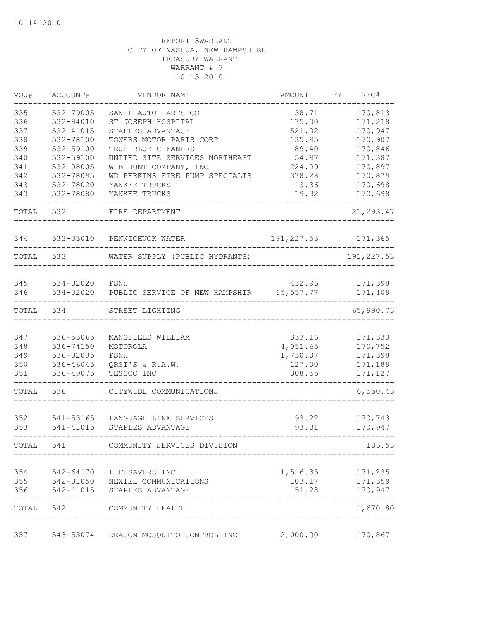| VOU#       | ACCOUNT#               | VENDOR NAME                            | AMOUNT              | FΥ | REG#                      |
|------------|------------------------|----------------------------------------|---------------------|----|---------------------------|
| 335        | 532-79005              | SANEL AUTO PARTS CO                    | 38.71               |    | 170,813                   |
| 336        | 532-94010              | ST JOSEPH HOSPITAL                     | 175.00              |    | 171,218                   |
| 337        | 532-41015              | STAPLES ADVANTAGE                      | 521.02              |    | 170,947                   |
| 338        | 532-78100              | TOWERS MOTOR PARTS CORP                | 135.95              |    | 170,907                   |
| 339        | 532-59100              | TRUE BLUE CLEANERS                     | 89.40               |    | 170,846                   |
| 340        | 532-59100              | UNITED SITE SERVICES NORTHEAST         | 54.97               |    | 171,387                   |
| 341        | 532-98005              | W B HUNT COMPANY, INC                  | 224.99              |    | 170,897                   |
| 342        | 532-78095<br>532-78020 | WD PERKINS FIRE PUMP SPECIALIS         | 378.28<br>13.36     |    | 170,879                   |
| 343<br>343 | 532-78080              | YANKEE TRUCKS<br>YANKEE TRUCKS         | 19.32               |    | 170,698<br>170,698        |
|            |                        |                                        |                     |    |                           |
| TOTAL      | 532                    | FIRE DEPARTMENT                        |                     |    | 21, 293.47                |
| 344        | 533-33010              | PENNICHUCK WATER                       | 191, 227.53         |    | 171,365                   |
| TOTAL      | 533                    | WATER SUPPLY (PUBLIC HYDRANTS)         |                     |    | 191, 227.53               |
|            |                        |                                        |                     |    |                           |
| 345<br>346 | 534-32020<br>534-32020 | PSNH<br>PUBLIC SERVICE OF NEW HAMPSHIR | 432.96<br>65,557.77 |    | 171,398<br>171,409        |
| TOTAL      | 534                    | STREET LIGHTING                        |                     |    | 65,990.73                 |
| 347        | 536-53065              | MANSFIELD WILLIAM                      | 333.16              |    | 171,333                   |
| 348        | 536-74150              | MOTOROLA                               | 4,051.65            |    | 170,752                   |
| 349        | 536-32035              | PSNH                                   | 1,730.07            |    | 171,398                   |
| 350        | 536-46045              | QRST'S & R.A.W.                        | 127.00              |    | 171,189                   |
| 351        | 536-49075              | TESSCO INC                             | 308.55              |    | 171,127                   |
| TOTAL      | 536                    | CITYWIDE COMMUNICATIONS                |                     |    | 6,550.43                  |
| 352        | 541-53165              | LANGUAGE LINE SERVICES                 | 93.22               |    | 170,743                   |
| 353        | 541-41015              | STAPLES ADVANTAGE                      | 93.31               |    | 170,947                   |
| TOTAL      | 541                    | COMMUNITY SERVICES DIVISION            |                     |    | 186.53                    |
| 354        | 542-64170              | LIFESAVERS INC                         | 1,516.35            |    | 171,235                   |
| 355        |                        | 542-31050 NEXTEL COMMUNICATIONS        | 103.17              |    | 171,359                   |
| 356        |                        | 542-41015 STAPLES ADVANTAGE            | 51.28               |    | 170,947                   |
| TOTAL 542  |                        | COMMUNITY HEALTH                       |                     |    | $\frac{1}{2}$<br>1,670.80 |
| 357        | 543-53074              | DRAGON MOSQUITO CONTROL INC            | 2,000.00            |    | 170,867                   |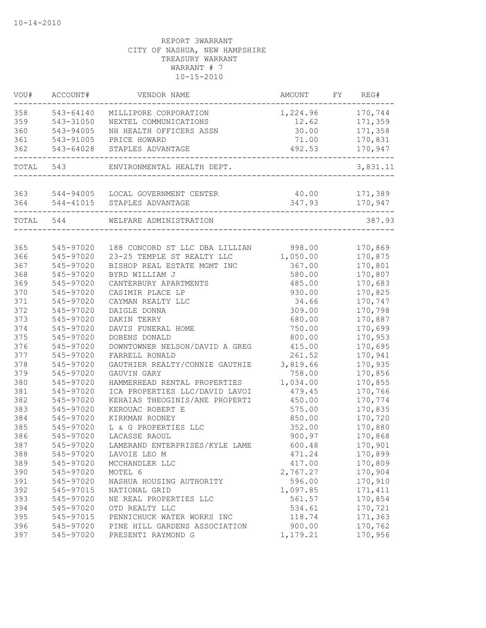| VOU#       | ACCOUNT#  | VENDOR NAME                                            | AMOUNT                    | FY | REG#               |
|------------|-----------|--------------------------------------------------------|---------------------------|----|--------------------|
| 358        | 543-64140 | MILLIPORE CORPORATION                                  | 1,224.96 170,744          |    |                    |
| 359        | 543-31050 | NEXTEL COMMUNICATIONS                                  | 12.62                     |    | 171,359            |
| 360        | 543-94005 | NH HEALTH OFFICERS ASSN                                | 30.00                     |    | 171,358            |
| 361        | 543-91005 | PRICE HOWARD                                           | 71.00                     |    | 170,831            |
| 362        | 543-64028 | STAPLES ADVANTAGE<br>_________________________________ | 492.53<br>_______________ |    | 170,947            |
|            | TOTAL 543 | ENVIRONMENTAL HEALTH DEPT.                             |                           |    | 3,831.11           |
| 363        |           | 544-94005 LOCAL GOVERNMENT CENTER                      | 40.00                     |    | 171,389            |
|            |           | 364 544-41015 STAPLES ADVANTAGE                        | 347.93                    |    | 170,947            |
|            |           |                                                        |                           |    |                    |
| TOTAL 544  |           | WELFARE ADMINISTRATION                                 |                           |    | 387.93             |
| 365        | 545-97020 | 188 CONCORD ST LLC DBA LILLIAN                         | 998.00                    |    | 170,869            |
| 366        | 545-97020 | 23-25 TEMPLE ST REALTY LLC                             | 1,050.00                  |    | 170,875            |
| 367        | 545-97020 | BISHOP REAL ESTATE MGMT INC                            | 367.00                    |    | 170,801            |
| 368        | 545-97020 | BYRD WILLIAM J                                         | 580.00                    |    | 170,807            |
| 369        | 545-97020 | CANTERBURY APARTMENTS                                  | 485.00                    |    | 170,683            |
| 370        | 545-97020 | CASIMIR PLACE LP                                       | 930.00                    |    | 170,825            |
| 371        | 545-97020 | CAYMAN REALTY LLC                                      | 34.66                     |    | 170,747            |
| 372        | 545-97020 | DAIGLE DONNA                                           | 309.00                    |    | 170,798            |
| 373        | 545-97020 | DAKIN TERRY                                            | 680.00                    |    | 170,887            |
| 374        | 545-97020 | DAVIS FUNERAL HOME                                     | 750.00                    |    | 170,699            |
| 375        | 545-97020 | DOBENS DONALD                                          | 800.00                    |    | 170,953            |
| 376        | 545-97020 | DOWNTOWNER NELSON/DAVID A GREG                         | 415.00                    |    | 170,695            |
| 377        | 545-97020 | FARRELL RONALD                                         | 261.52                    |    | 170,941            |
| 378        | 545-97020 | GAUTHIER REALTY/CONNIE GAUTHIE                         | 3,819.66                  |    | 170,935            |
| 379        | 545-97020 | GAUVIN GARY                                            | 758.00                    |    | 170,856            |
| 380        | 545-97020 | HAMMERHEAD RENTAL PROPERTIES                           | 1,034.00                  |    | 170,855            |
| 381        | 545-97020 | ICA PROPERTIES LLC/DAVID LAVOI                         | 479.45                    |    | 170,766            |
| 382        | 545-97020 | KEHAIAS THEOGINIS/ANE PROPERTI                         | 450.00                    |    | 170,774            |
| 383        | 545-97020 | KEROUAC ROBERT E                                       | 575.00                    |    | 170,835            |
| 384        | 545-97020 | KIRKMAN RODNEY                                         | 850.00                    |    | 170,720            |
| 385        | 545-97020 | L & G PROPERTIES LLC                                   | 352.00                    |    | 170,880            |
| 386        | 545-97020 | LACASSE RAOUL                                          | 900.97                    |    | 170,868            |
| 387        | 545-97020 | LAMERAND ENTERPRISES/KYLE LAME                         | 600.48                    |    | 170,901            |
| 388        | 545-97020 | LAVOIE LEO M                                           | 471.24                    |    |                    |
| 389        | 545-97020 |                                                        | 417.00                    |    | 170,899            |
|            | 545-97020 | MCCHANDLER LLC                                         |                           |    | 170,809            |
| 390<br>391 | 545-97020 | MOTEL 6<br>NASHUA HOUSING AUTHORITY                    | 2,767.27<br>596.00        |    | 170,904<br>170,910 |
|            |           |                                                        |                           |    |                    |
| 392        | 545-97015 | NATIONAL GRID                                          | 1,097.85                  |    | 171, 411           |
| 393        | 545-97020 | NE REAL PROPERTIES LLC                                 | 561.57                    |    | 170,854            |
| 394        | 545-97020 | OTD REALTY LLC                                         | 534.61                    |    | 170,721            |
| 395        | 545-97015 | PENNICHUCK WATER WORKS INC                             | 118.74                    |    | 171,363            |
| 396        | 545-97020 | PINE HILL GARDENS ASSOCIATION                          | 900.00                    |    | 170,762            |
| 397        | 545-97020 | PRESENTI RAYMOND G                                     | 1,179.21                  |    | 170,956            |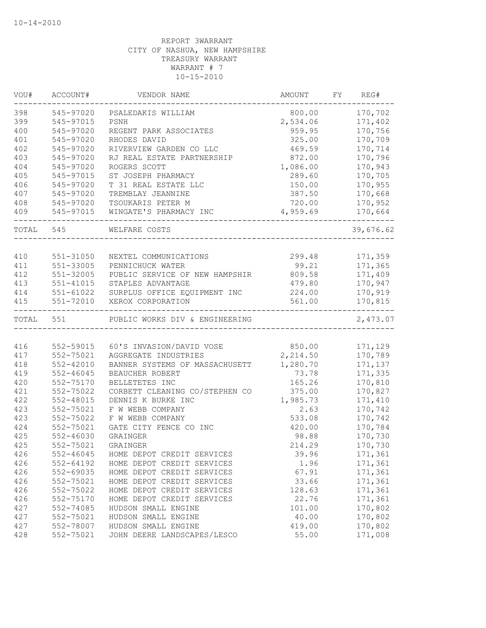| VOU#       | ACCOUNT#                       | VENDOR NAME                                      | AMOUNT          | FY | REG#               |
|------------|--------------------------------|--------------------------------------------------|-----------------|----|--------------------|
| 398        | 545-97020                      | PSALEDAKIS WILLIAM                               | 800.00          |    | 170,702            |
| 399        | 545-97015                      | PSNH                                             | 2,534.06        |    | 171,402            |
| 400        | 545-97020                      | REGENT PARK ASSOCIATES                           | 959.95          |    | 170,756            |
| 401        | 545-97020                      | RHODES DAVID                                     | 325.00          |    | 170,709            |
| 402        | 545-97020                      | RIVERVIEW GARDEN CO LLC                          | 469.59          |    | 170,714            |
| 403        | 545-97020                      | RJ REAL ESTATE PARTNERSHIP                       | 872.00          |    | 170,796            |
| 404        | 545-97020                      | ROGERS SCOTT                                     | 1,086.00        |    | 170,943            |
| 405        | 545-97015                      | ST JOSEPH PHARMACY                               | 289.60          |    | 170,705            |
| 406        | 545-97020                      | T 31 REAL ESTATE LLC                             | 150.00          |    | 170,955            |
| 407        | 545-97020                      | TREMBLAY JEANNINE                                | 387.50          |    | 170,668            |
| 408        | 545-97020                      | TSOUKARIS PETER M                                | 720.00          |    | 170,952            |
| 409        | 545-97015                      | WINGATE'S PHARMACY INC                           | 4,959.69        |    | 170,664            |
| TOTAL 545  |                                | WELFARE COSTS                                    |                 |    | 39,676.62          |
|            |                                |                                                  |                 |    |                    |
| 410        | 551-31050                      | NEXTEL COMMUNICATIONS                            | 299.48          |    | 171,359            |
| 411        | 551-33005                      | PENNICHUCK WATER                                 | 99.21           |    | 171,365            |
| 412        | 551-32005                      | PUBLIC SERVICE OF NEW HAMPSHIR                   | 809.58          |    | 171,409            |
| 413        | 551-41015                      | STAPLES ADVANTAGE                                | 479.80          |    | 170,947            |
| 414        | 551-61022                      | SURPLUS OFFICE EQUIPMENT INC                     | 224.00          |    | 170,919            |
| 415        | 551-72010                      | XEROX CORPORATION                                | 561.00          |    | 170,815            |
| TOTAL      | 551                            | PUBLIC WORKS DIV & ENGINEERING                   |                 |    | 2,473.07           |
|            |                                |                                                  |                 |    |                    |
| 416        | 552-59015                      | 60'S INVASION/DAVID VOSE                         | 850.00          |    | 171,129            |
| 417        | 552-75021                      | AGGREGATE INDUSTRIES                             | 2,214.50        |    | 170,789            |
| 418        | 552-42010                      | BANNER SYSTEMS OF MASSACHUSETT                   | 1,280.70        |    | 171,137            |
| 419<br>420 | $552 - 46045$                  | BEAUCHER ROBERT                                  | 73.78<br>165.26 |    | 171,335            |
| 421        | 552-75170<br>552-75022         | BELLETETES INC<br>CORBETT CLEANING CO/STEPHEN CO | 375.00          |    | 170,810<br>170,827 |
| 422        | 552-48015                      | DENNIS K BURKE INC                               | 1,985.73        |    | 171,410            |
| 423        | 552-75021                      | F W WEBB COMPANY                                 | 2.63            |    | 170,742            |
| 423        | 552-75022                      | F W WEBB COMPANY                                 | 533.08          |    | 170,742            |
| 424        | 552-75021                      | GATE CITY FENCE CO INC                           | 420.00          |    | 170,784            |
| 425        | 552-46030                      | <b>GRAINGER</b>                                  | 98.88           |    | 170,730            |
| 425        | 552-75021                      | GRAINGER                                         | 214.29          |    | 170,730            |
|            |                                | HOME DEPOT CREDIT SERVICES                       |                 |    |                    |
| 426<br>426 | $552 - 46045$<br>$552 - 64192$ | HOME DEPOT CREDIT SERVICES                       | 39.96<br>1.96   |    | 171,361<br>171,361 |
| 426        | 552-69035                      | HOME DEPOT CREDIT SERVICES                       | 67.91           |    | 171,361            |
| 426        | 552-75021                      | HOME DEPOT CREDIT SERVICES                       | 33.66           |    | 171,361            |
| 426        | 552-75022                      | HOME DEPOT CREDIT SERVICES                       | 128.63          |    | 171,361            |
|            |                                | HOME DEPOT CREDIT SERVICES                       | 22.76           |    |                    |
| 426        | 552-75170                      | HUDSON SMALL ENGINE                              |                 |    | 171,361<br>170,802 |
| 427        | 552-74085                      |                                                  | 101.00          |    | 170,802            |
| 427<br>427 | 552-75021<br>552-78007         | HUDSON SMALL ENGINE<br>HUDSON SMALL ENGINE       | 40.00<br>419.00 |    | 170,802            |
| 428        | 552-75021                      | JOHN DEERE LANDSCAPES/LESCO                      | 55.00           |    | 171,008            |
|            |                                |                                                  |                 |    |                    |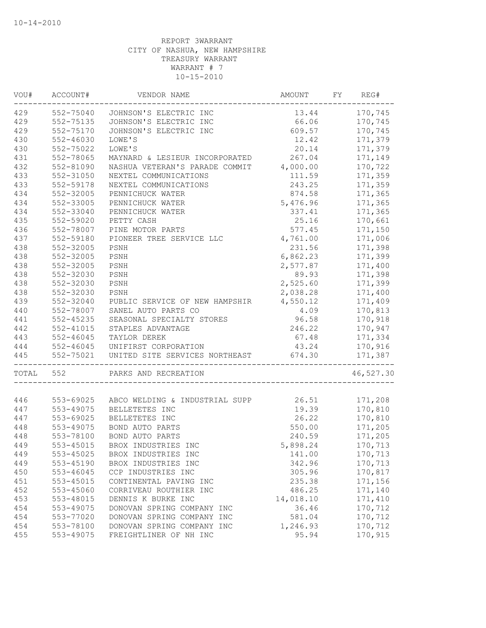| VOU#  | ACCOUNT#      | VENDOR NAME                    | AMOUNT    | FY. | REG#      |
|-------|---------------|--------------------------------|-----------|-----|-----------|
| 429   | 552-75040     | JOHNSON'S ELECTRIC INC         | 13.44     |     | 170,745   |
| 429   | 552-75135     | JOHNSON'S ELECTRIC INC         | 66.06     |     | 170,745   |
| 429   | 552-75170     | JOHNSON'S ELECTRIC INC         | 609.57    |     | 170,745   |
| 430   | $552 - 46030$ | LOWE'S                         | 12.42     |     | 171,379   |
| 430   | 552-75022     | LOWE'S                         | 20.14     |     | 171,379   |
| 431   | 552-78065     | MAYNARD & LESIEUR INCORPORATED | 267.04    |     | 171,149   |
| 432   | 552-81090     | NASHUA VETERAN'S PARADE COMMIT | 4,000.00  |     | 170,722   |
| 433   | 552-31050     | NEXTEL COMMUNICATIONS          | 111.59    |     | 171,359   |
| 433   | 552-59178     | NEXTEL COMMUNICATIONS          | 243.25    |     | 171,359   |
| 434   | 552-32005     | PENNICHUCK WATER               | 874.58    |     | 171,365   |
| 434   | 552-33005     | PENNICHUCK WATER               | 5,476.96  |     | 171,365   |
| 434   | 552-33040     | PENNICHUCK WATER               | 337.41    |     | 171,365   |
| 435   | 552-59020     | PETTY CASH                     | 25.16     |     | 170,661   |
| 436   | 552-78007     | PINE MOTOR PARTS               | 577.45    |     | 171,150   |
| 437   | 552-59180     | PIONEER TREE SERVICE LLC       | 4,761.00  |     | 171,006   |
| 438   | 552-32005     | PSNH                           | 231.56    |     | 171,398   |
| 438   | 552-32005     | PSNH                           | 6,862.23  |     | 171,399   |
| 438   | 552-32005     | PSNH                           | 2,577.87  |     | 171,400   |
| 438   | 552-32030     | PSNH                           | 89.93     |     | 171,398   |
| 438   | 552-32030     | PSNH                           | 2,525.60  |     | 171,399   |
| 438   | 552-32030     | PSNH                           | 2,038.28  |     | 171,400   |
| 439   | 552-32040     | PUBLIC SERVICE OF NEW HAMPSHIR | 4,550.12  |     | 171,409   |
| 440   | 552-78007     | SANEL AUTO PARTS CO            | 4.09      |     | 170,813   |
| 441   | $552 - 45235$ | SEASONAL SPECIALTY STORES      | 96.58     |     | 170,918   |
| 442   | 552-41015     | STAPLES ADVANTAGE              | 246.22    |     | 170,947   |
| 443   | 552-46045     | TAYLOR DEREK                   | 67.48     |     | 171,334   |
| 444   | 552-46045     | UNIFIRST CORPORATION           | 43.24     |     | 170,916   |
| 445   | 552-75021     | UNITED SITE SERVICES NORTHEAST | 674.30    |     | 171,387   |
| TOTAL | 552           | PARKS AND RECREATION           |           |     | 46,527.30 |
|       |               |                                |           |     |           |
| 446   | 553-69025     | ABCO WELDING & INDUSTRIAL SUPP | 26.51     |     | 171,208   |
| 447   | 553-49075     | BELLETETES INC                 | 19.39     |     | 170,810   |
| 447   | 553-69025     | BELLETETES INC                 | 26.22     |     | 170,810   |
| 448   | 553-49075     | BOND AUTO PARTS                | 550.00    |     | 171,205   |
| 448   | 553-78100     | BOND AUTO PARTS                | 240.59    |     | 171,205   |
| 449   | 553-45015     | BROX INDUSTRIES INC            | 5,898.24  |     | 170,713   |
| 449   | 553-45025     | BROX INDUSTRIES INC            | 141.00    |     | 170,713   |
| 449   | 553-45190     | BROX INDUSTRIES INC            | 342.96    |     | 170,713   |
| 450   | 553-46045     | CCP INDUSTRIES INC             | 305.96    |     | 170,817   |
| 451   | 553-45015     | CONTINENTAL PAVING INC         | 235.38    |     | 171,156   |
| 452   | 553-45060     | CORRIVEAU ROUTHIER INC         | 486.25    |     | 171,140   |
| 453   | 553-48015     | DENNIS K BURKE INC             | 14,018.10 |     | 171,410   |
| 454   | 553-49075     | DONOVAN SPRING COMPANY INC     | 36.46     |     | 170,712   |
| 454   | 553-77020     | DONOVAN SPRING COMPANY INC     | 581.04    |     | 170,712   |
| 454   | 553-78100     | DONOVAN SPRING COMPANY INC     | 1,246.93  |     | 170,712   |
| 455   | 553-49075     | FREIGHTLINER OF NH INC         | 95.94     |     | 170,915   |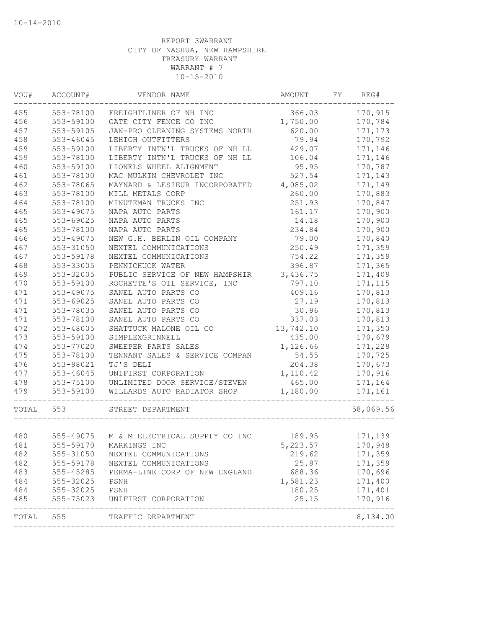| VOU#      | ACCOUNT#                            | VENDOR NAME                              | AMOUNT    | FY | REG#      |
|-----------|-------------------------------------|------------------------------------------|-----------|----|-----------|
| 455       | 553-78100                           | FREIGHTLINER OF NH INC                   | 366.03    |    | 170,915   |
| 456       | 553-59100                           | GATE CITY FENCE CO INC                   | 1,750.00  |    | 170,784   |
| 457       | 553-59105                           | JAN-PRO CLEANING SYSTEMS NORTH           | 620.00    |    | 171,173   |
| 458       | $553 - 46045$                       | LEHIGH OUTFITTERS                        | 79.94     |    | 170,792   |
| 459       | 553-59100                           | LIBERTY INTN'L TRUCKS OF NH LL           | 429.07    |    | 171,146   |
| 459       | 553-78100                           | LIBERTY INTN'L TRUCKS OF NH LL           | 106.04    |    | 171,146   |
| 460       | 553-59100                           | LIONELS WHEEL ALIGNMENT                  | 95.95     |    | 170,787   |
| 461       | 553-78100                           | MAC MULKIN CHEVROLET INC                 | 527.54    |    | 171,143   |
| 462       | 553-78065                           | MAYNARD & LESIEUR INCORPORATED           | 4,085.02  |    | 171,149   |
| 463       | 553-78100                           | MILL METALS CORP                         | 260.00    |    | 170,883   |
| 464       | 553-78100                           | MINUTEMAN TRUCKS INC                     | 251.93    |    | 170,847   |
| 465       | 553-49075                           | NAPA AUTO PARTS                          | 161.17    |    | 170,900   |
| 465       | 553-69025                           | NAPA AUTO PARTS                          | 14.18     |    | 170,900   |
| 465       | 553-78100                           | NAPA AUTO PARTS                          | 234.84    |    | 170,900   |
| 466       | 553-49075                           | NEW G.H. BERLIN OIL COMPANY              | 79.00     |    | 170,840   |
| 467       | 553-31050                           | NEXTEL COMMUNICATIONS                    | 250.49    |    | 171,359   |
| 467       | 553-59178                           | NEXTEL COMMUNICATIONS                    | 754.22    |    | 171,359   |
| 468       | 553-33005                           | PENNICHUCK WATER                         | 396.87    |    | 171,365   |
| 469       | 553-32005                           | PUBLIC SERVICE OF NEW HAMPSHIR           | 3,436.75  |    | 171,409   |
| 470       | 553-59100                           | ROCHETTE'S OIL SERVICE, INC              | 797.10    |    | 171, 115  |
| 471       | 553-49075                           | SANEL AUTO PARTS CO                      | 409.16    |    | 170,813   |
| 471       | 553-69025                           | SANEL AUTO PARTS CO                      | 27.19     |    | 170,813   |
| 471       | 553-78035                           | SANEL AUTO PARTS CO                      | 30.96     |    | 170,813   |
| 471       | 553-78100                           | SANEL AUTO PARTS CO                      | 337.03    |    | 170,813   |
| 472       | 553-48005                           | SHATTUCK MALONE OIL CO                   | 13,742.10 |    | 171,350   |
| 473       | 553-59100                           | SIMPLEXGRINNELL                          | 435.00    |    | 170,679   |
| 474       | 553-77020                           | SWEEPER PARTS SALES                      | 1,126.66  |    | 171,228   |
| 475       | 553-78100                           | TENNANT SALES & SERVICE COMPAN           | 54.55     |    | 170,725   |
| 476       | 553-98021                           | TJ'S DELI                                | 204.38    |    | 170,673   |
| 477       | 553-46045                           | UNIFIRST CORPORATION                     | 1,110.42  |    | 170,916   |
| 478       | 553-75100                           | UNLIMITED DOOR SERVICE/STEVEN            | 465.00    |    | 171,164   |
| 479       | 553-59100                           | WILLARDS AUTO RADIATOR SHOP              | 1,180.00  |    | 171,161   |
| TOTAL     | 553                                 | STREET DEPARTMENT                        |           |    | 58,069.56 |
| 480       |                                     | 555-49075 M & M ELECTRICAL SUPPLY CO INC | 189.95    |    | 171,139   |
| 481       |                                     | 555-59170 MARKINGS INC                   | 5, 223.57 |    | 170,948   |
| 482       | 555-31050                           | NEXTEL COMMUNICATIONS                    | 219.62    |    | 171,359   |
| 482       | 555-59178                           | NEXTEL COMMUNICATIONS                    | 25.87     |    | 171,359   |
| 483       | 555-45285                           | PERMA-LINE CORP OF NEW ENGLAND           | 688.36    |    | 170,696   |
| 484       |                                     | PSNH                                     | 1,581.23  |    | 171,400   |
| 484       |                                     | PSNH                                     | 180.25    |    | 171,401   |
| 485       | 555-32025<br>555-32025<br>555-75023 | UNIFIRST CORPORATION                     | 25.15     |    | 170,916   |
| TOTAL 555 |                                     | TRAFFIC DEPARTMENT                       |           |    | 8,134.00  |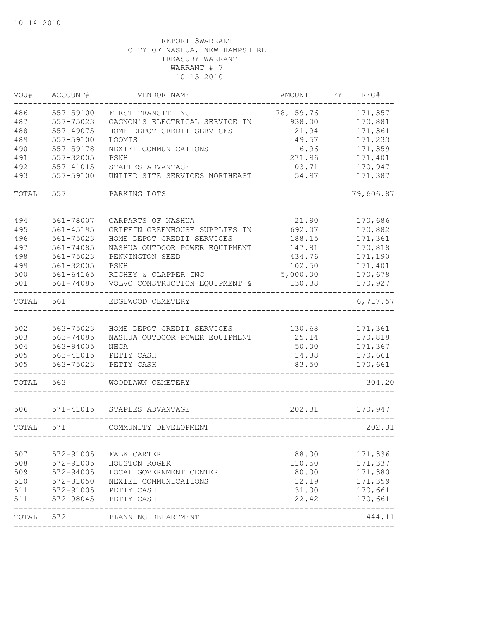| VOU#  | ACCOUNT#      | VENDOR NAME                    | AMOUNT    | FΥ | REG#      |
|-------|---------------|--------------------------------|-----------|----|-----------|
| 486   | 557-59100     | FIRST TRANSIT INC              | 78,159.76 |    | 171,357   |
| 487   | 557-75023     | GAGNON'S ELECTRICAL SERVICE IN | 938.00    |    | 170,881   |
| 488   | 557-49075     | HOME DEPOT CREDIT SERVICES     | 21.94     |    | 171,361   |
| 489   | 557-59100     | LOOMIS                         | 49.57     |    | 171,233   |
| 490   | 557-59178     | NEXTEL COMMUNICATIONS          | 6.96      |    | 171,359   |
| 491   | 557-32005     | PSNH                           | 271.96    |    | 171,401   |
| 492   | 557-41015     | STAPLES ADVANTAGE              | 103.71    |    | 170,947   |
| 493   | 557-59100     | UNITED SITE SERVICES NORTHEAST | 54.97     |    | 171,387   |
| TOTAL | 557           | PARKING LOTS                   |           |    | 79,606.87 |
|       |               |                                |           |    |           |
| 494   | 561-78007     | CARPARTS OF NASHUA             | 21.90     |    | 170,686   |
| 495   | 561-45195     | GRIFFIN GREENHOUSE SUPPLIES IN | 692.07    |    | 170,882   |
| 496   | 561-75023     | HOME DEPOT CREDIT SERVICES     | 188.15    |    | 171,361   |
| 497   | 561-74085     | NASHUA OUTDOOR POWER EQUIPMENT | 147.81    |    | 170,818   |
| 498   | 561-75023     | PENNINGTON SEED                | 434.76    |    | 171,190   |
| 499   | 561-32005     | PSNH                           | 102.50    |    | 171,401   |
| 500   | 561-64165     | RICHEY & CLAPPER INC           | 5,000.00  |    | 170,678   |
| 501   | 561-74085     | VOLVO CONSTRUCTION EQUIPMENT & | 130.38    |    | 170,927   |
| TOTAL | 561           | EDGEWOOD CEMETERY              |           |    | 6,717.57  |
|       |               |                                |           |    |           |
| 502   | 563-75023     | HOME DEPOT CREDIT SERVICES     | 130.68    |    | 171,361   |
| 503   | 563-74085     | NASHUA OUTDOOR POWER EQUIPMENT | 25.14     |    | 170,818   |
| 504   | 563-94005     | NHCA                           | 50.00     |    | 171,367   |
| 505   | 563-41015     | PETTY CASH                     | 14.88     |    | 170,661   |
| 505   | 563-75023     | PETTY CASH                     | 83.50     |    | 170,661   |
| TOTAL | 563           | WOODLAWN CEMETERY              |           |    | 304.20    |
|       |               |                                |           |    |           |
| 506   | $571 - 41015$ | STAPLES ADVANTAGE              | 202.31    |    | 170,947   |
| TOTAL | 571           | COMMUNITY DEVELOPMENT          |           |    | 202.31    |
| 507   | 572-91005     | FALK CARTER                    | 88.00     |    | 171,336   |
| 508   | 572-91005     | HOUSTON ROGER                  | 110.50    |    | 171,337   |
| 509   | 572-94005     | LOCAL GOVERNMENT CENTER        | 80.00     |    | 171,380   |
| 510   | 572-31050     | NEXTEL COMMUNICATIONS          | 12.19     |    | 171,359   |
| 511   | 572-91005     | PETTY CASH                     | 131.00    |    | 170,661   |
| 511   | 572-98045     | PETTY CASH                     | 22.42     |    | 170,661   |
| TOTAL | 572           | PLANNING DEPARTMENT            |           |    | 444.11    |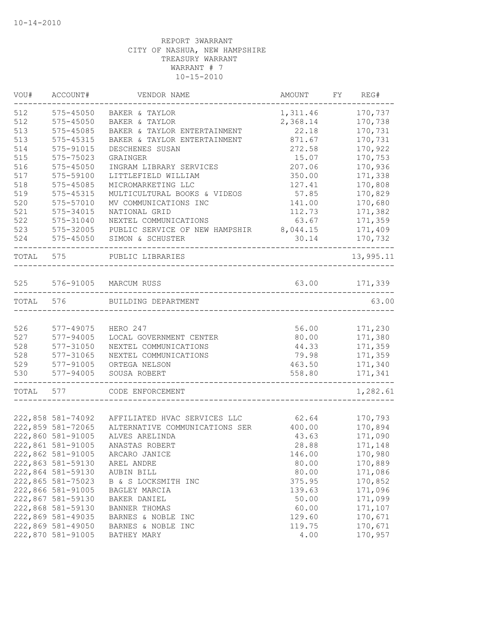| VOU#  | ACCOUNT#          | VENDOR NAME                    | AMOUNT   | FY | REG#      |
|-------|-------------------|--------------------------------|----------|----|-----------|
| 512   | 575-45050         | BAKER & TAYLOR                 | 1,311.46 |    | 170,737   |
| 512   | $575 - 45050$     | BAKER & TAYLOR                 | 2,368.14 |    | 170,738   |
| 513   | 575-45085         | BAKER & TAYLOR ENTERTAINMENT   | 22.18    |    | 170,731   |
| 513   | 575-45315         | BAKER & TAYLOR ENTERTAINMENT   | 871.67   |    | 170,731   |
| 514   | 575-91015         | DESCHENES SUSAN                | 272.58   |    | 170,922   |
| 515   | 575-75023         | GRAINGER                       | 15.07    |    | 170,753   |
| 516   | 575-45050         | INGRAM LIBRARY SERVICES        | 207.06   |    | 170,936   |
| 517   | 575-59100         | LITTLEFIELD WILLIAM            | 350.00   |    | 171,338   |
| 518   | 575-45085         | MICROMARKETING LLC             | 127.41   |    | 170,808   |
| 519   | $575 - 45315$     | MULTICULTURAL BOOKS & VIDEOS   | 57.85    |    | 170,829   |
| 520   | 575-57010         | MV COMMUNICATIONS INC          | 141.00   |    | 170,680   |
| 521   | 575-34015         | NATIONAL GRID                  | 112.73   |    | 171,382   |
| 522   | 575-31040         | NEXTEL COMMUNICATIONS          | 63.67    |    | 171,359   |
| 523   | 575-32005         | PUBLIC SERVICE OF NEW HAMPSHIR | 8,044.15 |    | 171,409   |
| 524   | 575-45050         | SIMON & SCHUSTER               | 30.14    |    | 170,732   |
| TOTAL | 575               | PUBLIC LIBRARIES               |          |    | 13,995.11 |
| 525   |                   | 576-91005 MARCUM RUSS          | 63.00    |    | 171,339   |
| TOTAL | 576               | BUILDING DEPARTMENT            |          |    | 63.00     |
|       |                   |                                |          |    |           |
| 526   | 577-49075         | HERO 247                       | 56.00    |    | 171,230   |
| 527   | 577-94005         | LOCAL GOVERNMENT CENTER        | 80.00    |    | 171,380   |
| 528   | 577-31050         | NEXTEL COMMUNICATIONS          | 44.33    |    | 171,359   |
| 528   | 577-31065         | NEXTEL COMMUNICATIONS          | 79.98    |    | 171,359   |
| 529   | 577-91005         | ORTEGA NELSON                  | 463.50   |    | 171,340   |
| 530   | 577-94005         | SOUSA ROBERT                   | 558.80   |    | 171,341   |
| TOTAL | 577               | CODE ENFORCEMENT               |          |    | 1,282.61  |
|       |                   |                                |          |    |           |
|       | 222,858 581-74092 | AFFILIATED HVAC SERVICES LLC   | 62.64    |    | 170,793   |
|       | 222,859 581-72065 | ALTERNATIVE COMMUNICATIONS SER | 400.00   |    | 170,894   |
|       | 222,860 581-91005 | ALVES ARELINDA                 | 43.63    |    | 171,090   |
|       | 222,861 581-91005 | ANASTAS ROBERT                 | 28.88    |    | 171,148   |
|       | 222,862 581-91005 | ARCARO JANICE                  | 146.00   |    | 170,980   |
|       | 222,863 581-59130 | AREL ANDRE                     | 80.00    |    | 170,889   |
|       | 222,864 581-59130 | AUBIN BILL                     | 80.00    |    | 171,086   |
|       | 222,865 581-75023 | B & S LOCKSMITH INC            | 375.95   |    | 170,852   |
|       | 222,866 581-91005 | BAGLEY MARCIA                  | 139.63   |    | 171,096   |
|       | 222,867 581-59130 | BAKER DANIEL                   | 50.00    |    | 171,099   |
|       | 222,868 581-59130 | <b>BANNER THOMAS</b>           | 60.00    |    | 171,107   |
|       | 222,869 581-49035 | BARNES & NOBLE INC             | 129.60   |    | 170,671   |
|       | 222,869 581-49050 | BARNES & NOBLE INC             | 119.75   |    | 170,671   |
|       | 222,870 581-91005 | BATHEY MARY                    | 4.00     |    | 170,957   |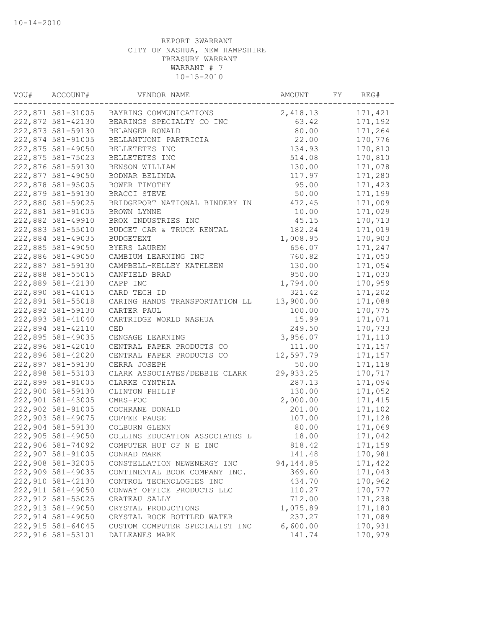| VOU# | ACCOUNT#                               | VENDOR NAME                    | AMOUNT     | FY | REG#     |
|------|----------------------------------------|--------------------------------|------------|----|----------|
|      | 222,871 581-31005                      | BAYRING COMMUNICATIONS         | 2,418.13   |    | 171,421  |
|      | 222,872 581-42130                      | BEARINGS SPECIALTY CO INC      | 63.42      |    | 171,192  |
|      | 222,873 581-59130                      | BELANGER RONALD                | 80.00      |    | 171,264  |
|      | 222,874 581-91005                      | BELLANTUONI PARTRICIA          | 22.00      |    | 170,776  |
|      | 222,875 581-49050                      | BELLETETES INC                 | 134.93     |    | 170,810  |
|      | 222,875 581-75023                      | BELLETETES INC                 | 514.08     |    | 170,810  |
|      | 222,876 581-59130                      | BENSON WILLIAM                 | 130.00     |    | 171,078  |
|      | 222,877 581-49050                      | BODNAR BELINDA                 | 117.97     |    | 171,280  |
|      | 222,878 581-95005                      | BOWER TIMOTHY                  | 95.00      |    | 171,423  |
|      | 222,879 581-59130                      | BRACCI STEVE                   | 50.00      |    | 171,199  |
|      | 222,880 581-59025                      | BRIDGEPORT NATIONAL BINDERY IN | 472.45     |    | 171,009  |
|      | 222,881 581-91005                      | BROWN LYNNE                    | 10.00      |    | 171,029  |
|      | 222,882 581-49910                      | BROX INDUSTRIES INC            | 45.15      |    | 170,713  |
|      | 222,883 581-55010                      | BUDGET CAR & TRUCK RENTAL      | 182.24     |    | 171,019  |
|      | 222,884 581-49035                      | <b>BUDGETEXT</b>               | 1,008.95   |    | 170,903  |
|      | 222,885 581-49050                      | BYERS LAUREN                   | 656.07     |    | 171,247  |
|      | 222,886 581-49050                      | CAMBIUM LEARNING INC           | 760.82     |    | 171,050  |
|      | 222,887 581-59130                      | CAMPBELL-KELLEY KATHLEEN       | 130.00     |    | 171,054  |
|      | 222,888 581-55015                      | CANFIELD BRAD                  | 950.00     |    | 171,030  |
|      | 222,889 581-42130                      | CAPP INC                       | 1,794.00   |    | 170,959  |
|      | 222,890 581-41015                      | CARD TECH ID                   | 321.42     |    | 171,202  |
|      | 222,891 581-55018                      | CARING HANDS TRANSPORTATION LL | 13,900.00  |    | 171,088  |
|      | 222,892 581-59130                      | CARTER PAUL                    | 100.00     |    | 170,775  |
|      | 222,893 581-41040                      | CARTRIDGE WORLD NASHUA         | 15.99      |    | 171,071  |
|      | 222,894 581-42110                      | CED                            | 249.50     |    | 170,733  |
|      | 222,895 581-49035                      | CENGAGE LEARNING               | 3,956.07   |    | 171,110  |
|      | 222,896 581-42010                      | CENTRAL PAPER PRODUCTS CO      | 111.00     |    | 171,157  |
|      | 222,896 581-42020                      | CENTRAL PAPER PRODUCTS CO      | 12,597.79  |    | 171,157  |
|      | 222,897 581-59130                      | CERRA JOSEPH                   | 50.00      |    | 171,118  |
|      | 222,898 581-53103                      | CLARK ASSOCIATES/DEBBIE CLARK  | 29,933.25  |    | 170,717  |
|      | 222,899 581-91005                      | CLARKE CYNTHIA                 | 287.13     |    | 171,094  |
|      | 222,900 581-59130                      | CLINTON PHILIP                 | 130.00     |    | 171,052  |
|      | 222,901 581-43005                      | CMRS-POC                       | 2,000.00   |    | 171, 415 |
|      | 222,902 581-91005                      | COCHRANE DONALD                | 201.00     |    | 171,102  |
|      | 222,903 581-49075                      |                                |            |    |          |
|      |                                        | COFFEE PAUSE                   | 107.00     |    | 171,128  |
|      | 222,904 581-59130<br>222,905 581-49050 | COLBURN GLENN                  | 80.00      |    | 171,069  |
|      |                                        | COLLINS EDUCATION ASSOCIATES L | 18.00      |    | 171,042  |
|      | 222,906 581-74092                      | COMPUTER HUT OF N E INC        | 818.42     |    | 171,159  |
|      | 222,907 581-91005                      | CONRAD MARK                    | 141.48     |    | 170,981  |
|      | 222,908 581-32005                      | CONSTELLATION NEWENERGY INC    | 94, 144.85 |    | 171,422  |
|      | 222,909 581-49035                      | CONTINENTAL BOOK COMPANY INC.  | 369.60     |    | 171,043  |
|      | 222,910 581-42130                      | CONTROL TECHNOLOGIES INC       | 434.70     |    | 170,962  |
|      | 222, 911 581-49050                     | CONWAY OFFICE PRODUCTS LLC     | 110.27     |    | 170,777  |
|      | 222, 912 581-55025                     | CRATEAU SALLY                  | 712.00     |    | 171,238  |
|      | 222, 913 581-49050                     | CRYSTAL PRODUCTIONS            | 1,075.89   |    | 171,180  |
|      | 222, 914 581-49050                     | CRYSTAL ROCK BOTTLED WATER     | 237.27     |    | 171,089  |
|      | 222, 915 581-64045                     | CUSTOM COMPUTER SPECIALIST INC | 6,600.00   |    | 170,931  |
|      | 222,916 581-53101                      | DAILEANES MARK                 | 141.74     |    | 170,979  |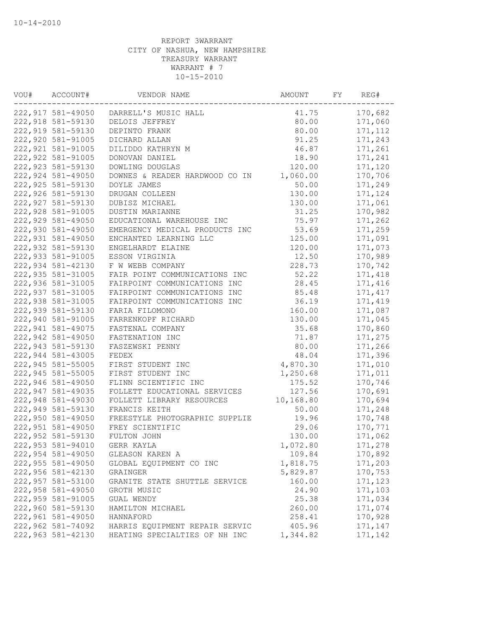| VOU# | ACCOUNT#<br>VENDOR NAME |                                        | AMOUNT    | FY | REG#     |
|------|-------------------------|----------------------------------------|-----------|----|----------|
|      |                         | 222,917 581-49050 DARRELL'S MUSIC HALL | 41.75     |    | 170,682  |
|      | 222,918 581-59130       | DELOIS JEFFREY                         | 80.00     |    | 171,060  |
|      | 222,919 581-59130       | DEPINTO FRANK                          | 80.00     |    | 171, 112 |
|      | 222,920 581-91005       | DICHARD ALLAN                          | 91.25     |    | 171,243  |
|      | 222, 921 581-91005      | DILIDDO KATHRYN M                      | 46.87     |    | 171,261  |
|      | 222, 922 581-91005      | DONOVAN DANIEL                         | 18.90     |    | 171,241  |
|      | 222, 923 581-59130      | DOWLING DOUGLAS                        | 120.00    |    | 171,120  |
|      | 222,924 581-49050       | DOWNES & READER HARDWOOD CO IN         | 1,060.00  |    | 170,706  |
|      | 222,925 581-59130       | DOYLE JAMES                            | 50.00     |    | 171,249  |
|      | 222,926 581-59130       | DRUGAN COLLEEN                         | 130.00    |    | 171,124  |
|      | 222,927 581-59130       | DUBISZ MICHAEL                         | 130.00    |    | 171,061  |
|      | 222,928 581-91005       | DUSTIN MARIANNE                        | 31.25     |    | 170,982  |
|      | 222,929 581-49050       | EDUCATIONAL WAREHOUSE INC              | 75.97     |    | 171,262  |
|      | 222,930 581-49050       | EMERGENCY MEDICAL PRODUCTS INC         | 53.69     |    | 171,259  |
|      | 222,931 581-49050       | ENCHANTED LEARNING LLC                 | 125.00    |    | 171,091  |
|      | 222,932 581-59130       | ENGELHARDT ELAINE                      | 120.00    |    | 171,073  |
|      | 222,933 581-91005       | ESSON VIRGINIA                         | 12.50     |    | 170,989  |
|      | 222,934 581-42130       | F W WEBB COMPANY                       | 228.73    |    | 170,742  |
|      | 222,935 581-31005       | FAIR POINT COMMUNICATIONS INC          | 52.22     |    | 171,418  |
|      | 222,936 581-31005       | FAIRPOINT COMMUNICATIONS INC           | 28.45     |    | 171,416  |
|      | 222,937 581-31005       | FAIRPOINT COMMUNICATIONS INC           | 85.48     |    | 171, 417 |
|      | 222,938 581-31005       | FAIRPOINT COMMUNICATIONS INC           | 36.19     |    | 171,419  |
|      | 222,939 581-59130       | FARIA FILOMONO                         | 160.00    |    | 171,087  |
|      | 222,940 581-91005       | FARRENKOPF RICHARD                     | 130.00    |    | 171,045  |
|      | 222,941 581-49075       | FASTENAL COMPANY                       | 35.68     |    | 170,860  |
|      | 222,942 581-49050       | FASTENATION INC                        | 71.87     |    | 171,275  |
|      | 222,943 581-59130       | FASZEWSKI PENNY                        | 80.00     |    | 171,266  |
|      | 222,944 581-43005       | FEDEX                                  | 48.04     |    | 171,396  |
|      | 222,945 581-55005       | FIRST STUDENT INC                      | 4,870.30  |    | 171,010  |
|      | 222,945 581-55005       | FIRST STUDENT INC                      | 1,250.68  |    | 171,011  |
|      | 222,946 581-49050       | FLINN SCIENTIFIC INC                   | 175.52    |    | 170,746  |
|      | 222,947 581-49035       | FOLLETT EDUCATIONAL SERVICES           | 127.56    |    | 170,691  |
|      | 222,948 581-49030       | FOLLETT LIBRARY RESOURCES              | 10,168.80 |    | 170,694  |
|      | 222,949 581-59130       | FRANCIS KEITH                          | 50.00     |    | 171,248  |
|      | 222,950 581-49050       | FREESTYLE PHOTOGRAPHIC SUPPLIE         | 19.96     |    | 170,748  |
|      | 222,951 581-49050       | FREY SCIENTIFIC                        | 29.06     |    | 170,771  |
|      | 222,952 581-59130       | FULTON JOHN                            | 130.00    |    | 171,062  |
|      | 222,953 581-94010       | GERR KAYLA                             | 1,072.80  |    | 171,278  |
|      | 222,954 581-49050       | GLEASON KAREN A                        | 109.84    |    | 170,892  |
|      | 222,955 581-49050       | GLOBAL EQUIPMENT CO INC                | 1,818.75  |    | 171,203  |
|      | 222,956 581-42130       | GRAINGER                               | 5,829.87  |    | 170,753  |
|      | 222,957 581-53100       | GRANITE STATE SHUTTLE SERVICE          | 160.00    |    | 171,123  |
|      | 222,958 581-49050       | GROTH MUSIC                            | 24.90     |    | 171,103  |
|      | 222,959 581-91005       | GUAL WENDY                             | 25.38     |    | 171,034  |
|      | 222,960 581-59130       | HAMILTON MICHAEL                       | 260.00    |    | 171,074  |
|      | 222,961 581-49050       | HANNAFORD                              | 258.41    |    | 170,928  |
|      | 222,962 581-74092       | HARRIS EQUIPMENT REPAIR SERVIC         | 405.96    |    | 171,147  |
|      | 222,963 581-42130       | HEATING SPECIALTIES OF NH INC          | 1,344.82  |    | 171,142  |
|      |                         |                                        |           |    |          |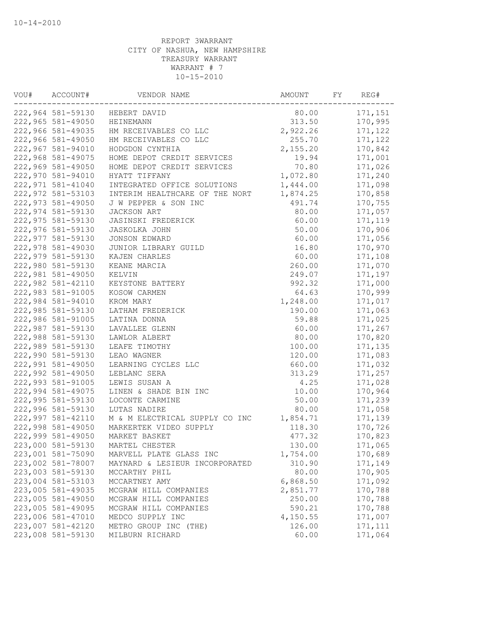| VOU#              | ACCOUNT#<br>VENDOR NAME |                                | AMOUNT<br>FY |  | REG#     |  |
|-------------------|-------------------------|--------------------------------|--------------|--|----------|--|
| 222,964 581-59130 |                         | HEBERT DAVID                   | 80.00        |  | 171,151  |  |
|                   | 222,965 581-49050       | HEINEMANN                      | 313.50       |  | 170,995  |  |
|                   | 222,966 581-49035       | HM RECEIVABLES CO LLC          | 2,922.26     |  | 171,122  |  |
|                   | 222,966 581-49050       | HM RECEIVABLES CO LLC          | 255.70       |  | 171,122  |  |
|                   | 222,967 581-94010       | HODGDON CYNTHIA                | 2,155.20     |  | 170,842  |  |
|                   | 222,968 581-49075       | HOME DEPOT CREDIT SERVICES     | 19.94        |  | 171,001  |  |
|                   | 222,969 581-49050       | HOME DEPOT CREDIT SERVICES     | 70.80        |  | 171,026  |  |
|                   | 222,970 581-94010       | HYATT TIFFANY                  | 1,072.80     |  | 171,240  |  |
|                   | 222,971 581-41040       | INTEGRATED OFFICE SOLUTIONS    | 1,444.00     |  | 171,098  |  |
|                   | 222,972 581-53103       | INTERIM HEALTHCARE OF THE NORT | 1,874.25     |  | 170,858  |  |
|                   | 222,973 581-49050       | J W PEPPER & SON INC           | 491.74       |  | 170,755  |  |
|                   | 222,974 581-59130       | JACKSON ART                    | 80.00        |  | 171,057  |  |
|                   | 222,975 581-59130       | <b>JASINSKI FREDERICK</b>      | 60.00        |  | 171,119  |  |
|                   | 222,976 581-59130       | <b>JASKOLKA JOHN</b>           | 50.00        |  | 170,906  |  |
|                   | 222,977 581-59130       | JONSON EDWARD                  | 60.00        |  | 171,056  |  |
|                   | 222,978 581-49030       | JUNIOR LIBRARY GUILD           | 16.80        |  | 170,970  |  |
|                   | 222,979 581-59130       | KAJEN CHARLES                  | 60.00        |  | 171,108  |  |
|                   | 222,980 581-59130       | KEANE MARCIA                   | 260.00       |  | 171,070  |  |
|                   | 222,981 581-49050       | KELVIN                         | 249.07       |  | 171,197  |  |
|                   | 222,982 581-42110       | KEYSTONE BATTERY               | 992.32       |  | 171,000  |  |
|                   | 222,983 581-91005       | KOSOW CARMEN                   | 64.63        |  | 170,999  |  |
|                   | 222,984 581-94010       | KROM MARY                      | 1,248.00     |  | 171,017  |  |
|                   | 222,985 581-59130       | LATHAM FREDERICK               | 190.00       |  | 171,063  |  |
|                   | 222,986 581-91005       | LATINA DONNA                   | 59.88        |  | 171,025  |  |
|                   | 222,987 581-59130       | LAVALLEE GLENN                 | 60.00        |  | 171,267  |  |
|                   | 222,988 581-59130       | LAWLOR ALBERT                  | 80.00        |  | 170,820  |  |
|                   | 222,989 581-59130       | LEAFE TIMOTHY                  | 100.00       |  | 171,135  |  |
|                   | 222,990 581-59130       | LEAO WAGNER                    | 120.00       |  | 171,083  |  |
|                   | 222,991 581-49050       | LEARNING CYCLES LLC            | 660.00       |  | 171,032  |  |
|                   | 222,992 581-49050       | LEBLANC SERA                   | 313.29       |  | 171,257  |  |
|                   | 222,993 581-91005       | LEWIS SUSAN A                  | 4.25         |  | 171,028  |  |
|                   | 222,994 581-49075       | LINEN & SHADE BIN INC          | 10.00        |  | 170,964  |  |
|                   | 222,995 581-59130       | LOCONTE CARMINE                | 50.00        |  | 171,239  |  |
|                   | 222,996 581-59130       | LUTAS NADIRE                   | 80.00        |  | 171,058  |  |
|                   | 222,997 581-42110       | M & M ELECTRICAL SUPPLY CO INC | 1,854.71     |  | 171,139  |  |
|                   | 222,998 581-49050       | MARKERTEK VIDEO SUPPLY         | 118.30       |  | 170,726  |  |
|                   | 222,999 581-49050       | MARKET BASKET                  | 477.32       |  | 170,823  |  |
|                   | 223,000 581-59130       | MARTEL CHESTER                 | 130.00       |  | 171,065  |  |
|                   | 223,001 581-75090       | MARVELL PLATE GLASS INC        | 1,754.00     |  | 170,689  |  |
|                   | 223,002 581-78007       | MAYNARD & LESIEUR INCORPORATED | 310.90       |  | 171,149  |  |
|                   | 223,003 581-59130       | MCCARTHY PHIL                  | 80.00        |  | 170,905  |  |
|                   | 223,004 581-53103       | MCCARTNEY AMY                  | 6,868.50     |  | 171,092  |  |
|                   | 223,005 581-49035       | MCGRAW HILL COMPANIES          | 2,851.77     |  | 170,788  |  |
|                   | 223,005 581-49050       | MCGRAW HILL COMPANIES          | 250.00       |  | 170,788  |  |
|                   | 223,005 581-49095       | MCGRAW HILL COMPANIES          | 590.21       |  | 170,788  |  |
|                   | 223,006 581-47010       | MEDCO SUPPLY INC               | 4,150.55     |  | 171,007  |  |
|                   | 223,007 581-42120       | METRO GROUP INC (THE)          | 126.00       |  | 171, 111 |  |
|                   | 223,008 581-59130       | MILBURN RICHARD                | 60.00        |  | 171,064  |  |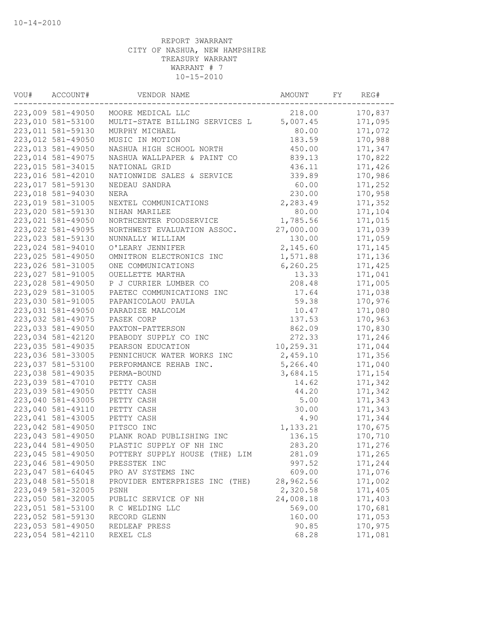| VOU# | ACCOUNT#<br>VENDOR NAME |                                | AMOUNT    | REG# |         |
|------|-------------------------|--------------------------------|-----------|------|---------|
|      | 223,009 581-49050       | MOORE MEDICAL LLC              | 218.00    |      | 170,837 |
|      | 223,010 581-53100       | MULTI-STATE BILLING SERVICES L | 5,007.45  |      | 171,095 |
|      | 223,011 581-59130       | MURPHY MICHAEL                 | 80.00     |      | 171,072 |
|      | 223,012 581-49050       | MUSIC IN MOTION                | 183.59    |      | 170,988 |
|      | 223,013 581-49050       | NASHUA HIGH SCHOOL NORTH       | 450.00    |      | 171,347 |
|      | 223,014 581-49075       | NASHUA WALLPAPER & PAINT CO    | 839.13    |      | 170,822 |
|      | 223,015 581-34015       | NATIONAL GRID                  | 436.11    |      | 171,426 |
|      | 223,016 581-42010       | NATIONWIDE SALES & SERVICE     | 339.89    |      | 170,986 |
|      | 223,017 581-59130       | NEDEAU SANDRA                  | 60.00     |      | 171,252 |
|      | 223,018 581-94030       | NERA                           | 230.00    |      | 170,958 |
|      | 223,019 581-31005       | NEXTEL COMMUNICATIONS          | 2,283.49  |      | 171,352 |
|      | 223,020 581-59130       | NIHAN MARILEE                  | 80.00     |      | 171,104 |
|      | 223,021 581-49050       | NORTHCENTER FOODSERVICE        | 1,785.56  |      | 171,015 |
|      | 223,022 581-49095       | NORTHWEST EVALUATION ASSOC.    | 27,000.00 |      | 171,039 |
|      | 223,023 581-59130       | NUNNALLY WILLIAM               | 130.00    |      | 171,059 |
|      | 223,024 581-94010       | O'LEARY JENNIFER               | 2,145.60  |      | 171,145 |
|      | 223,025 581-49050       | OMNITRON ELECTRONICS INC       | 1,571.88  |      | 171,136 |
|      | 223,026 581-31005       | ONE COMMUNICATIONS             | 6, 260.25 |      | 171,425 |
|      | 223,027 581-91005       | OUELLETTE MARTHA               | 13.33     |      | 171,041 |
|      | 223,028 581-49050       | P J CURRIER LUMBER CO          | 208.48    |      | 171,005 |
|      | 223,029 581-31005       | PAETEC COMMUNICATIONS INC      | 17.64     |      | 171,038 |
|      | 223,030 581-91005       | PAPANICOLAOU PAULA             | 59.38     |      | 170,976 |
|      | 223,031 581-49050       | PARADISE MALCOLM               | 10.47     |      | 171,080 |
|      | 223,032 581-49075       | PASEK CORP                     | 137.53    |      | 170,963 |
|      | 223,033 581-49050       | PAXTON-PATTERSON               | 862.09    |      | 170,830 |
|      | 223,034 581-42120       | PEABODY SUPPLY CO INC          | 272.33    |      | 171,246 |
|      | 223,035 581-49035       | PEARSON EDUCATION              | 10,259.31 |      | 171,044 |
|      | 223,036 581-33005       | PENNICHUCK WATER WORKS INC     | 2,459.10  |      | 171,356 |
|      | 223,037 581-53100       | PERFORMANCE REHAB INC.         | 5,266.40  |      | 171,040 |
|      | 223,038 581-49035       | PERMA-BOUND                    | 3,684.15  |      | 171,154 |
|      | 223,039 581-47010       | PETTY CASH                     | 14.62     |      | 171,342 |
|      | 223,039 581-49050       | PETTY CASH                     | 44.20     |      | 171,342 |
|      | 223,040 581-43005       | PETTY CASH                     | 5.00      |      | 171,343 |
|      | 223,040 581-49110       | PETTY CASH                     | 30.00     |      | 171,343 |
|      | 223,041 581-43005       | PETTY CASH                     | 4.90      |      | 171,344 |
|      | 223,042 581-49050       | PITSCO INC                     | 1,133.21  |      | 170,675 |
|      | 223,043 581-49050       | PLANK ROAD PUBLISHING INC      | 136.15    |      | 170,710 |
|      | 223,044 581-49050       | PLASTIC SUPPLY OF NH INC       | 283.20    |      | 171,276 |
|      | 223,045 581-49050       | POTTERY SUPPLY HOUSE (THE) LIM | 281.09    |      | 171,265 |
|      | 223,046 581-49050       | PRESSTEK INC                   | 997.52    |      | 171,244 |
|      | 223,047 581-64045       | PRO AV SYSTEMS INC             | 609.00    |      | 171,076 |
|      | 223,048 581-55018       | PROVIDER ENTERPRISES INC (THE) | 28,962.56 |      | 171,002 |
|      | 223,049 581-32005       | PSNH                           | 2,320.58  |      | 171,405 |
|      | 223,050 581-32005       | PUBLIC SERVICE OF NH           | 24,008.18 |      | 171,403 |
|      | 223,051 581-53100       | R C WELDING LLC                | 569.00    |      | 170,681 |
|      | 223,052 581-59130       | RECORD GLENN                   | 160.00    |      | 171,053 |
|      | 223,053 581-49050       | REDLEAF PRESS                  | 90.85     |      | 170,975 |
|      | 223,054 581-42110       | REXEL CLS                      | 68.28     |      | 171,081 |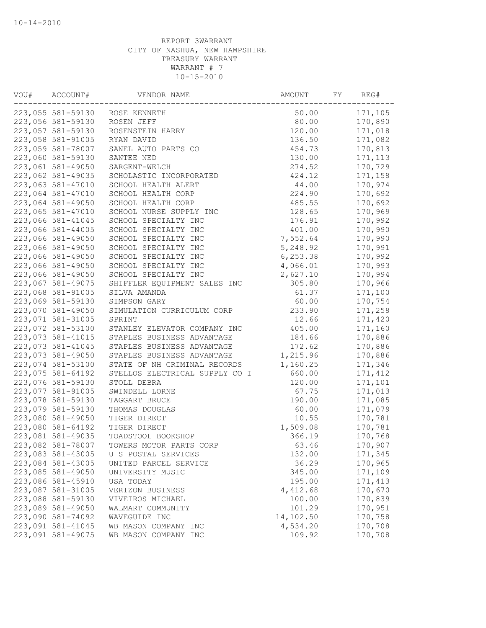| VOU#              | ACCOUNT#<br>VENDOR NAME |                                | AMOUNT    | FY | REG#     |
|-------------------|-------------------------|--------------------------------|-----------|----|----------|
| 223,055 581-59130 |                         | ROSE KENNETH                   | 50.00     |    | 171,105  |
|                   | 223,056 581-59130       | ROSEN JEFF                     | 80.00     |    | 170,890  |
|                   | 223,057 581-59130       | ROSENSTEIN HARRY               | 120.00    |    | 171,018  |
|                   | 223,058 581-91005       | RYAN DAVID                     | 136.50    |    | 171,082  |
|                   | 223,059 581-78007       | SANEL AUTO PARTS CO            | 454.73    |    | 170,813  |
|                   | 223,060 581-59130       | SANTEE NED                     | 130.00    |    | 171, 113 |
|                   | 223,061 581-49050       | SARGENT-WELCH                  | 274.52    |    | 170,729  |
|                   | 223,062 581-49035       | SCHOLASTIC INCORPORATED        | 424.12    |    | 171,158  |
|                   | 223,063 581-47010       | SCHOOL HEALTH ALERT            | 44.00     |    | 170,974  |
|                   | 223,064 581-47010       | SCHOOL HEALTH CORP             | 224.90    |    | 170,692  |
|                   | 223,064 581-49050       | SCHOOL HEALTH CORP             | 485.55    |    | 170,692  |
|                   | 223,065 581-47010       | SCHOOL NURSE SUPPLY INC        | 128.65    |    | 170,969  |
|                   | 223,066 581-41045       | SCHOOL SPECIALTY INC           | 176.91    |    | 170,992  |
|                   | 223,066 581-44005       | SCHOOL SPECIALTY INC           | 401.00    |    | 170,990  |
|                   | 223,066 581-49050       | SCHOOL SPECIALTY INC           | 7,552.64  |    | 170,990  |
|                   | 223,066 581-49050       | SCHOOL SPECIALTY INC           | 5,248.92  |    | 170,991  |
|                   | 223,066 581-49050       | SCHOOL SPECIALTY INC           | 6, 253.38 |    | 170,992  |
|                   | 223,066 581-49050       | SCHOOL SPECIALTY INC           | 4,066.01  |    | 170,993  |
|                   | 223,066 581-49050       | SCHOOL SPECIALTY INC           | 2,627.10  |    | 170,994  |
|                   | 223,067 581-49075       | SHIFFLER EQUIPMENT SALES INC   | 305.80    |    | 170,966  |
|                   | 223,068 581-91005       | SILVA AMANDA                   | 61.37     |    | 171,100  |
|                   | 223,069 581-59130       | SIMPSON GARY                   | 60.00     |    | 170,754  |
|                   | 223,070 581-49050       | SIMULATION CURRICULUM CORP     | 233.90    |    | 171,258  |
|                   | 223,071 581-31005       | SPRINT                         | 12.66     |    | 171,420  |
|                   | 223,072 581-53100       | STANLEY ELEVATOR COMPANY INC   | 405.00    |    | 171,160  |
|                   | 223,073 581-41015       | STAPLES BUSINESS ADVANTAGE     | 184.66    |    | 170,886  |
|                   | 223,073 581-41045       | STAPLES BUSINESS ADVANTAGE     | 172.62    |    | 170,886  |
|                   | 223,073 581-49050       | STAPLES BUSINESS ADVANTAGE     | 1,215.96  |    | 170,886  |
|                   | 223,074 581-53100       | STATE OF NH CRIMINAL RECORDS   | 1,160.25  |    | 171,346  |
|                   | 223,075 581-64192       | STELLOS ELECTRICAL SUPPLY CO I | 660.00    |    | 171,412  |
|                   | 223,076 581-59130       | STOLL DEBRA                    | 120.00    |    | 171,101  |
|                   | 223,077 581-91005       | SWINDELL LORNE                 | 67.75     |    | 171,013  |
|                   | 223,078 581-59130       | TAGGART BRUCE                  | 190.00    |    | 171,085  |
|                   | 223,079 581-59130       | THOMAS DOUGLAS                 | 60.00     |    | 171,079  |
|                   | 223,080 581-49050       | TIGER DIRECT                   | 10.55     |    | 170,781  |
|                   | 223,080 581-64192       | TIGER DIRECT                   | 1,509.08  |    | 170,781  |
|                   | 223,081 581-49035       | TOADSTOOL BOOKSHOP             | 366.19    |    | 170,768  |
|                   | 223,082 581-78007       | TOWERS MOTOR PARTS CORP        | 63.46     |    | 170,907  |
|                   | 223,083 581-43005       | U S POSTAL SERVICES            | 132.00    |    | 171,345  |
|                   | 223,084 581-43005       | UNITED PARCEL SERVICE          | 36.29     |    | 170,965  |
|                   | 223,085 581-49050       | UNIVERSITY MUSIC               | 345.00    |    | 171,109  |
|                   | 223,086 581-45910       | USA TODAY                      | 195.00    |    | 171, 413 |
|                   | 223,087 581-31005       | VERIZON BUSINESS               | 4,412.68  |    | 170,670  |
|                   | 223,088 581-59130       | VIVEIROS MICHAEL               | 100.00    |    | 170,839  |
|                   | 223,089 581-49050       | WALMART COMMUNITY              | 101.29    |    | 170,951  |
|                   | 223,090 581-74092       | WAVEGUIDE INC                  | 14,102.50 |    | 170,758  |
|                   | 223,091 581-41045       | WB MASON COMPANY INC           | 4,534.20  |    | 170,708  |
|                   | 223,091 581-49075       | WB MASON COMPANY INC           | 109.92    |    | 170,708  |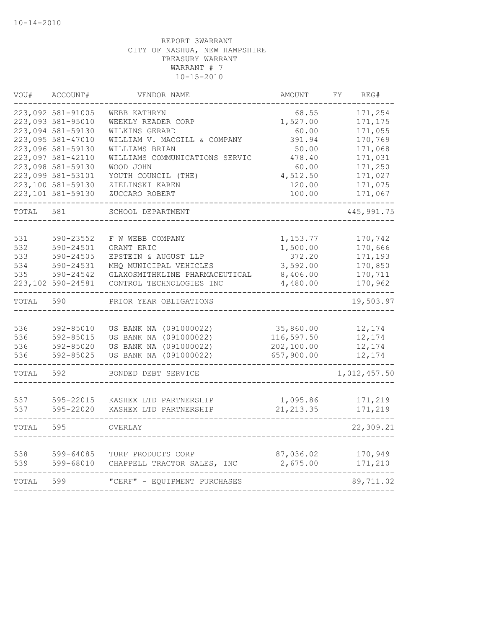| WOU#  | ACCOUNT#          | VENDOR NAME                    | AMOUNT     | FY. | REG#         |
|-------|-------------------|--------------------------------|------------|-----|--------------|
|       | 223,092 581-91005 | WEBB KATHRYN                   | 68.55      |     | 171,254      |
|       | 223,093 581-95010 | WEEKLY READER CORP<br>1,527.00 |            |     | 171,175      |
|       | 223,094 581-59130 | WILKINS GERARD                 | 60.00      |     | 171,055      |
|       | 223,095 581-47010 | WILLIAM V. MACGILL & COMPANY   | 391.94     |     | 170,769      |
|       | 223,096 581-59130 | WILLIAMS BRIAN                 | 50.00      |     | 171,068      |
|       | 223,097 581-42110 | WILLIAMS COMMUNICATIONS SERVIC | 478.40     |     | 171,031      |
|       | 223,098 581-59130 | WOOD JOHN                      | 60.00      |     | 171,250      |
|       | 223,099 581-53101 | YOUTH COUNCIL (THE)            | 4,512.50   |     | 171,027      |
|       | 223,100 581-59130 | ZIELINSKI KAREN                | 120.00     |     | 171,075      |
|       | 223,101 581-59130 | ZUCCARO ROBERT                 | 100.00     |     | 171,067      |
| TOTAL | 581               | SCHOOL DEPARTMENT              |            |     | 445, 991.75  |
|       |                   |                                |            |     |              |
| 531   | 590-23552         | F W WEBB COMPANY               | 1,153.77   |     | 170,742      |
| 532   | 590-24501         | GRANT ERIC                     | 1,500.00   |     | 170,666      |
| 533   | 590-24505         | EPSTEIN & AUGUST LLP           | 372.20     |     | 171,193      |
| 534   | 590-24531         | MHQ MUNICIPAL VEHICLES         | 3,592.00   |     | 170,850      |
| 535   | 590-24542         | GLAXOSMITHKLINE PHARMACEUTICAL | 8,406.00   |     | 170,711      |
|       | 223,102 590-24581 | CONTROL TECHNOLOGIES INC       | 4,480.00   |     | 170,962      |
| TOTAL | 590               | PRIOR YEAR OBLIGATIONS         |            |     | 19,503.97    |
|       |                   |                                |            |     |              |
| 536   | 592-85010         | US BANK NA (091000022)         | 35,860.00  |     | 12,174       |
| 536   | 592-85015         | US BANK NA (091000022)         | 116,597.50 |     | 12,174       |
| 536   | 592-85020         | US BANK NA (091000022)         | 202,100.00 |     | 12,174       |
| 536   | 592-85025         | US BANK NA (091000022)         | 657,900.00 |     | 12,174       |
| TOTAL | 592               | BONDED DEBT SERVICE            |            |     | 1,012,457.50 |
|       |                   |                                |            |     |              |
| 537   | 595-22015         | KASHEX LTD PARTNERSHIP         | 1,095.86   |     | 171,219      |
| 537   | 595-22020         | KASHEX LTD PARTNERSHIP         | 21, 213.35 |     | 171,219      |
| TOTAL | 595               | OVERLAY                        |            |     | 22,309.21    |
|       |                   |                                |            |     |              |
| 538   | 599-64085         | TURF PRODUCTS CORP             | 87,036.02  |     | 170,949      |
| 539   | 599-68010         | CHAPPELL TRACTOR SALES, INC    | 2,675.00   |     | 171,210      |
| TOTAL | 599               | "CERF" - EQUIPMENT PURCHASES   |            |     | 89,711.02    |
|       |                   |                                |            |     |              |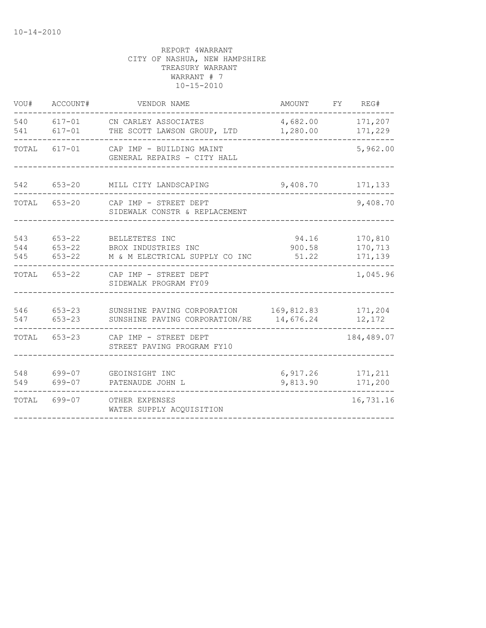| VOU#              | ACCOUNT#                               | VENDOR NAME                                                             | AMOUNT                   | FY | REG#                          |  |
|-------------------|----------------------------------------|-------------------------------------------------------------------------|--------------------------|----|-------------------------------|--|
| 540<br>541        | $617 - 01$<br>$617 - 01$               | CN CARLEY ASSOCIATES<br>THE SCOTT LAWSON GROUP, LTD                     | 4,682.00<br>1,280.00     |    | 171,207<br>171,229            |  |
| TOTAL             | $617 - 01$                             | CAP IMP - BUILDING MAINT<br>GENERAL REPAIRS - CITY HALL                 |                          |    |                               |  |
| 542               | $653 - 20$                             | MILL CITY LANDSCAPING                                                   | 9,408.70                 |    |                               |  |
| TOTAL             | $653 - 20$                             | CAP IMP - STREET DEPT<br>SIDEWALK CONSTR & REPLACEMENT                  |                          |    | 9,408.70                      |  |
| 543<br>544<br>545 | $653 - 22$<br>$653 - 22$<br>$653 - 22$ | BELLETETES INC<br>BROX INDUSTRIES INC<br>M & M ELECTRICAL SUPPLY CO INC | 94.16<br>900.58<br>51.22 |    | 170,810<br>170,713<br>171,139 |  |
| TOTAL             | 653-22                                 | CAP IMP - STREET DEPT<br>SIDEWALK PROGRAM FY09                          |                          |    | 1,045.96                      |  |
| 546<br>547        | $653 - 23$<br>$653 - 23$               | SUNSHINE PAVING CORPORATION<br>SUNSHINE PAVING CORPORATION/RE           | 169,812.83<br>14,676.24  |    | 171,204<br>12,172             |  |
| TOTAL             | 653-23                                 | CAP IMP - STREET DEPT<br>STREET PAVING PROGRAM FY10                     |                          |    | 184,489.07                    |  |
| 548<br>549        | 699-07<br>699-07                       | GEOINSIGHT INC<br>PATENAUDE JOHN L                                      | 6,917.26<br>9,813.90     |    | 171,211<br>171,200            |  |
| TOTAL             | 699-07                                 | OTHER EXPENSES<br>WATER SUPPLY ACQUISITION                              |                          |    | 16,731.16                     |  |
|                   |                                        |                                                                         |                          |    |                               |  |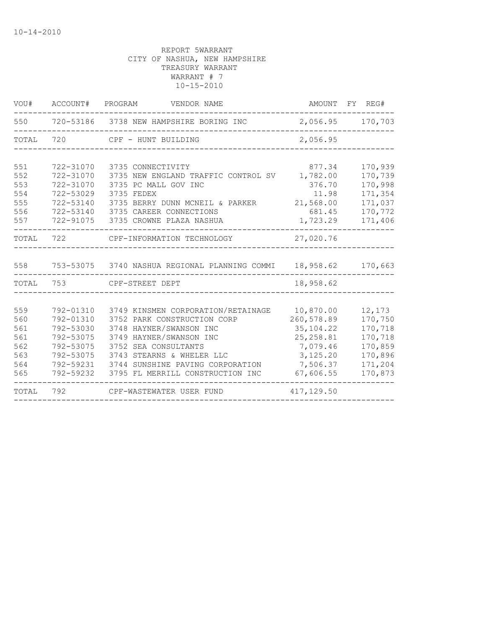|           | VOU# ACCOUNT# PROGRAM | VENDOR NAME                                                              |            | AMOUNT FY REG#   |
|-----------|-----------------------|--------------------------------------------------------------------------|------------|------------------|
| 550       |                       | 720-53186 3738 NEW HAMPSHIRE BORING INC                                  |            | 2,056.95 170,703 |
| TOTAL     | 720                   | CPF - HUNT BUILDING                                                      | 2,056.95   |                  |
|           |                       |                                                                          |            |                  |
| 551       | 722-31070             | 3735 CONNECTIVITY                                                        | 877.34     | 170,939          |
| 552       | 722-31070             | 3735 NEW ENGLAND TRAFFIC CONTROL SV                                      | 1,782.00   | 170,739          |
| 553       | 722-31070             | 3735 PC MALL GOV INC                                                     | 376.70     | 170,998          |
| 554       | 722-53029             | 3735 FEDEX                                                               | 11.98      | 171,354          |
| 555       | 722-53140             | 3735 BERRY DUNN MCNEIL & PARKER                                          | 21,568.00  | 171,037          |
| 556       | 722-53140             | 3735 CAREER CONNECTIONS                                                  | 681.45     | 170,772          |
| 557       | 722-91075             | 3735 CROWNE PLAZA NASHUA                                                 | 1,723.29   | 171,406          |
| TOTAL     | 722                   | CPF-INFORMATION TECHNOLOGY                                               | 27,020.76  |                  |
|           |                       |                                                                          |            |                  |
| 558       |                       | 753-53075   3740 NASHUA REGIONAL PLANNING COMMI    18,958.62     170,663 |            |                  |
| TOTAL 753 |                       | CPF-STREET DEPT                                                          | 18,958.62  |                  |
|           |                       |                                                                          |            |                  |
| 559       | 792-01310             | 3749 KINSMEN CORPORATION/RETAINAGE                                       | 10,870.00  | 12,173           |
| 560       | 792-01310             | 3752 PARK CONSTRUCTION CORP                                              | 260,578.89 | 170,750          |
| 561       | 792-53030             | 3748 HAYNER/SWANSON INC                                                  | 35, 104.22 | 170,718          |
| 561       | 792-53075             | 3749 HAYNER/SWANSON INC                                                  | 25, 258.81 | 170,718          |
| 562       | 792-53075             | 3752 SEA CONSULTANTS                                                     | 7,079.46   | 170,859          |
| 563       | 792-53075             | 3743 STEARNS & WHELER LLC                                                | 3,125.20   | 170,896          |
| 564       | 792-59231             | 3744 SUNSHINE PAVING CORPORATION                                         | 7,506.37   | 171,204          |
| 565       | 792-59232             | 3795 FL MERRILL CONSTRUCTION INC                                         | 67,606.55  | 170,873          |
| TOTAL     | 792                   | CPF-WASTEWATER USER FUND                                                 | 417,129.50 |                  |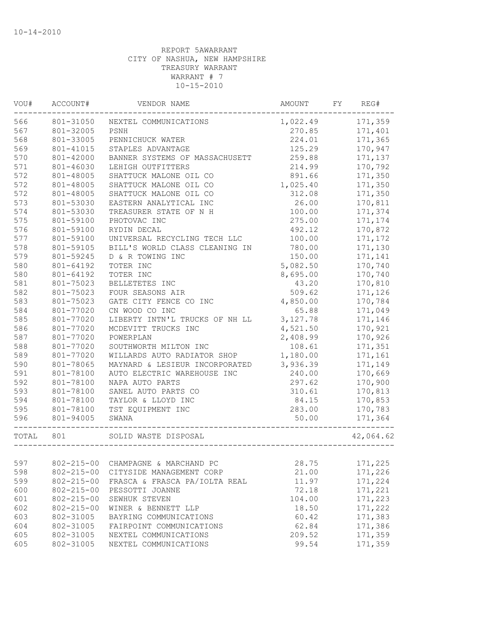| VOU#  | ACCOUNT#<br>VENDOR NAME<br>801-31050<br>NEXTEL COMMUNICATIONS |                                | AMOUNT             | FY      | REG#      |  |
|-------|---------------------------------------------------------------|--------------------------------|--------------------|---------|-----------|--|
| 566   |                                                               |                                | 1,022.49<br>270.85 | 171,359 |           |  |
| 567   | 801-32005                                                     | PSNH                           |                    | 171,401 |           |  |
| 568   | 801-33005                                                     | PENNICHUCK WATER               | 224.01             |         | 171,365   |  |
| 569   | 801-41015                                                     | STAPLES ADVANTAGE              | 125.29             |         | 170,947   |  |
| 570   | 801-42000                                                     | BANNER SYSTEMS OF MASSACHUSETT | 259.88             |         | 171,137   |  |
| 571   | 801-46030                                                     | LEHIGH OUTFITTERS              | 214.99             |         | 170,792   |  |
| 572   | 801-48005                                                     | SHATTUCK MALONE OIL CO         | 891.66             |         | 171,350   |  |
| 572   | 801-48005                                                     | SHATTUCK MALONE OIL CO         | 1,025.40           |         | 171,350   |  |
| 572   | 801-48005                                                     | SHATTUCK MALONE OIL CO         | 312.08             |         | 171,350   |  |
| 573   | 801-53030                                                     | EASTERN ANALYTICAL INC         | 26.00              |         | 170,811   |  |
| 574   | 801-53030                                                     | TREASURER STATE OF N H         | 100.00             |         | 171,374   |  |
| 575   | 801-59100                                                     | PHOTOVAC INC                   | 275.00             |         | 171,174   |  |
| 576   | 801-59100                                                     | RYDIN DECAL                    | 492.12             |         | 170,872   |  |
| 577   | 801-59100                                                     | UNIVERSAL RECYCLING TECH LLC   | 100.00             |         | 171,172   |  |
| 578   | 801-59105                                                     | BILL'S WORLD CLASS CLEANING IN | 780.00             |         | 171,130   |  |
| 579   | 801-59245                                                     | D & R TOWING INC               | 150.00             |         | 171,141   |  |
| 580   | 801-64192                                                     | TOTER INC                      | 5,082.50           |         | 170,740   |  |
| 580   | 801-64192                                                     | TOTER INC                      | 8,695.00           |         | 170,740   |  |
| 581   | 801-75023                                                     | BELLETETES INC                 | 43.20              |         | 170,810   |  |
| 582   | 801-75023                                                     | FOUR SEASONS AIR               | 509.62             |         | 171,126   |  |
| 583   | 801-75023                                                     | GATE CITY FENCE CO INC         | 4,850.00           |         | 170,784   |  |
| 584   | 801-77020                                                     | CN WOOD CO INC                 | 65.88              |         | 171,049   |  |
| 585   | 801-77020                                                     | LIBERTY INTN'L TRUCKS OF NH LL | 3, 127.78          |         | 171,146   |  |
| 586   | 801-77020                                                     | MCDEVITT TRUCKS INC            | 4,521.50           |         | 170,921   |  |
| 587   | 801-77020                                                     | POWERPLAN                      | 2,408.99           |         | 170,926   |  |
| 588   | 801-77020                                                     | SOUTHWORTH MILTON INC          | 108.61             |         | 171,351   |  |
| 589   | 801-77020                                                     | WILLARDS AUTO RADIATOR SHOP    | 1,180.00           |         | 171,161   |  |
| 590   | 801-78065                                                     | MAYNARD & LESIEUR INCORPORATED | 3,936.39           |         | 171,149   |  |
| 591   | 801-78100                                                     | AUTO ELECTRIC WAREHOUSE INC    | 240.00             |         | 170,669   |  |
| 592   | 801-78100                                                     | NAPA AUTO PARTS                | 297.62             |         | 170,900   |  |
| 593   | 801-78100                                                     | SANEL AUTO PARTS CO            | 310.61             |         | 170,813   |  |
| 594   | 801-78100                                                     | TAYLOR & LLOYD INC             | 84.15              |         | 170,853   |  |
| 595   | 801-78100                                                     | TST EQUIPMENT INC              | 283.00             |         | 170,783   |  |
| 596   | 801-94005                                                     | SWANA                          | 50.00              |         | 171,364   |  |
| TOTAL | 801                                                           | SOLID WASTE DISPOSAL           |                    |         | 42,064.62 |  |
|       |                                                               |                                |                    |         |           |  |
| 597   | $802 - 215 - 00$                                              | CHAMPAGNE & MARCHAND PC        | 28.75              |         | 171,225   |  |
| 598   | $802 - 215 - 00$                                              | CITYSIDE MANAGEMENT CORP       | 21.00              |         | 171,226   |  |
| 599   | $802 - 215 - 00$                                              | FRASCA & FRASCA PA/IOLTA REAL  | 11.97              |         | 171,224   |  |
| 600   | $802 - 215 - 00$                                              | PESSOTTI JOANNE                | 72.18              |         | 171,221   |  |
| 601   | $802 - 215 - 00$                                              | SEWHUK STEVEN                  | 104.00             |         | 171,223   |  |
| 602   | $802 - 215 - 00$                                              | WINER & BENNETT LLP            | 18.50              |         | 171,222   |  |
| 603   | 802-31005                                                     | BAYRING COMMUNICATIONS         | 60.42              |         | 171,383   |  |
| 604   | 802-31005                                                     | FAIRPOINT COMMUNICATIONS       | 62.84              |         | 171,386   |  |
| 605   | 802-31005                                                     | NEXTEL COMMUNICATIONS          | 209.52             |         | 171,359   |  |
| 605   | 802-31005                                                     | NEXTEL COMMUNICATIONS          | 99.54<br>171,359   |         |           |  |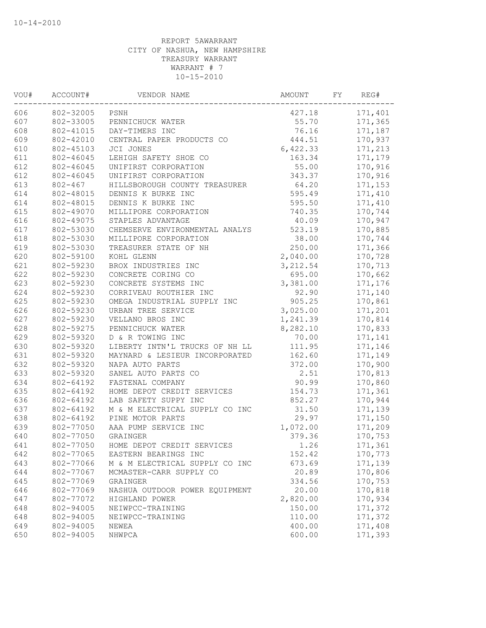| VOU# | ACCOUNT#<br>VENDOR NAME<br>802-32005 PSNH |                                | AMOUNT<br>FY |         | REG#    |  |
|------|-------------------------------------------|--------------------------------|--------------|---------|---------|--|
| 606  |                                           |                                | 427.18       | 171,401 |         |  |
| 607  | 802-33005                                 | PENNICHUCK WATER               | 55.70        | 171,365 |         |  |
| 608  | 802-41015                                 | DAY-TIMERS INC                 | 76.16        | 171,187 |         |  |
| 609  | 802-42010                                 | CENTRAL PAPER PRODUCTS CO      | 444.51       |         | 170,937 |  |
| 610  | 802-45103                                 | JCI JONES                      | 6,422.33     |         | 171,213 |  |
| 611  | 802-46045                                 | LEHIGH SAFETY SHOE CO          | 163.34       |         | 171,179 |  |
| 612  | 802-46045                                 | UNIFIRST CORPORATION           | 55.00        |         | 170,916 |  |
| 612  | 802-46045                                 | UNIFIRST CORPORATION           | 343.37       |         | 170,916 |  |
| 613  | $802 - 467$                               | HILLSBOROUGH COUNTY TREASURER  | 64.20        |         | 171,153 |  |
| 614  | 802-48015                                 | DENNIS K BURKE INC             | 595.49       |         | 171,410 |  |
| 614  | 802-48015                                 | DENNIS K BURKE INC             | 595.50       |         | 171,410 |  |
| 615  | 802-49070                                 | MILLIPORE CORPORATION          | 740.35       |         | 170,744 |  |
| 616  | 802-49075                                 | STAPLES ADVANTAGE              | 40.09        |         | 170,947 |  |
| 617  | 802-53030                                 | CHEMSERVE ENVIRONMENTAL ANALYS | 523.19       |         | 170,885 |  |
| 618  | 802-53030                                 | MILLIPORE CORPORATION          | 38.00        |         | 170,744 |  |
| 619  | 802-53030                                 | TREASURER STATE OF NH          | 250.00       |         | 171,366 |  |
| 620  | 802-59100                                 | KOHL GLENN                     | 2,040.00     |         | 170,728 |  |
| 621  | 802-59230                                 | BROX INDUSTRIES INC            | 3, 212.54    |         | 170,713 |  |
| 622  | 802-59230                                 | CONCRETE CORING CO             | 695.00       |         | 170,662 |  |
| 623  | 802-59230                                 | CONCRETE SYSTEMS INC           | 3,381.00     |         | 171,176 |  |
| 624  | 802-59230                                 | CORRIVEAU ROUTHIER INC         | 92.90        |         | 171,140 |  |
| 625  | 802-59230                                 | OMEGA INDUSTRIAL SUPPLY INC    | 905.25       |         | 170,861 |  |
| 626  | 802-59230                                 | URBAN TREE SERVICE             | 3,025.00     |         | 171,201 |  |
| 627  | 802-59230                                 | VELLANO BROS INC               | 1,241.39     |         | 170,814 |  |
| 628  | 802-59275                                 | PENNICHUCK WATER               | 8,282.10     |         | 170,833 |  |
| 629  | 802-59320                                 | D & R TOWING INC               | 70.00        |         | 171,141 |  |
| 630  | 802-59320                                 | LIBERTY INTN'L TRUCKS OF NH LL | 111.95       |         | 171,146 |  |
| 631  | 802-59320                                 | MAYNARD & LESIEUR INCORPORATED | 162.60       |         | 171,149 |  |
| 632  | 802-59320                                 | NAPA AUTO PARTS                | 372.00       |         | 170,900 |  |
| 633  | 802-59320                                 | SANEL AUTO PARTS CO            | 2.51         |         | 170,813 |  |
| 634  | 802-64192                                 | FASTENAL COMPANY               | 90.99        |         | 170,860 |  |
| 635  | 802-64192                                 | HOME DEPOT CREDIT SERVICES     | 154.73       |         | 171,361 |  |
| 636  | 802-64192                                 | LAB SAFETY SUPPY INC           | 852.27       |         | 170,944 |  |
| 637  | 802-64192                                 | M & M ELECTRICAL SUPPLY CO INC | 31.50        |         | 171,139 |  |
| 638  | 802-64192                                 | PINE MOTOR PARTS               | 29.97        |         | 171,150 |  |
| 639  | 802-77050                                 | AAA PUMP SERVICE INC           | 1,072.00     |         | 171,209 |  |
| 640  | 802-77050                                 | GRAINGER                       | 379.36       |         | 170,753 |  |
| 641  | 802-77050                                 | HOME DEPOT CREDIT SERVICES     | 1.26         |         | 171,361 |  |
| 642  | 802-77065                                 | EASTERN BEARINGS INC           | 152.42       |         | 170,773 |  |
| 643  | 802-77066                                 | M & M ELECTRICAL SUPPLY CO INC | 673.69       |         | 171,139 |  |
| 644  | 802-77067                                 | MCMASTER-CARR SUPPLY CO        | 20.89        |         | 170,806 |  |
| 645  | 802-77069                                 | GRAINGER                       | 334.56       |         | 170,753 |  |
| 646  | 802-77069                                 | NASHUA OUTDOOR POWER EQUIPMENT | 20.00        |         | 170,818 |  |
| 647  | 802-77072                                 | HIGHLAND POWER                 | 2,820.00     |         | 170,934 |  |
| 648  | 802-94005                                 | NEIWPCC-TRAINING               | 150.00       |         | 171,372 |  |
| 648  | 802-94005                                 | NEIWPCC-TRAINING               | 110.00       |         | 171,372 |  |
| 649  | 802-94005                                 | NEWEA                          | 400.00       |         | 171,408 |  |
| 650  | 802-94005                                 | NHWPCA                         | 600.00       |         | 171,393 |  |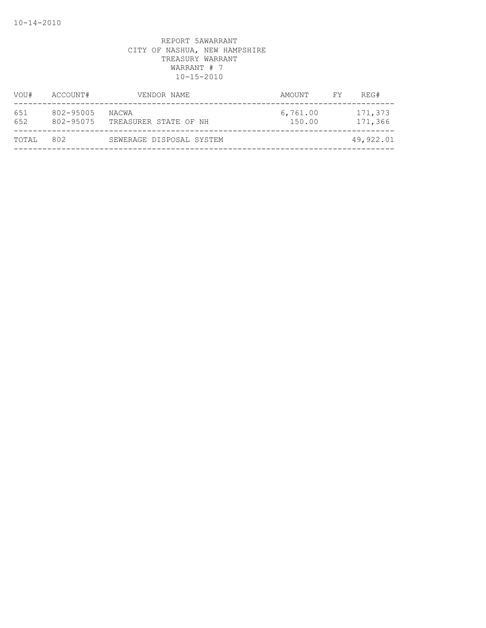| VOU#       | ACCOUNT#               | VENDOR NAME                    | AMOUNT             | FY. | REG#               |
|------------|------------------------|--------------------------------|--------------------|-----|--------------------|
| 651<br>652 | 802-95005<br>802-95075 | NACWA<br>TREASURER STATE OF NH | 6,761.00<br>150.00 |     | 171,373<br>171,366 |
| TOTAL      | 802                    | SEWERAGE DISPOSAL SYSTEM       |                    |     | 49,922.01          |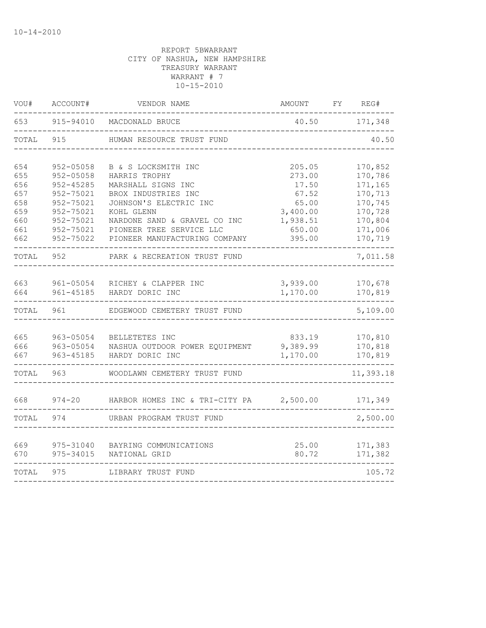| VOU#  | ACCOUNT#<br>VENDOR NAME          |                                | AMOUNT   | FY | REG#      |  |
|-------|----------------------------------|--------------------------------|----------|----|-----------|--|
| 653   | 915-94010                        | 40.50<br>MACDONALD BRUCE       |          |    | 171,348   |  |
| TOTAL | 915<br>HUMAN RESOURCE TRUST FUND |                                |          |    | 40.50     |  |
| 654   | 952-05058                        | B & S LOCKSMITH INC            | 205.05   |    | 170,852   |  |
| 655   | $952 - 05058$                    | HARRIS TROPHY                  | 273.00   |    | 170,786   |  |
| 656   | 952-45285                        | MARSHALL SIGNS INC             | 17.50    |    | 171,165   |  |
| 657   | 952-75021                        | BROX INDUSTRIES INC            | 67.52    |    | 170,713   |  |
| 658   | 952-75021                        | JOHNSON'S ELECTRIC INC         | 65.00    |    | 170,745   |  |
| 659   | 952-75021                        | KOHL GLENN                     | 3,400.00 |    | 170,728   |  |
| 660   | 952-75021                        | NARDONE SAND & GRAVEL CO INC   | 1,938.51 |    | 170,804   |  |
| 661   | 952-75021                        | PIONEER TREE SERVICE LLC       | 650.00   |    | 171,006   |  |
| 662   | 952-75022                        | PIONEER MANUFACTURING COMPANY  | 395.00   |    | 170,719   |  |
| TOTAL | 952                              | PARK & RECREATION TRUST FUND   |          |    | 7,011.58  |  |
| 663   | 961-05054                        | RICHEY & CLAPPER INC           | 3,939.00 |    | 170,678   |  |
| 664   | 961-45185                        | HARDY DORIC INC                | 1,170.00 |    | 170,819   |  |
| TOTAL | 961                              | EDGEWOOD CEMETERY TRUST FUND   |          |    | 5,109.00  |  |
|       |                                  |                                |          |    |           |  |
| 665   | 963-05054                        | BELLETETES INC                 | 833.19   |    | 170,810   |  |
| 666   | 963-05054                        | NASHUA OUTDOOR POWER EQUIPMENT | 9,389.99 |    | 170,818   |  |
| 667   | 963-45185                        | HARDY DORIC INC                | 1,170.00 |    | 170,819   |  |
| TOTAL | 963                              | WOODLAWN CEMETERY TRUST FUND   |          |    | 11,393.18 |  |
| 668   | $974 - 20$                       | HARBOR HOMES INC & TRI-CITY PA | 2,500.00 |    | 171,349   |  |
| TOTAL | 974                              | URBAN PROGRAM TRUST FUND       |          |    | 2,500.00  |  |
|       |                                  |                                |          |    |           |  |
| 669   | 975-31040                        | BAYRING COMMUNICATIONS         | 25.00    |    | 171,383   |  |
| 670   | 975-34015                        | NATIONAL GRID                  | 80.72    |    | 171,382   |  |
| TOTAL | 975                              | LIBRARY TRUST FUND             | 105.72   |    |           |  |
|       |                                  |                                |          |    |           |  |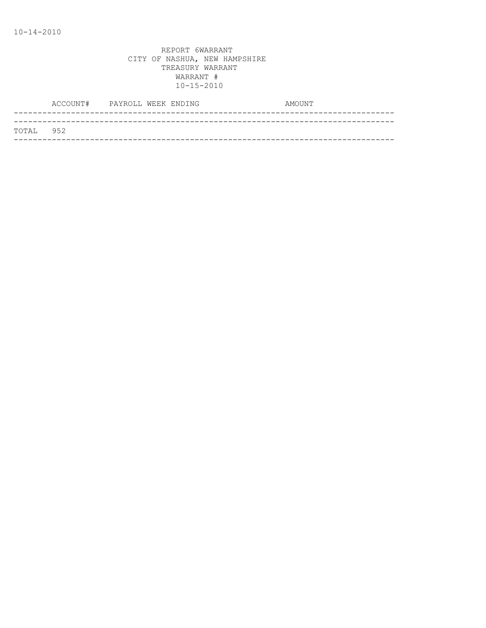|           | ACCOUNT# PAYROLL WEEK ENDING |  | AMOUNT |
|-----------|------------------------------|--|--------|
|           |                              |  |        |
| TOTAL 952 |                              |  |        |
|           |                              |  |        |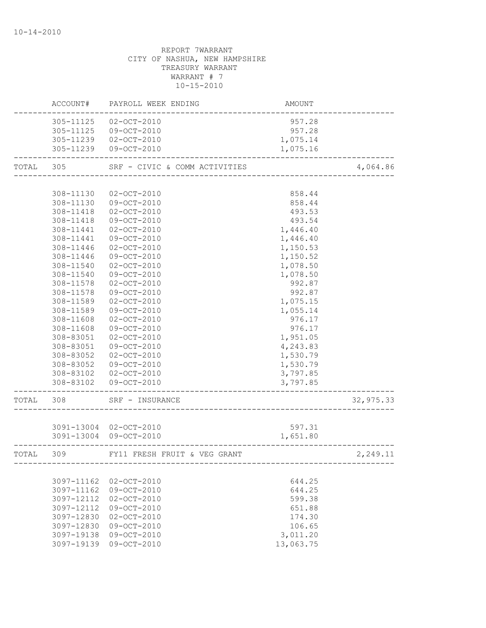# REPORT 7WARRANT CITY OF NASHUA, NEW HAMPSHIRE TREASURY WARRANT WARRANT # 7 10-15-2010 ACCOUNT# PAYROLL WEEK ENDING CONTROLL AMOUNT -------------------------------------------------------------------------------- 305-11125 02-OCT-2010 957.28 305-11125 09-OCT-2010 957.28 305-11239 02-OCT-2010 1,075.14 305-11239 09-OCT-2010 1,075.16

--------------------------------------------------------------------------------

| TOTAL     | 305        | SRF - CIVIC & COMM ACTIVITIES |           | 4,064.86  |
|-----------|------------|-------------------------------|-----------|-----------|
|           |            |                               |           |           |
|           | 308-11130  | $02 - OCT - 2010$             | 858.44    |           |
|           | 308-11130  | $09 - OCT - 2010$             | 858.44    |           |
|           | 308-11418  | $02 - OCT - 2010$             | 493.53    |           |
|           | 308-11418  | $09-OCT-2010$                 | 493.54    |           |
|           | 308-11441  | $02 - OCT - 2010$             | 1,446.40  |           |
|           | 308-11441  | $09 - OCT - 2010$             | 1,446.40  |           |
|           | 308-11446  | $02 - OCT - 2010$             | 1,150.53  |           |
|           | 308-11446  | $09 - OCT - 2010$             | 1,150.52  |           |
|           | 308-11540  | $02 - OCT - 2010$             | 1,078.50  |           |
|           | 308-11540  | 09-OCT-2010                   | 1,078.50  |           |
|           | 308-11578  | $02 - OCT - 2010$             | 992.87    |           |
|           | 308-11578  | $09 - OCT - 2010$             | 992.87    |           |
|           | 308-11589  | $02 - OCT - 2010$             | 1,075.15  |           |
|           | 308-11589  | 09-OCT-2010                   | 1,055.14  |           |
|           | 308-11608  | $02 - OCT - 2010$             | 976.17    |           |
|           | 308-11608  | 09-OCT-2010                   | 976.17    |           |
|           | 308-83051  | $02 - OCT - 2010$             | 1,951.05  |           |
|           | 308-83051  | $09 - OCT - 2010$             | 4,243.83  |           |
|           | 308-83052  | 02-OCT-2010                   | 1,530.79  |           |
|           | 308-83052  | 09-OCT-2010                   | 1,530.79  |           |
|           |            | 308-83102 02-OCT-2010         | 3,797.85  |           |
|           |            | 308-83102 09-OCT-2010         | 3,797.85  |           |
| TOTAL 308 |            | SRF - INSURANCE               |           | 32,975.33 |
|           |            | 3091-13004 02-OCT-2010        | 597.31    |           |
|           |            | 3091-13004 09-OCT-2010        | 1,651.80  |           |
|           |            |                               |           |           |
|           | TOTAL 309  | FY11 FRESH FRUIT & VEG GRANT  |           | 2,249.11  |
|           |            |                               |           |           |
|           |            | 3097-11162 02-OCT-2010        | 644.25    |           |
|           | 3097-11162 | $09 - OCT - 2010$             | 644.25    |           |
|           | 3097-12112 | $02 - OCT - 2010$             | 599.38    |           |
|           | 3097-12112 | $09 - OCT - 2010$             | 651.88    |           |
|           | 3097-12830 | $02 - OCT - 2010$             | 174.30    |           |
|           | 3097-12830 | $09 - OCT - 2010$             | 106.65    |           |
|           | 3097-19138 | $09 - OCT - 2010$             | 3,011.20  |           |
|           | 3097-19139 | 09-OCT-2010                   | 13,063.75 |           |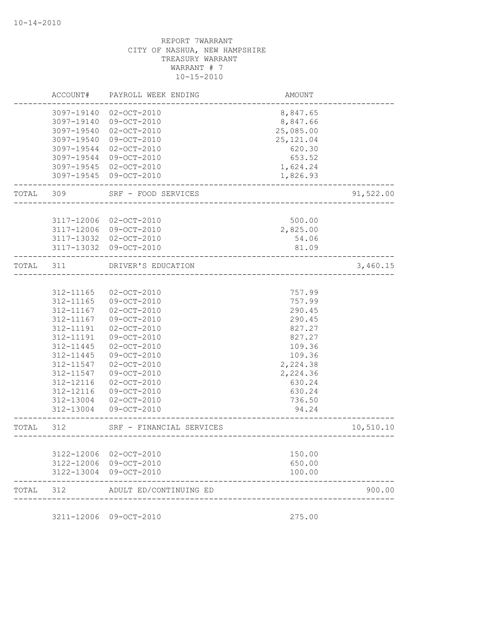|       | ACCOUNT#   | PAYROLL WEEK ENDING                   | AMOUNT              |           |
|-------|------------|---------------------------------------|---------------------|-----------|
|       | 3097-19140 | $02 - OCT - 2010$                     | 8,847.65            |           |
|       | 3097-19140 | $09 - OCT - 2010$                     | 8,847.66            |           |
|       | 3097-19540 | $02 - OCT - 2010$                     | 25,085.00           |           |
|       | 3097-19540 | $09 - OCT - 2010$                     | 25, 121.04          |           |
|       | 3097-19544 | $02 - OCT - 2010$                     | 620.30              |           |
|       | 3097-19544 | $09 - OCT - 2010$                     | 653.52              |           |
|       |            | 3097-19545 02-OCT-2010                | 1,624.24            |           |
|       |            | 3097-19545 09-OCT-2010                | 1,826.93            |           |
| TOTAL | 309        | SRF - FOOD SERVICES                   |                     | 91,522.00 |
|       |            |                                       |                     |           |
|       | 3117-12006 | 02-OCT-2010                           | 500.00              |           |
|       | 3117-12006 | 09-OCT-2010                           | 2,825.00            |           |
|       |            | 3117-13032 02-OCT-2010                | 54.06               |           |
|       | 3117-13032 | $09-0CT-2010$                         | 81.09<br>---------- |           |
| TOTAL | 311        | DRIVER'S EDUCATION                    |                     | 3,460.15  |
|       |            |                                       |                     |           |
|       | 312-11165  | $02 - OCT - 2010$                     | 757.99              |           |
|       | 312-11165  | 09-OCT-2010                           | 757.99              |           |
|       | 312-11167  | $02 - OCT - 2010$                     | 290.45              |           |
|       | 312-11167  | $09 - OCT - 2010$                     | 290.45              |           |
|       | 312-11191  | $02 - OCT - 2010$                     | 827.27              |           |
|       | 312-11191  | 09-OCT-2010                           | 827.27              |           |
|       | 312-11445  | $02 - OCT - 2010$                     | 109.36              |           |
|       | 312-11445  | 09-OCT-2010                           | 109.36              |           |
|       | 312-11547  | $02 - OCT - 2010$                     | 2,224.38            |           |
|       | 312-11547  | 09-OCT-2010                           | 2,224.36            |           |
|       | 312-12116  | $02 - OCT - 2010$                     | 630.24              |           |
|       | 312-12116  | $09 - OCT - 2010$                     | 630.24              |           |
|       | 312-13004  | 02-OCT-2010                           | 736.50              |           |
|       | 312-13004  | 09-OCT-2010                           | 94.24               |           |
| TOTAL | 312        | SRF - FINANCIAL SERVICES              |                     | 10,510.10 |
|       |            |                                       |                     |           |
|       |            | 3122-12006 02-OCT-2010                | 150.00              |           |
|       | 3122-13004 | 3122-12006 09-OCT-2010<br>09-OCT-2010 | 650.00<br>100.00    |           |
| TOTAL | 312        | ADULT ED/CONTINUING ED                |                     | 900.00    |

3211-12006 09-OCT-2010 275.00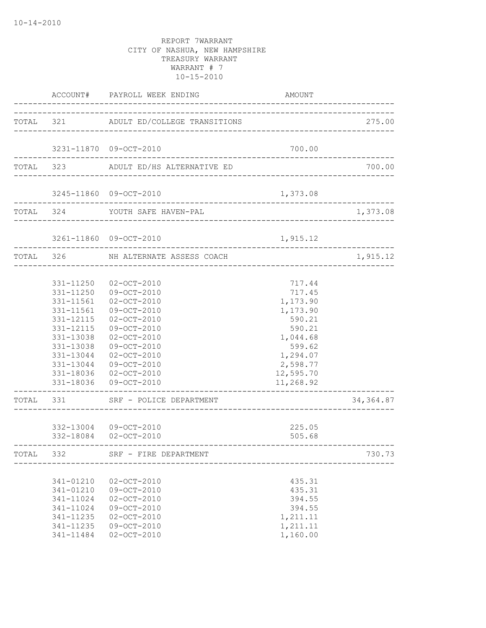|       |                                                                                                      | ACCOUNT# PAYROLL WEEK ENDING                                                                                                                                                                                                                                                                                         | AMOUNT                                                                                                                                                                  |            |
|-------|------------------------------------------------------------------------------------------------------|----------------------------------------------------------------------------------------------------------------------------------------------------------------------------------------------------------------------------------------------------------------------------------------------------------------------|-------------------------------------------------------------------------------------------------------------------------------------------------------------------------|------------|
|       |                                                                                                      | TOTAL 321 ADULT ED/COLLEGE TRANSITIONS                                                                                                                                                                                                                                                                               |                                                                                                                                                                         | 275.00     |
|       |                                                                                                      | 3231-11870 09-OCT-2010<br>________________                                                                                                                                                                                                                                                                           | 700.00                                                                                                                                                                  |            |
|       |                                                                                                      | TOTAL 323 ADULT ED/HS ALTERNATIVE ED                                                                                                                                                                                                                                                                                 |                                                                                                                                                                         | 700.00     |
|       |                                                                                                      | 3245-11860 09-OCT-2010<br>-----------------------------                                                                                                                                                                                                                                                              | 1,373.08                                                                                                                                                                |            |
|       |                                                                                                      | TOTAL 324 YOUTH SAFE HAVEN-PAL                                                                                                                                                                                                                                                                                       |                                                                                                                                                                         | 1,373.08   |
|       |                                                                                                      | 3261-11860 09-OCT-2010<br>_________________________                                                                                                                                                                                                                                                                  | 1,915.12                                                                                                                                                                |            |
|       | TOTAL 326                                                                                            | NH ALTERNATE ASSESS COACH                                                                                                                                                                                                                                                                                            |                                                                                                                                                                         | 1,915.12   |
|       | 331-11250<br>331-11561<br>331-11561<br>331-12115<br>331-12115<br>331-13038<br>331-13038<br>331-13044 | $02 - OCT - 2010$<br>331-11250 09-OCT-2010<br>$02 - OCT - 2010$<br>09-OCT-2010<br>$02 - OCT - 2010$<br>09-OCT-2010<br>$02 - OCT - 2010$<br>09-OCT-2010<br>$02 - OCT - 2010$<br>331-13044 09-OCT-2010<br>331-18036 02-OCT-2010<br>331-18036 09-OCT-2010<br>TOTAL 331 SRF - POLICE DEPARTMENT<br>332-13004 09-OCT-2010 | 717.44<br>717.45<br>1,173.90<br>1,173.90<br>590.21<br>590.21<br>1,044.68<br>599.62<br>1,294.07<br>2,598.77<br>12,595.70<br>11,268.92<br>_____________________<br>225.05 | 34, 364.87 |
|       |                                                                                                      | 332-18084 02-OCT-2010                                                                                                                                                                                                                                                                                                | 505.68                                                                                                                                                                  |            |
| TOTAL | 332                                                                                                  | SRF - FIRE DEPARTMENT                                                                                                                                                                                                                                                                                                |                                                                                                                                                                         | 730.73     |
|       | 341-01210<br>341-01210<br>341-11024<br>341-11024<br>341-11235<br>341-11235<br>341-11484              | $02 - OCT - 2010$<br>09-OCT-2010<br>$02 - OCT - 2010$<br>09-OCT-2010<br>$02 - OCT - 2010$<br>09-OCT-2010<br>$02 - OCT - 2010$                                                                                                                                                                                        | 435.31<br>435.31<br>394.55<br>394.55<br>1,211.11<br>1,211.11<br>1,160.00                                                                                                |            |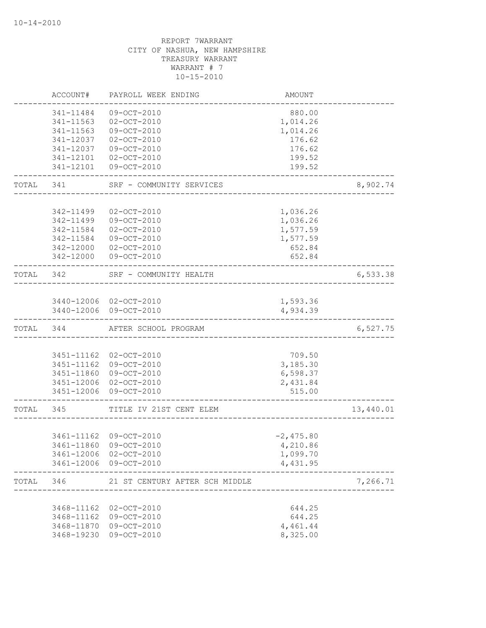|           | ACCOUNT#               | PAYROLL WEEK ENDING                              | AMOUNT                                |           |
|-----------|------------------------|--------------------------------------------------|---------------------------------------|-----------|
|           | 341-11484              | $09 - OCT - 2010$                                | 880.00                                |           |
|           | 341-11563              | $02 - OCT - 2010$                                | 1,014.26                              |           |
|           | 341-11563              | 09-OCT-2010                                      | 1,014.26                              |           |
|           | 341-12037              | $02 - OCT - 2010$                                | 176.62                                |           |
|           | 341-12037              | 09-OCT-2010                                      | 176.62                                |           |
|           | 341-12101              | $02 - OCT - 2010$                                | 199.52                                |           |
|           | 341-12101              | 09-OCT-2010                                      | 199.52                                |           |
| TOTAL     | 341                    | SRF - COMMUNITY SERVICES                         |                                       | 8,902.74  |
|           |                        |                                                  |                                       |           |
|           | 342-11499              | $02 - OCT - 2010$                                | 1,036.26                              |           |
|           | 342-11499              | 09-OCT-2010                                      | 1,036.26                              |           |
|           | 342-11584              | $02 - OCT - 2010$                                | 1,577.59                              |           |
|           | 342-11584<br>342-12000 | 09-OCT-2010                                      | 1,577.59<br>652.84                    |           |
|           | 342-12000              | $02 - OCT - 2010$<br>09-OCT-2010                 | 652.84                                |           |
| TOTAL     | 342                    | SRF - COMMUNITY HEALTH                           | _____________________________________ | 6,533.38  |
|           |                        |                                                  |                                       |           |
|           |                        | 3440-12006 02-OCT-2010                           | 1,593.36                              |           |
|           |                        | 3440-12006 09-OCT-2010                           | 4,934.39                              |           |
|           | TOTAL 344              | AFTER SCHOOL PROGRAM                             |                                       | 6,527.75  |
|           |                        |                                                  |                                       |           |
|           |                        | 3451-11162 02-OCT-2010                           | 709.50                                |           |
|           |                        | 3451-11162 09-OCT-2010                           | 3,185.30                              |           |
|           |                        | 3451-11860 09-OCT-2010                           | 6,598.37                              |           |
|           |                        | 3451-12006 02-OCT-2010<br>3451-12006 09-OCT-2010 | 2,431.84<br>515.00                    |           |
|           |                        |                                                  |                                       |           |
| TOTAL 345 |                        | TITLE IV 21ST CENT ELEM                          |                                       | 13,440.01 |
|           |                        | 3461-11162 09-OCT-2010                           | $-2,475.80$                           |           |
|           | 3461-11860             | 09-OCT-2010                                      | 4,210.86                              |           |
|           |                        | 3461-12006 02-OCT-2010                           | 1,099.70                              |           |
|           |                        | 3461-12006 09-OCT-2010                           | 4,431.95                              |           |
|           | TOTAL 346              | 21 ST CENTURY AFTER SCH MIDDLE                   |                                       | 7,266.71  |
|           |                        |                                                  |                                       |           |
|           | 3468-11162             | 02-OCT-2010                                      | 644.25                                |           |
|           | 3468-11162             | 09-OCT-2010                                      | 644.25                                |           |
|           | 3468-11870             | 09-OCT-2010                                      | 4,461.44                              |           |
|           | 3468-19230             | 09-OCT-2010                                      | 8,325.00                              |           |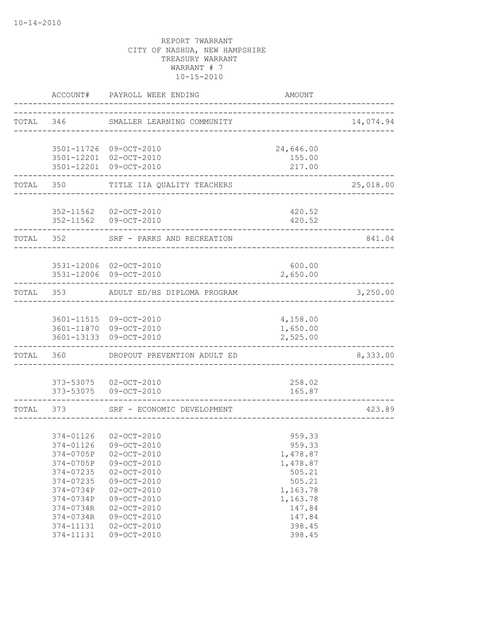|                | ACCOUNT# PAYROLL WEEK ENDING                   | AMOUNT                                 |           |
|----------------|------------------------------------------------|----------------------------------------|-----------|
|                | TOTAL 346 SMALLER LEARNING COMMUNITY           |                                        | 14,074.94 |
|                | 3501-11726 09-OCT-2010                         | 24,646.00                              |           |
|                | 3501-12201 02-OCT-2010                         | 155.00                                 |           |
|                | 3501-12201 09-OCT-2010                         | 217.00                                 |           |
| TOTAL 350      | TITLE IIA QUALITY TEACHERS                     | ______________________________________ | 25,018.00 |
|                |                                                |                                        |           |
|                | 352-11562 02-OCT-2010<br>352-11562 09-OCT-2010 | 420.52<br>420.52                       |           |
| TOTAL 352      | SRF - PARKS AND RECREATION                     |                                        | 841.04    |
|                |                                                |                                        |           |
|                | 3531-12006 02-OCT-2010                         | 600.00                                 |           |
| -------------- | 3531-12006 09-OCT-2010                         | 2,650.00                               |           |
|                | TOTAL 353 ADULT ED/HS DIPLOMA PROGRAM          |                                        | 3,250.00  |
|                |                                                |                                        |           |
|                | 3601-11515 09-OCT-2010                         | 4,158.00                               |           |
|                | 3601-11870 09-OCT-2010                         | 1,650.00                               |           |
|                | 3601-13133 09-OCT-2010                         | 2,525.00                               |           |
| TOTAL 360      | DROPOUT PREVENTION ADULT ED                    |                                        | 8,333.00  |
|                | 373-53075 02-OCT-2010                          | 258.02                                 |           |
|                | 373-53075 09-OCT-2010                          | 165.87                                 |           |
| TOTAL 373      | SRF - ECONOMIC DEVELOPMENT                     |                                        | 423.89    |
|                |                                                |                                        |           |
|                | 374-01126 02-OCT-2010                          | 959.33                                 |           |
|                | 374-01126 09-OCT-2010                          | 959.33                                 |           |
| 374-0705P      | $02 - OCT - 2010$                              | 1,478.87                               |           |
| 374-0705P      | 09-OCT-2010                                    | 1,478.87                               |           |
| 374-07235      | $02 - OCT - 2010$                              | 505.21                                 |           |
| 374-07235      | 09-OCT-2010                                    | 505.21                                 |           |
| 374-0734P      | $02 - OCT - 2010$                              | 1,163.78                               |           |
| 374-0734P      | 09-OCT-2010                                    | 1,163.78                               |           |
| 374-0734R      | $02 - OCT - 2010$                              | 147.84                                 |           |
| 374-0734R      | $09 - OCT - 2010$                              | 147.84                                 |           |
| 374-11131      | $02 - OCT - 2010$                              | 398.45                                 |           |
| 374-11131      | $09-OCT-2010$                                  | 398.45                                 |           |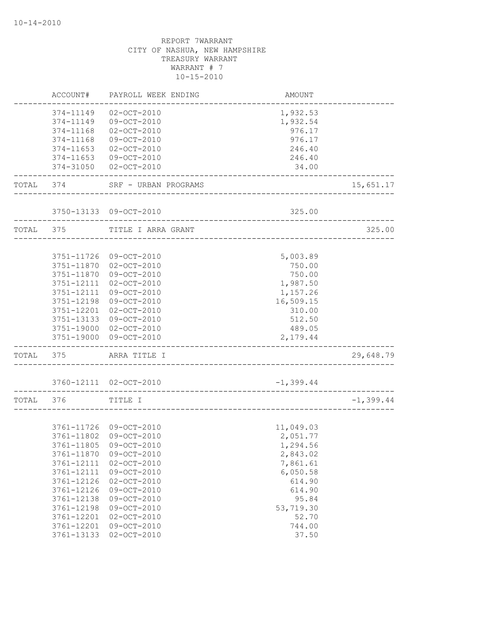|           | ACCOUNT#   | PAYROLL WEEK ENDING    | <b>AMOUNT</b> |              |
|-----------|------------|------------------------|---------------|--------------|
|           | 374-11149  | $02 - OCT - 2010$      | 1,932.53      |              |
|           | 374-11149  | 09-OCT-2010            | 1,932.54      |              |
|           | 374-11168  | $02 - OCT - 2010$      | 976.17        |              |
|           | 374-11168  | 09-OCT-2010            | 976.17        |              |
|           | 374-11653  | $02 - OCT - 2010$      | 246.40        |              |
|           | 374-11653  | 09-OCT-2010            | 246.40        |              |
|           | 374-31050  | $02 - OCT - 2010$      | 34.00         |              |
| TOTAL 374 |            | SRF - URBAN PROGRAMS   |               | 15,651.17    |
|           |            | 3750-13133 09-OCT-2010 | 325.00        |              |
|           |            |                        |               |              |
| TOTAL     | 375        | TITLE I ARRA GRANT     |               | 325.00       |
|           |            |                        |               |              |
|           | 3751-11726 | 09-OCT-2010            | 5,003.89      |              |
|           | 3751-11870 | $02 - OCT - 2010$      | 750.00        |              |
|           | 3751-11870 | 09-OCT-2010            | 750.00        |              |
|           | 3751-12111 | $02 - OCT - 2010$      | 1,987.50      |              |
|           | 3751-12111 | 09-OCT-2010            | 1,157.26      |              |
|           | 3751-12198 | 09-OCT-2010            | 16,509.15     |              |
|           | 3751-12201 | $02 - OCT - 2010$      | 310.00        |              |
|           | 3751-13133 | 09-OCT-2010            | 512.50        |              |
|           | 3751-19000 | $02 - OCT - 2010$      | 489.05        |              |
|           | 3751-19000 | 09-OCT-2010            | 2,179.44      |              |
| TOTAL     | 375        | ARRA TITLE I           |               | 29,648.79    |
|           |            | 3760-12111 02-OCT-2010 | $-1, 399.44$  |              |
|           |            |                        |               |              |
| TOTAL 376 |            | TITLE I                |               | $-1, 399.44$ |
|           |            |                        |               |              |
|           |            | 3761-11726 09-OCT-2010 | 11,049.03     |              |
|           | 3761-11802 | 09-OCT-2010            | 2,051.77      |              |
|           | 3761-11805 | 09-OCT-2010            | 1,294.56      |              |
|           | 3761-11870 | 09-OCT-2010            | 2,843.02      |              |
|           | 3761-12111 | $02 - OCT - 2010$      | 7,861.61      |              |
|           | 3761-12111 | 09-OCT-2010            | 6,050.58      |              |
|           | 3761-12126 | $02 - OCT - 2010$      | 614.90        |              |
|           | 3761-12126 | 09-OCT-2010            | 614.90        |              |
|           | 3761-12138 | 09-OCT-2010            | 95.84         |              |
|           | 3761-12198 | 09-OCT-2010            | 53,719.30     |              |
|           | 3761-12201 | $02 - OCT - 2010$      | 52.70         |              |
|           | 3761-12201 | 09-OCT-2010            | 744.00        |              |
|           | 3761-13133 | $02 - OCT - 2010$      | 37.50         |              |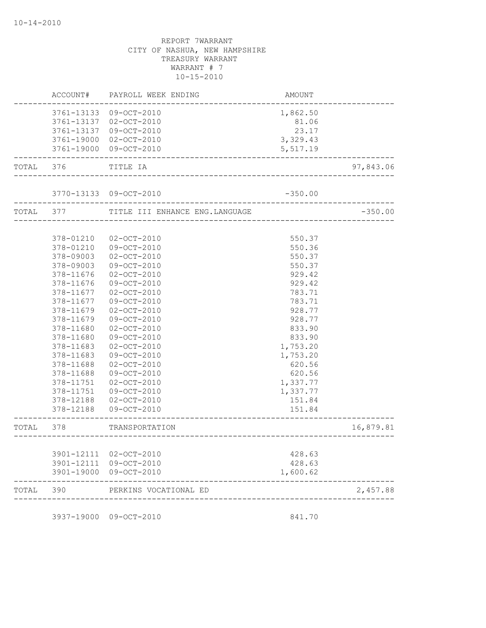|       | ACCOUNT#   | PAYROLL WEEK ENDING                       | AMOUNT    |           |
|-------|------------|-------------------------------------------|-----------|-----------|
|       | 3761-13133 | 09-OCT-2010                               | 1,862.50  |           |
|       | 3761-13137 | 02-OCT-2010                               | 81.06     |           |
|       | 3761-13137 | 09-OCT-2010                               | 23.17     |           |
|       |            | 3761-19000 02-OCT-2010                    | 3,329.43  |           |
|       |            | 3761-19000 09-OCT-2010                    | 5,517.19  |           |
| TOTAL | 376        | TITLE IA                                  |           | 97,843.06 |
|       |            | 3770-13133 09-OCT-2010                    | $-350.00$ |           |
|       |            | TOTAL 377 TITLE III ENHANCE ENG. LANGUAGE |           | $-350.00$ |
|       |            |                                           |           |           |
|       | 378-01210  | $02 - OCT - 2010$                         | 550.37    |           |
|       | 378-01210  | 09-OCT-2010                               | 550.36    |           |
|       | 378-09003  | $02 - OCT - 2010$                         | 550.37    |           |
|       | 378-09003  | 09-OCT-2010                               | 550.37    |           |
|       | 378-11676  | $02 - OCT - 2010$                         | 929.42    |           |
|       | 378-11676  | 09-OCT-2010                               | 929.42    |           |
|       | 378-11677  | $02 - OCT - 2010$                         | 783.71    |           |
|       | 378-11677  | 09-OCT-2010                               | 783.71    |           |
|       | 378-11679  | $02 - OCT - 2010$                         | 928.77    |           |
|       | 378-11679  | 09-OCT-2010                               | 928.77    |           |
|       | 378-11680  | $02 - OCT - 2010$                         | 833.90    |           |
|       | 378-11680  | 09-OCT-2010                               | 833.90    |           |
|       | 378-11683  | $02 - OCT - 2010$                         | 1,753.20  |           |
|       | 378-11683  | 09-OCT-2010                               | 1,753.20  |           |
|       | 378-11688  | $02 - OCT - 2010$                         | 620.56    |           |
|       | 378-11688  | 09-OCT-2010                               | 620.56    |           |
|       | 378-11751  | $02 - OCT - 2010$                         | 1,337.77  |           |
|       | 378-11751  | 09-OCT-2010                               | 1,337.77  |           |
|       | 378-12188  | 02-OCT-2010                               | 151.84    |           |
|       | 378-12188  | $09 - OCT - 2010$                         | 151.84    |           |
| TOTAL | 378        | TRANSPORTATION                            |           | 16,879.81 |
|       |            |                                           |           |           |
|       | 3901-12111 | 02-OCT-2010                               | 428.63    |           |
|       | 3901-12111 | 09-OCT-2010                               | 428.63    |           |
|       | 3901-19000 | 09-OCT-2010                               | 1,600.62  |           |
| TOTAL | 390        | PERKINS VOCATIONAL ED                     |           | 2,457.88  |
|       |            |                                           |           |           |

3937-19000 09-OCT-2010 841.70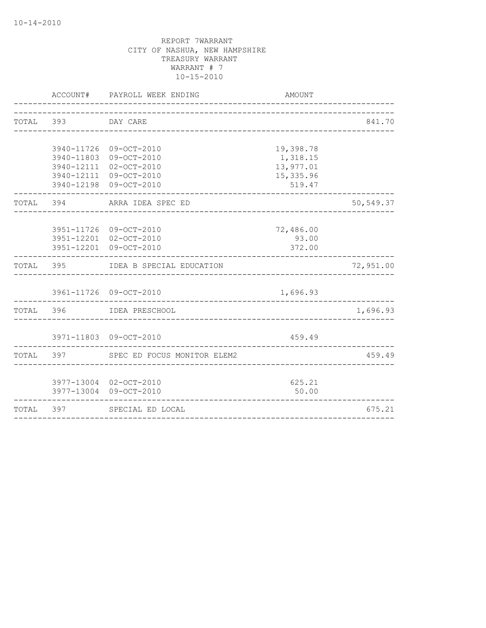|           |                    | ACCOUNT# PAYROLL WEEK ENDING                     | AMOUNT               |           |
|-----------|--------------------|--------------------------------------------------|----------------------|-----------|
|           | TOTAL 393 DAY CARE |                                                  |                      | 841.70    |
|           |                    |                                                  |                      |           |
|           |                    | 3940-11726 09-OCT-2010                           | 19,398.78            |           |
|           |                    | 3940-11803 09-OCT-2010                           | 1,318.15             |           |
|           |                    | 3940-12111 02-OCT-2010                           | 13,977.01            |           |
|           |                    | 3940-12111 09-OCT-2010<br>3940-12198 09-OCT-2010 | 15, 335.96<br>519.47 |           |
|           | TOTAL 394          | ARRA IDEA SPEC ED                                |                      | 50,549.37 |
|           |                    |                                                  |                      |           |
|           |                    | 3951-11726 09-OCT-2010<br>3951-12201 02-OCT-2010 | 72,486.00<br>93.00   |           |
|           |                    | 3951-12201 09-OCT-2010                           | 372.00               |           |
|           |                    | TOTAL 395 IDEA B SPECIAL EDUCATION               |                      | 72,951.00 |
|           |                    | 3961-11726 09-OCT-2010                           | 1,696.93             |           |
|           | TOTAL 396          | IDEA PRESCHOOL                                   |                      | 1,696.93  |
|           |                    |                                                  |                      |           |
|           |                    | 3971-11803 09-OCT-2010                           | 459.49               |           |
|           |                    | TOTAL 397 SPEC ED FOCUS MONITOR ELEM2            |                      | 459.49    |
|           |                    | 3977-13004 02-OCT-2010                           | 625.21               |           |
|           |                    | 3977-13004 09-OCT-2010                           | 50.00                |           |
| TOTAL 397 |                    | SPECIAL ED LOCAL                                 |                      | 675.21    |
|           |                    |                                                  |                      |           |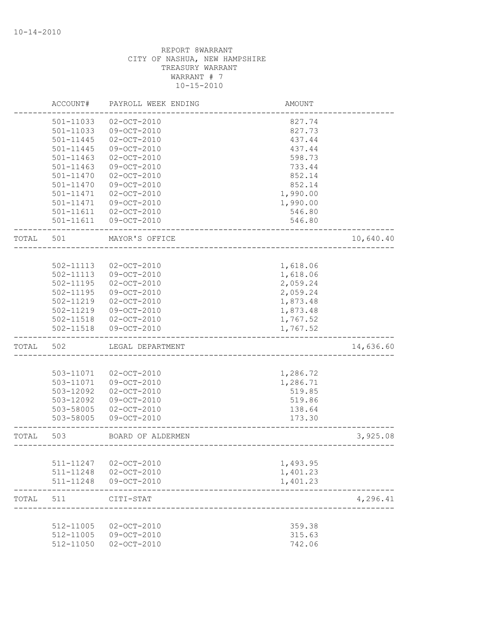|       | ACCOUNT#      | PAYROLL WEEK ENDING | AMOUNT   |           |
|-------|---------------|---------------------|----------|-----------|
|       | 501-11033     | $02 - OCT - 2010$   | 827.74   |           |
|       | 501-11033     | 09-OCT-2010         | 827.73   |           |
|       | 501-11445     | $02 - OCT - 2010$   | 437.44   |           |
|       | 501-11445     | 09-OCT-2010         | 437.44   |           |
|       | 501-11463     | $02 - OCT - 2010$   | 598.73   |           |
|       | $501 - 11463$ | 09-OCT-2010         | 733.44   |           |
|       | 501-11470     | $02 - OCT - 2010$   | 852.14   |           |
|       | 501-11470     | 09-OCT-2010         | 852.14   |           |
|       | 501-11471     | $02 - OCT - 2010$   | 1,990.00 |           |
|       | 501-11471     | 09-OCT-2010         | 1,990.00 |           |
|       | 501-11611     | $02 - OCT - 2010$   | 546.80   |           |
|       | 501-11611     | 09-OCT-2010         | 546.80   |           |
| TOTAL | 501           | MAYOR'S OFFICE      |          | 10,640.40 |
|       |               |                     |          |           |
|       | 502-11113     | $02 - OCT - 2010$   | 1,618.06 |           |
|       | 502-11113     | 09-OCT-2010         | 1,618.06 |           |
|       | 502-11195     | $02 - OCT - 2010$   | 2,059.24 |           |
|       | 502-11195     | 09-OCT-2010         | 2,059.24 |           |
|       | 502-11219     | $02 - OCT - 2010$   | 1,873.48 |           |
|       | 502-11219     | 09-OCT-2010         | 1,873.48 |           |
|       | 502-11518     | $02 - OCT - 2010$   | 1,767.52 |           |
|       | 502-11518     | 09-OCT-2010         | 1,767.52 |           |
| TOTAL | 502           | LEGAL DEPARTMENT    |          | 14,636.60 |
|       |               |                     |          |           |
|       | 503-11071     | $02 - OCT - 2010$   | 1,286.72 |           |
|       | 503-11071     | 09-OCT-2010         | 1,286.71 |           |
|       | 503-12092     | $02 - OCT - 2010$   | 519.85   |           |
|       | 503-12092     | 09-OCT-2010         | 519.86   |           |
|       | 503-58005     | $02 - OCT - 2010$   | 138.64   |           |
|       | 503-58005     | 09-OCT-2010         | 173.30   |           |
| TOTAL | 503           | BOARD OF ALDERMEN   |          | 3,925.08  |
|       |               |                     |          |           |
|       | 511-11247     | $02 - OCT - 2010$   | 1,493.95 |           |
|       | 511-11248     | $02 - OCT - 2010$   | 1,401.23 |           |
|       | 511-11248     | 09-OCT-2010         | 1,401.23 |           |
| TOTAL | 511           | CITI-STAT           |          | 4,296.41  |
|       |               |                     |          |           |
|       | 512-11005     | 02-OCT-2010         | 359.38   |           |
|       | 512-11005     | 09-OCT-2010         | 315.63   |           |
|       | 512-11050     | $02 - OCT - 2010$   | 742.06   |           |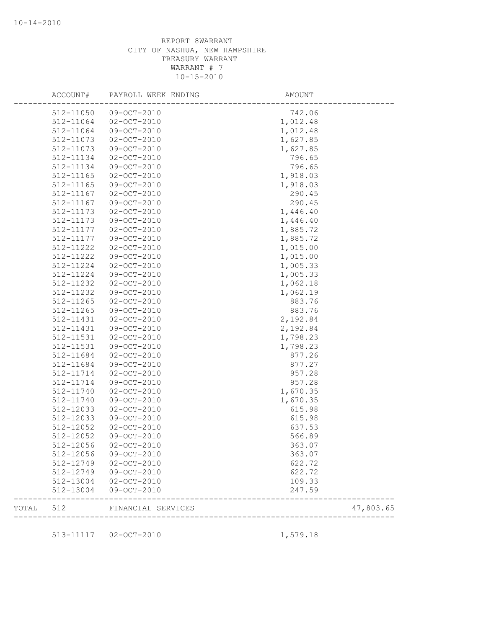| ACCOUNT#  | PAYROLL WEEK ENDING          | AMOUNT                            |           |
|-----------|------------------------------|-----------------------------------|-----------|
| 512-11050 | 09-OCT-2010                  | 742.06                            |           |
| 512-11064 | 02-OCT-2010                  | 1,012.48                          |           |
| 512-11064 | 09-OCT-2010                  | 1,012.48                          |           |
| 512-11073 | $02 - OCT - 2010$            | 1,627.85                          |           |
| 512-11073 | 09-OCT-2010                  | 1,627.85                          |           |
| 512-11134 | $02 - OCT - 2010$            | 796.65                            |           |
| 512-11134 | 09-OCT-2010                  | 796.65                            |           |
| 512-11165 | $02 - OCT - 2010$            | 1,918.03                          |           |
| 512-11165 | 09-OCT-2010                  | 1,918.03                          |           |
| 512-11167 | $02 - OCT - 2010$            | 290.45                            |           |
| 512-11167 | 09-OCT-2010                  | 290.45                            |           |
| 512-11173 | $02 - OCT - 2010$            | 1,446.40                          |           |
| 512-11173 | 09-OCT-2010                  | 1,446.40                          |           |
| 512-11177 | $02 - OCT - 2010$            | 1,885.72                          |           |
| 512-11177 | 09-OCT-2010                  | 1,885.72                          |           |
| 512-11222 | $02 - OCT - 2010$            | 1,015.00                          |           |
| 512-11222 | 09-OCT-2010                  | 1,015.00                          |           |
| 512-11224 | $02 - OCT - 2010$            | 1,005.33                          |           |
| 512-11224 | 09-OCT-2010                  | 1,005.33                          |           |
| 512-11232 | $02 - OCT - 2010$            | 1,062.18                          |           |
| 512-11232 | 09-OCT-2010                  | 1,062.19                          |           |
| 512-11265 | $02 - OCT - 2010$            | 883.76                            |           |
| 512-11265 | 09-OCT-2010                  | 883.76                            |           |
| 512-11431 | $02 - OCT - 2010$            | 2,192.84                          |           |
| 512-11431 | 09-OCT-2010                  | 2,192.84                          |           |
| 512-11531 | $02 - OCT - 2010$            | 1,798.23                          |           |
| 512-11531 | 09-OCT-2010                  | 1,798.23                          |           |
| 512-11684 | $02 - OCT - 2010$            | 877.26                            |           |
| 512-11684 | $09-OCT-2010$                | 877.27                            |           |
| 512-11714 |                              |                                   |           |
|           | $02 - OCT - 2010$            | 957.28                            |           |
| 512-11714 | 09-OCT-2010                  | 957.28                            |           |
| 512-11740 | $02 - OCT - 2010$            | 1,670.35                          |           |
| 512-11740 | 09-OCT-2010                  | 1,670.35                          |           |
| 512-12033 | $02 - OCT - 2010$            | 615.98                            |           |
| 512-12033 | 09-OCT-2010                  | 615.98                            |           |
| 512-12052 | $02 - OCT - 2010$            | 637.53                            |           |
| 512-12052 | 09-OCT-2010                  | 566.89                            |           |
| 512-12056 | $02 - OCT - 2010$            | 363.07                            |           |
| 512-12056 | 09-OCT-2010                  | 363.07                            |           |
| 512-12749 | 02-OCT-2010                  | 622.72                            |           |
| 512-12749 | 09-OCT-2010                  | 622.72                            |           |
| 512-13004 | 02-OCT-2010                  | 109.33                            |           |
| 512-13004 | 09-OCT-2010                  | 247.59                            |           |
|           | TOTAL 512 FINANCIAL SERVICES | --------------------------------- | 47,803.65 |
|           |                              |                                   |           |
|           | 513-11117  02-OCT-2010       | 1,579.18                          |           |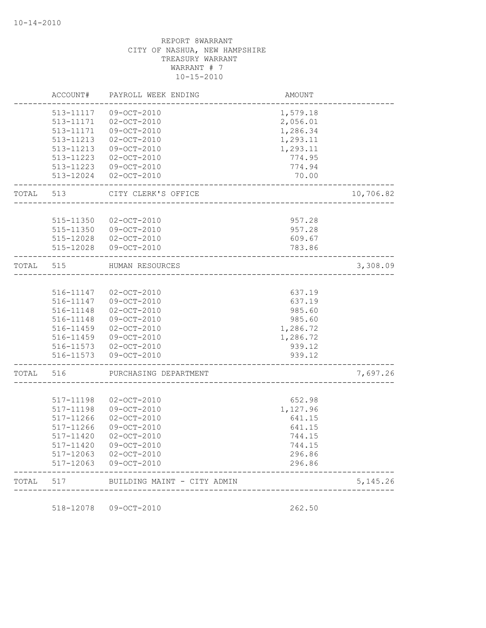|       | ACCOUNT#  | PAYROLL WEEK ENDING         | AMOUNT        |            |
|-------|-----------|-----------------------------|---------------|------------|
|       | 513-11117 | 09-OCT-2010                 | 1,579.18      |            |
|       | 513-11171 | $02 - OCT - 2010$           | 2,056.01      |            |
|       | 513-11171 | 09-OCT-2010                 | 1,286.34      |            |
|       | 513-11213 | $02 - OCT - 2010$           | 1,293.11      |            |
|       | 513-11213 | 09-OCT-2010                 | 1,293.11      |            |
|       | 513-11223 | $02 - OCT - 2010$           | 774.95        |            |
|       | 513-11223 | $09 - OCT - 2010$           | 774.94        |            |
|       | 513-12024 | $02 - OCT - 2010$           | 70.00         |            |
| TOTAL | 513       | CITY CLERK'S OFFICE         |               | 10,706.82  |
|       |           |                             |               |            |
|       | 515-11350 | $02 - OCT - 2010$           | 957.28        |            |
|       | 515-11350 | 09-OCT-2010                 | 957.28        |            |
|       |           | 515-12028 02-OCT-2010       | 609.67        |            |
|       | 515-12028 | 09-OCT-2010                 | 783.86        |            |
| TOTAL | 515       | HUMAN RESOURCES             |               | 3,308.09   |
|       |           |                             |               |            |
|       | 516-11147 | $02 - OCT - 2010$           | 637.19        |            |
|       | 516-11147 | 09-OCT-2010                 | 637.19        |            |
|       | 516-11148 | $02 - OCT - 2010$           | 985.60        |            |
|       | 516-11148 | $09 - OCT - 2010$           | 985.60        |            |
|       | 516-11459 | $02 - OCT - 2010$           | 1,286.72      |            |
|       | 516-11459 | $09 - OCT - 2010$           | 1,286.72      |            |
|       | 516-11573 | $02 - OCT - 2010$           | 939.12        |            |
|       | 516-11573 | $09 - OCT - 2010$           | 939.12        |            |
| TOTAL | 516       | PURCHASING DEPARTMENT       |               | 7,697.26   |
|       |           |                             |               |            |
|       | 517-11198 | $02 - OCT - 2010$           | 652.98        |            |
|       | 517-11198 | 09-OCT-2010                 | 1,127.96      |            |
|       | 517-11266 | $02 - OCT - 2010$           | 641.15        |            |
|       | 517-11266 | $09 - OCT - 2010$           | 641.15        |            |
|       | 517-11420 | $02 - OCT - 2010$           | 744.15        |            |
|       | 517-11420 | $09-OCT-2010$               | 744.15        |            |
|       | 517-12063 | $02 - OCT - 2010$           | 296.86        |            |
|       | 517-12063 | $09 - OCT - 2010$           | 296.86        |            |
| TOTAL | 517       | BUILDING MAINT - CITY ADMIN | _____________ | 5, 145. 26 |
|       |           |                             |               |            |

518-12078 09-OCT-2010 262.50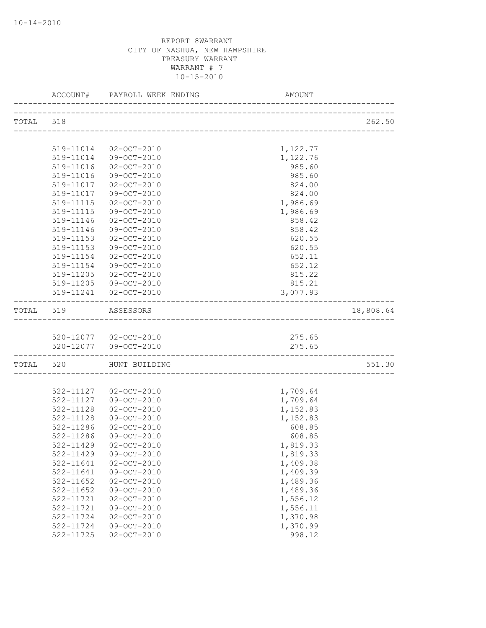|           |                     |                                      | AMOUNT               |           |
|-----------|---------------------|--------------------------------------|----------------------|-----------|
| TOTAL 518 |                     |                                      |                      | 262.50    |
|           |                     |                                      |                      |           |
|           |                     | 519-11014 02-OCT-2010                | 1,122.77             |           |
|           |                     | 519-11014 09-OCT-2010                | 1,122.76             |           |
|           |                     | 519-11016 02-OCT-2010                | 985.60               |           |
|           |                     | 519-11016 09-OCT-2010                | 985.60               |           |
|           |                     | 519-11017  02-OCT-2010               | 824.00               |           |
|           |                     | 519-11017 09-OCT-2010                | 824.00               |           |
|           | 519-11115           | $02 - OCT - 2010$                    | 1,986.69             |           |
|           | 519-11115           | 09-OCT-2010                          | 1,986.69             |           |
|           | 519-11146           | 02-OCT-2010                          | 858.42               |           |
|           | 519-11146           | 09-OCT-2010                          | 858.42               |           |
|           | 519-11153           | $02 - OCT - 2010$                    | 620.55               |           |
|           | 519-11153           | 09-OCT-2010                          | 620.55               |           |
|           | 519-11154           | $02 - OCT - 2010$                    | 652.11               |           |
|           | 519-11154           | 09-OCT-2010                          | 652.12               |           |
|           |                     | 519-11205 02-OCT-2010                | 815.22               |           |
|           |                     | 519-11205 09-OCT-2010                | 815.21               |           |
|           |                     | 519-11241  02-OCT-2010               | 3,077.93             |           |
|           | TOTAL 519 ASSESSORS |                                      |                      | 18,808.64 |
|           |                     |                                      |                      |           |
|           |                     | 520-12077 02-OCT-2010                | 275.65               |           |
|           | _________________   | 520-12077 09-OCT-2010                | 275.65               |           |
|           |                     | TOTAL 520 HUNT BUILDING              |                      | 551.30    |
|           |                     |                                      |                      |           |
|           |                     | 522-11127 02-OCT-2010                | 1,709.64             |           |
|           |                     | 522-11127 09-OCT-2010                | 1,709.64             |           |
|           | 522-11128           | $02 - OCT - 2010$                    | 1,152.83             |           |
|           | 522-11128           | 09-OCT-2010                          | 1,152.83             |           |
|           | 522-11286           | $02 - OCT - 2010$                    | 608.85               |           |
|           | 522-11286           | 09-OCT-2010                          | 608.85               |           |
|           | 522-11429           | 522-11429 02-OCT-2010<br>09-OCT-2010 | 1,819.33<br>1,819.33 |           |
|           | 522-11641           | $02 - OCT - 2010$                    | 1,409.38             |           |
|           | 522-11641           | 09-OCT-2010                          | 1,409.39             |           |
|           | 522-11652           | $02 - OCT - 2010$                    | 1,489.36             |           |
|           | $522 - 11652$       | 09-OCT-2010                          | 1,489.36             |           |
|           | 522-11721           | $02 - OCT - 2010$                    | 1,556.12             |           |
|           | 522-11721           | 09-OCT-2010                          | 1,556.11             |           |
|           | 522-11724           | $02 - OCT - 2010$                    | 1,370.98             |           |
|           | 522-11724           | $09 - OCT - 2010$                    | 1,370.99             |           |
|           | 522-11725           | $02 - OCT - 2010$                    | 998.12               |           |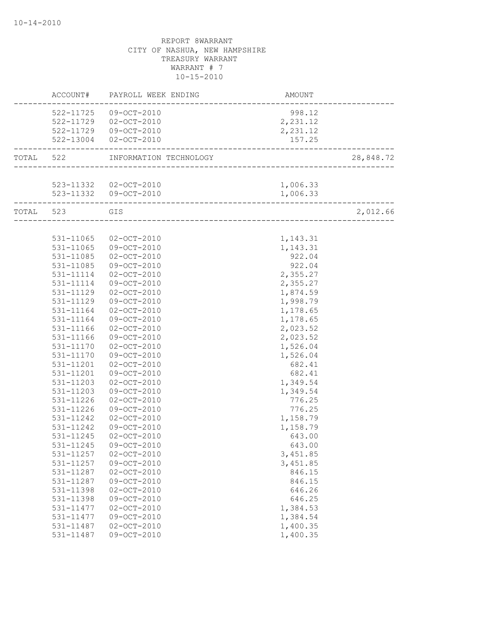|           |                        | ACCOUNT# PAYROLL WEEK ENDING                            | AMOUNT                          |           |
|-----------|------------------------|---------------------------------------------------------|---------------------------------|-----------|
|           |                        | 522-11725 09-OCT-2010                                   | 998.12                          |           |
|           |                        | 522-11729 02-OCT-2010                                   | 2,231.12                        |           |
|           |                        | 522-11729 09-OCT-2010                                   | 2,231.12                        |           |
|           |                        | 522-13004 02-OCT-2010                                   | 157.25<br>_____________________ |           |
| TOTAL 522 |                        | INFORMATION TECHNOLOGY                                  |                                 | 28,848.72 |
|           |                        |                                                         |                                 |           |
|           |                        | 523-11332 02-OCT-2010                                   | 1,006.33                        |           |
|           |                        | 523-11332 09-OCT-2010<br>------------------------------ | 1,006.33                        |           |
|           | TOTAL 523              | GIS                                                     |                                 | 2,012.66  |
|           |                        |                                                         |                                 |           |
|           | 531-11065              | $02 - OCT - 2010$                                       | 1,143.31                        |           |
|           | 531-11065              | 09-OCT-2010                                             | 1,143.31                        |           |
|           | 531-11085              | $02 - OCT - 2010$                                       | 922.04                          |           |
|           | 531-11085              | 09-OCT-2010                                             | 922.04                          |           |
|           | 531-11114              | $02 - OCT - 2010$                                       | 2,355.27                        |           |
|           | 531-11114              | 09-OCT-2010                                             | 2,355.27                        |           |
|           | 531-11129              | $02 - OCT - 2010$                                       | 1,874.59                        |           |
|           | 531-11129              | 09-OCT-2010                                             | 1,998.79                        |           |
|           | 531-11164              | 02-OCT-2010                                             | 1,178.65                        |           |
|           | 531-11164              | 09-OCT-2010                                             | 1,178.65                        |           |
|           | 531-11166              | $02 - OCT - 2010$                                       | 2,023.52                        |           |
|           | 531-11166              | 09-OCT-2010                                             | 2,023.52                        |           |
|           | 531-11170              | $02 - OCT - 2010$                                       | 1,526.04                        |           |
|           | 531-11170              | 09-OCT-2010                                             | 1,526.04                        |           |
|           | 531-11201              | $02 - OCT - 2010$                                       | 682.41                          |           |
|           | 531-11201<br>531-11203 | 09-OCT-2010<br>$02 - OCT - 2010$                        | 682.41<br>1,349.54              |           |
|           |                        |                                                         |                                 |           |
|           | 531-11203<br>531-11226 | 09-OCT-2010<br>$02 - OCT - 2010$                        | 1,349.54<br>776.25              |           |
|           | 531-11226              | 09-OCT-2010                                             | 776.25                          |           |
|           | 531-11242              | $02 - OCT - 2010$                                       | 1,158.79                        |           |
|           | 531-11242              | 09-OCT-2010                                             | 1,158.79                        |           |
|           | 531-11245              | $02 - OCT - 2010$                                       | 643.00                          |           |
|           | 531-11245              | 09-OCT-2010                                             | 643.00                          |           |
|           | 531-11257              | $02 - OCT - 2010$                                       | 3,451.85                        |           |
|           | 531-11257              | $09 - OCT - 2010$                                       | 3,451.85                        |           |
|           | 531-11287              | $02 - OCT - 2010$                                       | 846.15                          |           |
|           | 531-11287              | 09-OCT-2010                                             | 846.15                          |           |
|           | 531-11398              | $02 - OCT - 2010$                                       | 646.26                          |           |
|           | 531-11398              | 09-OCT-2010                                             | 646.25                          |           |
|           | 531-11477              | $02 - OCT - 2010$                                       | 1,384.53                        |           |
|           | 531-11477              | 09-OCT-2010                                             | 1,384.54                        |           |
|           | 531-11487              | $02 - OCT - 2010$                                       | 1,400.35                        |           |
|           | 531-11487              | 09-OCT-2010                                             | 1,400.35                        |           |
|           |                        |                                                         |                                 |           |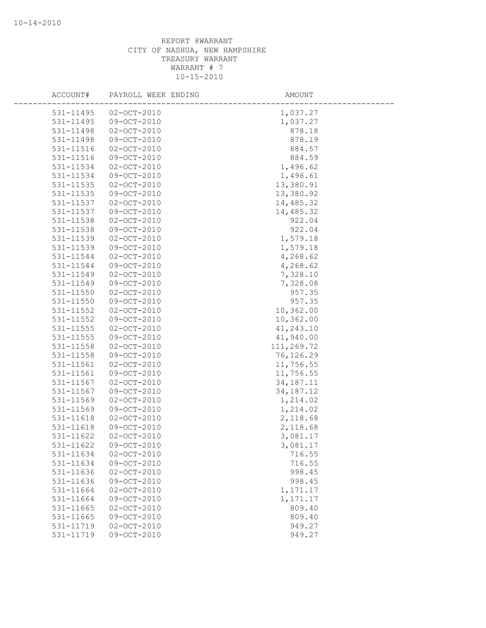| ACCOUNT#      | PAYROLL WEEK ENDING | AMOUNT      |
|---------------|---------------------|-------------|
| 531-11495     | $02 - OCT - 2010$   | 1,037.27    |
| 531-11495     | $09 - OCT - 2010$   | 1,037.27    |
| 531-11498     | $02 - OCT - 2010$   | 878.18      |
| 531-11498     | 09-OCT-2010         | 878.19      |
| 531-11516     | $02 - OCT - 2010$   | 884.57      |
| 531-11516     | $09 - OCT - 2010$   | 884.59      |
| 531-11534     | $02 - OCT - 2010$   | 1,496.62    |
| 531-11534     | 09-OCT-2010         | 1,496.61    |
| 531-11535     | $02 - OCT - 2010$   | 13,380.91   |
| 531-11535     | $09 - OCT - 2010$   | 13,380.92   |
| 531-11537     | $02 - OCT - 2010$   | 14,485.32   |
| 531-11537     | 09-OCT-2010         | 14,485.32   |
| 531-11538     | $02 - OCT - 2010$   | 922.04      |
| 531-11538     | 09-OCT-2010         | 922.04      |
| 531-11539     | $02 - OCT - 2010$   | 1,579.18    |
| 531-11539     | 09-OCT-2010         | 1,579.18    |
| 531-11544     | $02 - OCT - 2010$   | 4,268.62    |
| 531-11544     | 09-OCT-2010         | 4,268.62    |
| 531-11549     | $02 - OCT - 2010$   | 7,328.10    |
| 531-11549     | $09 - OCT - 2010$   | 7,328.08    |
| 531-11550     | $02 - OCT - 2010$   | 957.35      |
| 531-11550     | 09-OCT-2010         | 957.35      |
| 531-11552     | $02 - OCT - 2010$   | 10,362.00   |
| 531-11552     | $09 - OCT - 2010$   | 10,362.00   |
| 531-11555     | $02 - OCT - 2010$   | 41,243.10   |
| $531 - 11555$ | 09-OCT-2010         | 41,940.00   |
| 531-11558     | $02 - OCT - 2010$   | 111,269.72  |
| 531-11558     | 09-OCT-2010         | 76,126.29   |
| 531-11561     | $02 - OCT - 2010$   | 11,756.55   |
| 531-11561     | 09-OCT-2010         | 11,756.55   |
| 531-11567     | $02 - OCT - 2010$   | 34, 187. 11 |
| 531-11567     | 09-OCT-2010         | 34, 187. 12 |
| 531-11569     | $02 - OCT - 2010$   | 1,214.02    |
| 531-11569     | 09-OCT-2010         | 1,214.02    |
| 531-11618     | $02 - OCT - 2010$   | 2,118.68    |
| 531-11618     | 09-OCT-2010         | 2,118.68    |
| 531-11622     | $02 - OCT - 2010$   | 3,081.17    |
| 531-11622     | 09-OCT-2010         | 3,081.17    |
| 531-11634     | $02 - OCT - 2010$   | 716.55      |
| 531-11634     | 09-OCT-2010         | 716.55      |
| 531-11636     | $02 - OCT - 2010$   | 998.45      |
| 531-11636     | 09-OCT-2010         | 998.45      |
| 531-11664     | $02 - OCT - 2010$   | 1,171.17    |
| 531-11664     | 09-OCT-2010         | 1,171.17    |
| 531-11665     | $02 - OCT - 2010$   | 809.40      |
| 531-11665     | $09 - OCT - 2010$   | 809.40      |
| 531-11719     | $02 - OCT - 2010$   | 949.27      |
| 531-11719     | 09-OCT-2010         | 949.27      |
|               |                     |             |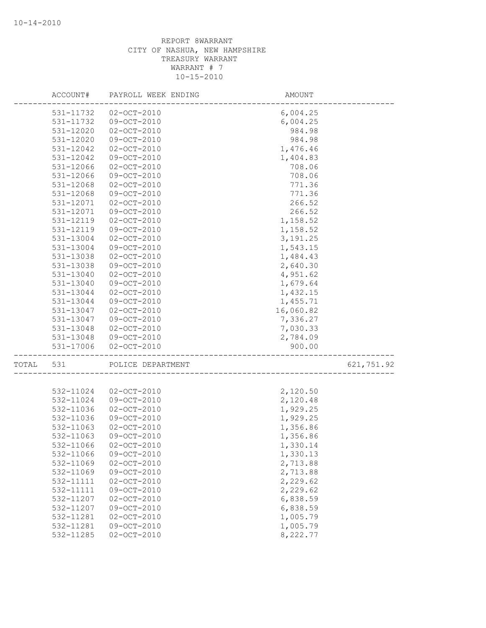|       | ACCOUNT#      | PAYROLL WEEK ENDING | AMOUNT    |            |
|-------|---------------|---------------------|-----------|------------|
|       | 531-11732     | $02 - OCT - 2010$   | 6,004.25  |            |
|       | 531-11732     | 09-OCT-2010         | 6,004.25  |            |
|       | 531-12020     | $02 - OCT - 2010$   | 984.98    |            |
|       | 531-12020     | 09-OCT-2010         | 984.98    |            |
|       | 531-12042     | $02 - OCT - 2010$   | 1,476.46  |            |
|       | 531-12042     | 09-OCT-2010         | 1,404.83  |            |
|       | 531-12066     | $02 - OCT - 2010$   | 708.06    |            |
|       | 531-12066     | $09 - OCT - 2010$   | 708.06    |            |
|       | 531-12068     | $02 - OCT - 2010$   | 771.36    |            |
|       | 531-12068     | 09-OCT-2010         | 771.36    |            |
|       | 531-12071     | $02 - OCT - 2010$   | 266.52    |            |
|       | 531-12071     | 09-OCT-2010         | 266.52    |            |
|       | 531-12119     | $02 - OCT - 2010$   | 1,158.52  |            |
|       | 531-12119     | 09-OCT-2010         | 1,158.52  |            |
|       | 531-13004     | $02 - OCT - 2010$   | 3, 191.25 |            |
|       | 531-13004     | 09-OCT-2010         | 1,543.15  |            |
|       | 531-13038     | $02 - OCT - 2010$   | 1,484.43  |            |
|       | 531-13038     | 09-OCT-2010         | 2,640.30  |            |
|       | $531 - 13040$ | $02 - OCT - 2010$   | 4,951.62  |            |
|       | 531-13040     | 09-OCT-2010         | 1,679.64  |            |
|       | 531-13044     | $02 - OCT - 2010$   | 1,432.15  |            |
|       | 531-13044     | 09-OCT-2010         | 1,455.71  |            |
|       | 531-13047     | $02 - OCT - 2010$   | 16,060.82 |            |
|       | 531-13047     | 09-OCT-2010         | 7,336.27  |            |
|       | 531-13048     | $02 - OCT - 2010$   | 7,030.33  |            |
|       | 531-13048     | 09-OCT-2010         | 2,784.09  |            |
|       | 531-17006     | $02 - OCT - 2010$   | 900.00    |            |
| TOTAL | 531           | POLICE DEPARTMENT   |           | 621,751.92 |
|       |               |                     |           |            |
|       | 532-11024     | $02 - OCT - 2010$   | 2,120.50  |            |
|       | 532-11024     | 09-OCT-2010         | 2,120.48  |            |
|       | 532-11036     | $02 - OCT - 2010$   | 1,929.25  |            |
|       | 532-11036     | 09-OCT-2010         | 1,929.25  |            |
|       | 532-11063     | $02 - OCT - 2010$   | 1,356.86  |            |
|       | 532-11063     | $09 - OCT - 2010$   | 1,356.86  |            |
|       | 532-11066     | $02 - OCT - 2010$   | 1,330.14  |            |
|       | 532-11066     | 09-OCT-2010         | 1,330.13  |            |
|       | 532-11069     | $02 - OCT - 2010$   | 2,713.88  |            |
|       | 532-11069     | 09-OCT-2010         | 2,713.88  |            |
|       | 532-11111     | $02 - OCT - 2010$   | 2,229.62  |            |
|       | 532-11111     | 09-OCT-2010         | 2,229.62  |            |
|       | 532-11207     | $02 - OCT - 2010$   | 6,838.59  |            |
|       | 532-11207     | 09-OCT-2010         | 6,838.59  |            |
|       | 532-11281     | $02 - OCT - 2010$   | 1,005.79  |            |
|       | 532-11281     | 09-OCT-2010         | 1,005.79  |            |
|       | 532-11285     | $02 - OCT - 2010$   | 8,222.77  |            |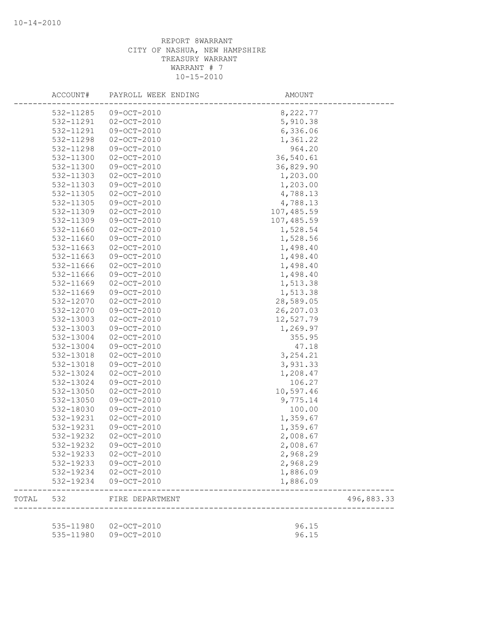| ACCOUNT#  | PAYROLL WEEK ENDING   | AMOUNT     |            |
|-----------|-----------------------|------------|------------|
| 532-11285 | 09-OCT-2010           | 8,222.77   |            |
| 532-11291 | $02 - OCT - 2010$     | 5,910.38   |            |
| 532-11291 | $09-OCT-2010$         | 6,336.06   |            |
| 532-11298 | $02 - OCT - 2010$     | 1,361.22   |            |
| 532-11298 | 09-OCT-2010           | 964.20     |            |
| 532-11300 | $02 - OCT - 2010$     | 36,540.61  |            |
| 532-11300 | 09-OCT-2010           | 36,829.90  |            |
| 532-11303 | $02 - OCT - 2010$     | 1,203.00   |            |
| 532-11303 | 09-OCT-2010           | 1,203.00   |            |
| 532-11305 | $02 - OCT - 2010$     | 4,788.13   |            |
| 532-11305 | 09-OCT-2010           | 4,788.13   |            |
| 532-11309 | $02 - OCT - 2010$     | 107,485.59 |            |
| 532-11309 | 09-OCT-2010           | 107,485.59 |            |
| 532-11660 | $02 - OCT - 2010$     | 1,528.54   |            |
| 532-11660 | 09-OCT-2010           | 1,528.56   |            |
| 532-11663 | $02 - OCT - 2010$     | 1,498.40   |            |
| 532-11663 | 09-OCT-2010           | 1,498.40   |            |
| 532-11666 | $02 - OCT - 2010$     | 1,498.40   |            |
| 532-11666 | 09-OCT-2010           | 1,498.40   |            |
| 532-11669 | $02 - OCT - 2010$     | 1,513.38   |            |
| 532-11669 | $09-OCT-2010$         | 1,513.38   |            |
| 532-12070 | $02 - OCT - 2010$     | 28,589.05  |            |
| 532-12070 | 09-OCT-2010           | 26, 207.03 |            |
| 532-13003 | $02 - OCT - 2010$     | 12,527.79  |            |
| 532-13003 | 09-OCT-2010           | 1,269.97   |            |
| 532-13004 | $02 - OCT - 2010$     | 355.95     |            |
| 532-13004 | 09-OCT-2010           | 47.18      |            |
| 532-13018 | $02 - OCT - 2010$     | 3, 254.21  |            |
| 532-13018 | $09 - OCT - 2010$     | 3,931.33   |            |
| 532-13024 | $02 - OCT - 2010$     | 1,208.47   |            |
| 532-13024 | 09-OCT-2010           | 106.27     |            |
| 532-13050 | $02 - OCT - 2010$     | 10,597.46  |            |
| 532-13050 | 09-OCT-2010           | 9,775.14   |            |
| 532-18030 | $09 - OCT - 2010$     | 100.00     |            |
| 532-19231 | $02 - OCT - 2010$     | 1,359.67   |            |
| 532-19231 | 09-OCT-2010           | 1,359.67   |            |
| 532-19232 | $02 - OCT - 2010$     | 2,008.67   |            |
| 532-19232 | 09-OCT-2010           | 2,008.67   |            |
| 532-19233 | 02-OCT-2010           | 2,968.29   |            |
| 532-19233 | 09-OCT-2010           | 2,968.29   |            |
| 532-19234 | $02 - OCT - 2010$     | 1,886.09   |            |
| 532-19234 | 09-OCT-2010           | 1,886.09   |            |
| TOTAL 532 | FIRE DEPARTMENT       |            | 496,883.33 |
|           |                       |            |            |
|           | 535-11980 02-OCT-2010 | 96.15      |            |
|           | 535-11980 09-OCT-2010 | 96.15      |            |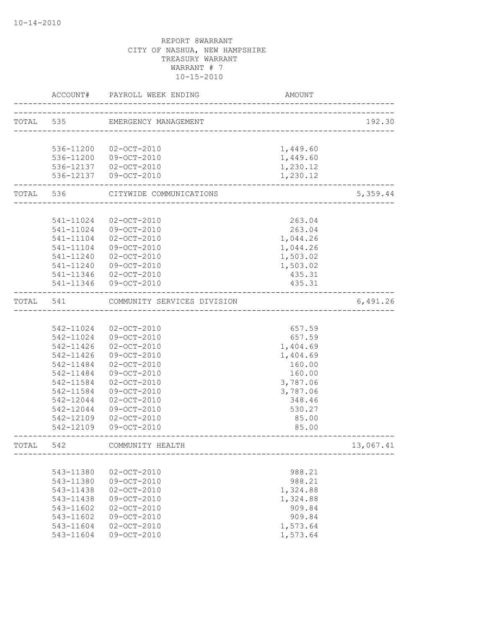|           | ACCOUNT#  | PAYROLL WEEK ENDING         | AMOUNT   |           |
|-----------|-----------|-----------------------------|----------|-----------|
| TOTAL 535 |           | EMERGENCY MANAGEMENT        |          | 192.30    |
|           |           |                             |          |           |
|           |           | 536-11200 02-OCT-2010       | 1,449.60 |           |
|           |           | 536-11200 09-OCT-2010       | 1,449.60 |           |
|           |           | 536-12137 02-OCT-2010       | 1,230.12 |           |
|           |           | 536-12137 09-OCT-2010       | 1,230.12 |           |
|           | TOTAL 536 | CITYWIDE COMMUNICATIONS     |          | 5,359.44  |
|           |           |                             |          |           |
|           | 541-11024 | $02 - OCT - 2010$           | 263.04   |           |
|           | 541-11024 | 09-OCT-2010                 | 263.04   |           |
|           | 541-11104 | $02 - OCT - 2010$           | 1,044.26 |           |
|           | 541-11104 | 09-OCT-2010                 | 1,044.26 |           |
|           | 541-11240 | $02 - OCT - 2010$           | 1,503.02 |           |
|           | 541-11240 | 09-OCT-2010                 | 1,503.02 |           |
|           |           | 541-11346 02-OCT-2010       | 435.31   |           |
|           |           | 541-11346 09-OCT-2010       | 435.31   |           |
| TOTAL 541 |           | COMMUNITY SERVICES DIVISION |          | 6,491.26  |
|           |           |                             |          |           |
|           | 542-11024 | $02 - OCT - 2010$           | 657.59   |           |
|           |           | 542-11024 09-OCT-2010       | 657.59   |           |
|           | 542-11426 | $02 - OCT - 2010$           | 1,404.69 |           |
|           | 542-11426 | 09-OCT-2010                 | 1,404.69 |           |
|           | 542-11484 | 02-OCT-2010                 | 160.00   |           |
|           | 542-11484 | 09-OCT-2010                 | 160.00   |           |
|           | 542-11584 | $02 - OCT - 2010$           | 3,787.06 |           |
|           | 542-11584 | 09-OCT-2010                 | 3,787.06 |           |
|           | 542-12044 | $02 - OCT - 2010$           | 348.46   |           |
|           | 542-12044 | 09-OCT-2010                 | 530.27   |           |
|           | 542-12109 | $02 - OCT - 2010$           | 85.00    |           |
|           | 542-12109 | 09-OCT-2010                 | 85.00    |           |
| TOTAL     | 542       | COMMUNITY HEALTH            |          | 13,067.41 |
|           |           |                             |          |           |
|           | 543-11380 | $02 - OCT - 2010$           | 988.21   |           |
|           | 543-11380 | 09-OCT-2010                 | 988.21   |           |
|           | 543-11438 | $02 - OCT - 2010$           | 1,324.88 |           |
|           | 543-11438 | 09-OCT-2010                 | 1,324.88 |           |
|           | 543-11602 | $02 - OCT - 2010$           | 909.84   |           |
|           | 543-11602 | 09-OCT-2010                 | 909.84   |           |
|           | 543-11604 | $02 - OCT - 2010$           | 1,573.64 |           |
|           | 543-11604 | 09-OCT-2010                 | 1,573.64 |           |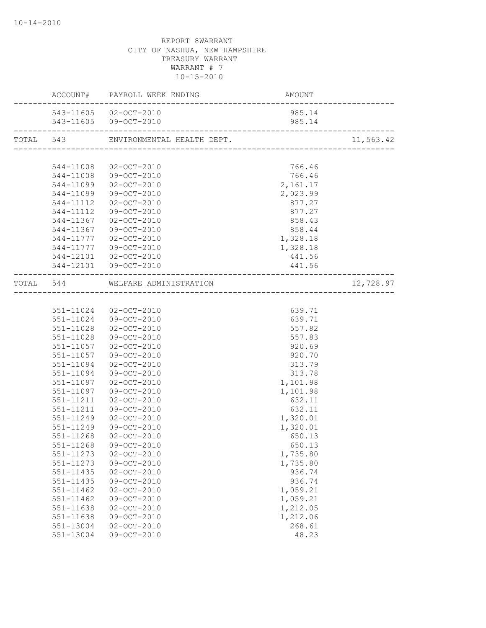|                        | $\begin{minipage}{0.9\linewidth} ACCOUNT\# & \texttt{PAYROLL} \texttt{ WEEK ENDING} \end{minipage}$ |                    |           |
|------------------------|-----------------------------------------------------------------------------------------------------|--------------------|-----------|
|                        | 543-11605 02-OCT-2010                                                                               | 985.14             |           |
|                        | 543-11605 09-OCT-2010                                                                               | 985.14             |           |
|                        |                                                                                                     |                    | 11,563.42 |
|                        |                                                                                                     |                    |           |
|                        | 544-11008 02-OCT-2010                                                                               | 766.46             |           |
|                        | 544-11008 09-OCT-2010                                                                               | 766.46             |           |
|                        | 544-11099 02-OCT-2010                                                                               | 2,161.17           |           |
|                        | 544-11099 09-OCT-2010                                                                               | 2,023.99           |           |
|                        | 544-11112 02-OCT-2010                                                                               | 877.27             |           |
|                        | 544-11112 09-OCT-2010                                                                               | 877.27             |           |
| 544-11367              | $02 - OCT - 2010$                                                                                   | 858.43             |           |
| 544-11367              | 09-OCT-2010                                                                                         | 858.44             |           |
|                        | 544-11777 02-OCT-2010                                                                               | 1,328.18           |           |
|                        | 544-11777 09-OCT-2010                                                                               | 1,328.18           |           |
|                        | 544-12101 02-OCT-2010                                                                               | 441.56             |           |
|                        | 544-12101 09-OCT-2010                                                                               | 441.56             |           |
|                        | TOTAL 544 WELFARE ADMINISTRATION                                                                    |                    | 12,728.97 |
|                        |                                                                                                     |                    |           |
|                        | 551-11024 02-OCT-2010                                                                               | 639.71             |           |
|                        | 551-11024 09-OCT-2010                                                                               | 639.71             |           |
|                        | 551-11028 02-OCT-2010                                                                               | 557.82             |           |
|                        | 551-11028 09-OCT-2010                                                                               | 557.83             |           |
|                        | 551-11057 02-OCT-2010                                                                               | 920.69             |           |
|                        | 551-11057 09-OCT-2010                                                                               | 920.70             |           |
| 551-11094              | $02 - OCT - 2010$                                                                                   | 313.79             |           |
| 551-11094              | 09-OCT-2010                                                                                         | 313.78             |           |
| 551-11097              | $02 - OCT - 2010$                                                                                   | 1,101.98           |           |
| 551-11097              | 09-OCT-2010                                                                                         | 1,101.98           |           |
| 551-11211              | $02 - OCT - 2010$                                                                                   | 632.11             |           |
| 551-11211              | 09-OCT-2010                                                                                         | 632.11             |           |
| 551-11249              | 02-OCT-2010                                                                                         | 1,320.01           |           |
| 551-11249              | 09-OCT-2010                                                                                         | 1,320.01           |           |
| 551-11268              | $02 - OCT - 2010$                                                                                   | 650.13             |           |
|                        | 551-11268 09-OCT-2010                                                                               | 650.13             |           |
| 551-11273              | $02 - OCT - 2010$                                                                                   | 1,735.80           |           |
| 551-11273              | 09-OCT-2010                                                                                         | 1,735.80           |           |
| 551-11435              | $02 - OCT - 2010$                                                                                   | 936.74             |           |
| 551-11435              | $09-OCT-2010$                                                                                       | 936.74             |           |
| 551-11462              | $02 - OCT - 2010$                                                                                   | 1,059.21           |           |
| $551 - 11462$          | 09-OCT-2010                                                                                         | 1,059.21           |           |
| 551-11638              | $02 - OCT - 2010$<br>09-OCT-2010                                                                    | 1,212.05           |           |
| 551-11638<br>551-13004 | $02 - OCT - 2010$                                                                                   | 1,212.06<br>268.61 |           |
| 551-13004              | 09-OCT-2010                                                                                         | 48.23              |           |
|                        |                                                                                                     |                    |           |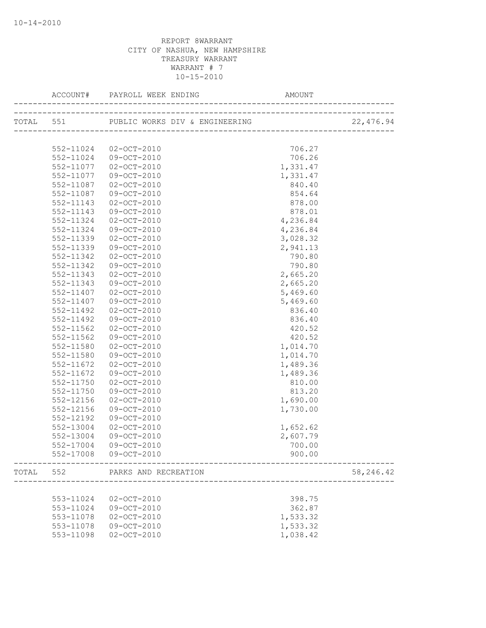|       |               | TOTAL 551 PUBLIC WORKS DIV & ENGINEERING     |          | 22, 476.94 |
|-------|---------------|----------------------------------------------|----------|------------|
|       |               |                                              |          |            |
|       | 552-11024     | 02-OCT-2010                                  | 706.27   |            |
|       | 552-11024     | 09-OCT-2010                                  | 706.26   |            |
|       | 552-11077     | 02-OCT-2010                                  | 1,331.47 |            |
|       | 552-11077     | 09-OCT-2010                                  | 1,331.47 |            |
|       | 552-11087     | 02-OCT-2010                                  | 840.40   |            |
|       | 552-11087     | 09-OCT-2010                                  | 854.64   |            |
|       | 552-11143     | $02 - OCT - 2010$                            | 878.00   |            |
|       | 552-11143     | 09-OCT-2010                                  | 878.01   |            |
|       | 552-11324     | 02-OCT-2010                                  | 4,236.84 |            |
|       | 552-11324     | 09-OCT-2010                                  | 4,236.84 |            |
|       | 552-11339     | $02 - OCT - 2010$                            | 3,028.32 |            |
|       | 552-11339     | 09-OCT-2010                                  | 2,941.13 |            |
|       | 552-11342     | $02 - OCT - 2010$                            | 790.80   |            |
|       | 552-11342     | 09-OCT-2010                                  | 790.80   |            |
|       | 552-11343     | $02 - OCT - 2010$                            | 2,665.20 |            |
|       | $552 - 11343$ | $09 - OCT - 2010$                            | 2,665.20 |            |
|       | 552-11407     | $02 - OCT - 2010$                            | 5,469.60 |            |
|       | 552-11407     | 09-OCT-2010                                  | 5,469.60 |            |
|       | 552-11492     | 02-OCT-2010                                  | 836.40   |            |
|       | 552-11492     | 09-OCT-2010                                  | 836.40   |            |
|       | 552-11562     | $02 - OCT - 2010$                            | 420.52   |            |
|       | 552-11562     | 09-OCT-2010                                  | 420.52   |            |
|       | 552-11580     | $02 - OCT - 2010$                            | 1,014.70 |            |
|       | 552-11580     | 09-OCT-2010                                  | 1,014.70 |            |
|       | 552-11672     | $02 - OCT - 2010$                            | 1,489.36 |            |
|       | 552-11672     | 09-OCT-2010                                  | 1,489.36 |            |
|       | 552-11750     | $02 - OCT - 2010$                            | 810.00   |            |
|       | 552-11750     | 09-OCT-2010                                  | 813.20   |            |
|       | 552-12156     | $02 - OCT - 2010$                            | 1,690.00 |            |
|       | 552-12156     | 09-OCT-2010                                  | 1,730.00 |            |
|       | 552-12192     | $09 - OCT - 2010$                            |          |            |
|       | 552-13004     | $02 - OCT - 2010$                            | 1,652.62 |            |
|       | 552-13004     | 09-OCT-2010                                  | 2,607.79 |            |
|       | 552-17004     | 09-OCT-2010                                  | 700.00   |            |
|       |               | 552-17008 09-OCT-2010                        | 900.00   |            |
| TOTAL |               | 552 PARKS AND RECREATION<br>________________ |          | 58, 246.42 |
|       |               |                                              |          |            |
|       | 553-11024     | $02 - OCT - 2010$                            | 398.75   |            |
|       | 553-11024     | 09-OCT-2010                                  | 362.87   |            |
|       | 553-11078     | $02 - OCT - 2010$                            | 1,533.32 |            |
|       | 553-11078     | 09-OCT-2010                                  | 1,533.32 |            |
|       | 553-11098     | $02 - OCT - 2010$                            | 1,038.42 |            |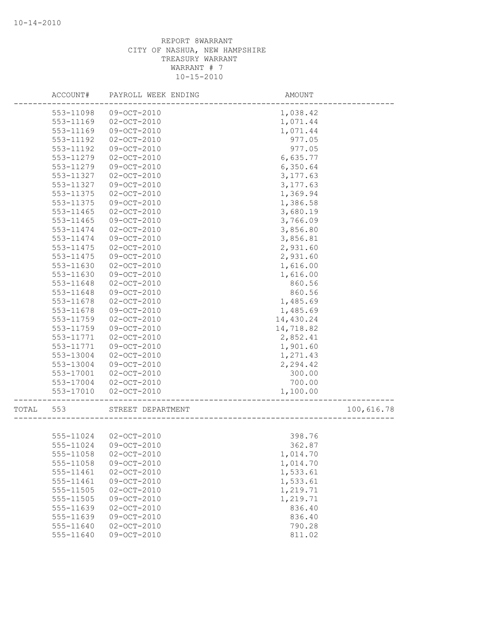|       | ACCOUNT#      | PAYROLL WEEK ENDING | AMOUNT    |            |
|-------|---------------|---------------------|-----------|------------|
|       | 553-11098     | 09-OCT-2010         | 1,038.42  |            |
|       | 553-11169     | $02 - OCT - 2010$   | 1,071.44  |            |
|       | 553-11169     | 09-OCT-2010         | 1,071.44  |            |
|       | 553-11192     | $02 - OCT - 2010$   | 977.05    |            |
|       | 553-11192     | 09-OCT-2010         | 977.05    |            |
|       | 553-11279     | $02 - OCT - 2010$   | 6,635.77  |            |
|       | 553-11279     | 09-OCT-2010         | 6,350.64  |            |
|       | 553-11327     | $02 - OCT - 2010$   | 3, 177.63 |            |
|       | 553-11327     | 09-OCT-2010         | 3,177.63  |            |
|       | 553-11375     | $02 - OCT - 2010$   | 1,369.94  |            |
|       | 553-11375     | 09-OCT-2010         | 1,386.58  |            |
|       | 553-11465     | $02 - OCT - 2010$   | 3,680.19  |            |
|       | 553-11465     | 09-OCT-2010         | 3,766.09  |            |
|       | 553-11474     | $02 - OCT - 2010$   | 3,856.80  |            |
|       | 553-11474     | 09-OCT-2010         | 3,856.81  |            |
|       | 553-11475     | $02 - OCT - 2010$   | 2,931.60  |            |
|       | 553-11475     | 09-OCT-2010         | 2,931.60  |            |
|       | 553-11630     | $02 - OCT - 2010$   | 1,616.00  |            |
|       | 553-11630     | 09-OCT-2010         | 1,616.00  |            |
|       | 553-11648     | $02 - OCT - 2010$   | 860.56    |            |
|       | 553-11648     | 09-OCT-2010         | 860.56    |            |
|       | 553-11678     | $02 - OCT - 2010$   | 1,485.69  |            |
|       | 553-11678     | 09-OCT-2010         | 1,485.69  |            |
|       | 553-11759     | $02 - OCT - 2010$   | 14,430.24 |            |
|       | 553-11759     | 09-OCT-2010         | 14,718.82 |            |
|       | 553-11771     | $02 - OCT - 2010$   | 2,852.41  |            |
|       | 553-11771     | 09-OCT-2010         | 1,901.60  |            |
|       | 553-13004     | $02 - OCT - 2010$   | 1,271.43  |            |
|       | 553-13004     | 09-OCT-2010         | 2,294.42  |            |
|       | 553-17001     | $02 - OCT - 2010$   | 300.00    |            |
|       | 553-17004     | $02 - OCT - 2010$   | 700.00    |            |
|       | 553-17010     | $02 - OCT - 2010$   | 1,100.00  |            |
|       |               |                     |           |            |
| TOTAL | 553           | STREET DEPARTMENT   |           | 100,616.78 |
|       |               |                     |           |            |
|       | 555-11024     | 02-OCT-2010         | 398.76    |            |
|       | 555-11024     | 09-OCT-2010         | 362.87    |            |
|       | 555-11058     | $02 - OCT - 2010$   | 1,014.70  |            |
|       | 555-11058     | 09-OCT-2010         | 1,014.70  |            |
|       | 555-11461     | $02 - OCT - 2010$   | 1,533.61  |            |
|       | 555-11461     | 09-OCT-2010         | 1,533.61  |            |
|       | $555 - 11505$ | $02 - OCT - 2010$   | 1,219.71  |            |
|       | 555-11505     | 09-OCT-2010         | 1,219.71  |            |
|       | 555-11639     | $02 - OCT - 2010$   | 836.40    |            |
|       | 555-11639     | 09-OCT-2010         | 836.40    |            |
|       | 555-11640     | $02 - OCT - 2010$   | 790.28    |            |
|       | 555-11640     | 09-OCT-2010         | 811.02    |            |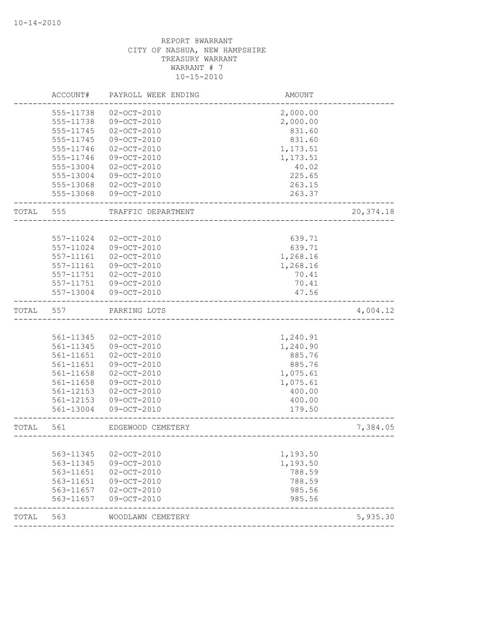|       | ACCOUNT#      | PAYROLL WEEK ENDING | AMOUNT   |            |
|-------|---------------|---------------------|----------|------------|
|       | 555-11738     | $02 - OCT - 2010$   | 2,000.00 |            |
|       | 555-11738     | 09-OCT-2010         | 2,000.00 |            |
|       | 555-11745     | $02 - OCT - 2010$   | 831.60   |            |
|       | 555-11745     | 09-OCT-2010         | 831.60   |            |
|       | 555-11746     | $02 - OCT - 2010$   | 1,173.51 |            |
|       | 555-11746     | 09-OCT-2010         | 1,173.51 |            |
|       | 555-13004     | $02 - OCT - 2010$   | 40.02    |            |
|       | 555-13004     | 09-OCT-2010         | 225.65   |            |
|       | 555-13068     | $02 - OCT - 2010$   | 263.15   |            |
|       | 555-13068     | 09-OCT-2010         | 263.37   |            |
| TOTAL | 555           | TRAFFIC DEPARTMENT  |          | 20, 374.18 |
|       |               |                     |          |            |
|       | 557-11024     | $02 - OCT - 2010$   | 639.71   |            |
|       | 557-11024     | 09-OCT-2010         | 639.71   |            |
|       | 557-11161     | $02 - OCT - 2010$   | 1,268.16 |            |
|       | 557-11161     | $09 - OCT - 2010$   | 1,268.16 |            |
|       | 557-11751     | $02 - OCT - 2010$   | 70.41    |            |
|       | 557-11751     | 09-OCT-2010         | 70.41    |            |
|       | 557-13004     | 09-OCT-2010         | 47.56    |            |
| TOTAL | 557           | PARKING LOTS        |          | 4,004.12   |
|       |               |                     |          |            |
|       | 561-11345     | $02 - OCT - 2010$   | 1,240.91 |            |
|       | 561-11345     | 09-OCT-2010         | 1,240.90 |            |
|       | 561-11651     | $02 - OCT - 2010$   | 885.76   |            |
|       | 561-11651     | 09-OCT-2010         | 885.76   |            |
|       | 561-11658     | $02 - OCT - 2010$   | 1,075.61 |            |
|       | 561-11658     | 09-OCT-2010         | 1,075.61 |            |
|       | 561-12153     | $02 - OCT - 2010$   | 400.00   |            |
|       | $561 - 12153$ | 09-OCT-2010         | 400.00   |            |
|       | 561-13004     | 09-OCT-2010         | 179.50   |            |
| TOTAL | 561           | EDGEWOOD CEMETERY   |          | 7,384.05   |
|       |               |                     |          |            |
|       | 563-11345     | $02 - OCT - 2010$   | 1,193.50 |            |
|       | 563-11345     | 09-OCT-2010         | 1,193.50 |            |
|       | 563-11651     | $02 - OCT - 2010$   | 788.59   |            |
|       | 563-11651     | 09-OCT-2010         | 788.59   |            |
|       | 563-11657     | $02 - OCT - 2010$   | 985.56   |            |
|       | 563-11657     | 09-OCT-2010         | 985.56   |            |
| TOTAL | 563           | WOODLAWN CEMETERY   |          | 5,935.30   |
|       |               |                     |          |            |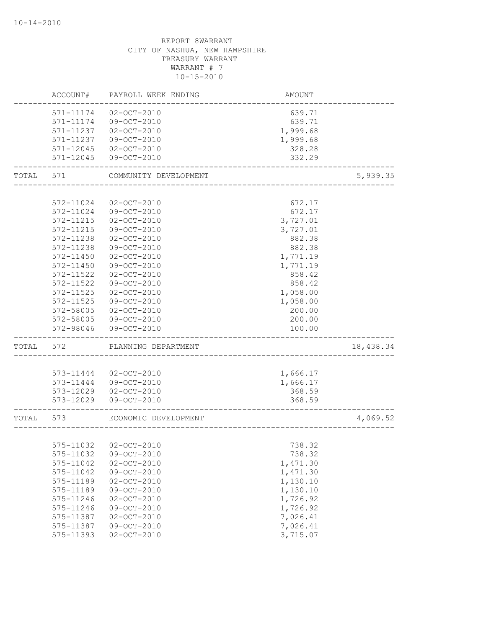|       | ACCOUNT#      | PAYROLL WEEK ENDING   | AMOUNT                    |           |
|-------|---------------|-----------------------|---------------------------|-----------|
|       | 571-11174     | $02 - OCT - 2010$     | 639.71                    |           |
|       | 571-11174     | 09-OCT-2010           | 639.71                    |           |
|       | 571-11237     | $02 - OCT - 2010$     | 1,999.68                  |           |
|       | 571-11237     | 09-OCT-2010           | 1,999.68                  |           |
|       | 571-12045     | $02 - OCT - 2010$     | 328.28                    |           |
|       | 571-12045     | 09-OCT-2010           | 332.29                    |           |
| TOTAL | 571           | COMMUNITY DEVELOPMENT |                           | 5,939.35  |
|       |               |                       |                           |           |
|       | 572-11024     | $02 - OCT - 2010$     | 672.17                    |           |
|       | 572-11024     | 09-OCT-2010           | 672.17                    |           |
|       | 572-11215     | $02 - OCT - 2010$     | 3,727.01                  |           |
|       | 572-11215     | 09-OCT-2010           | 3,727.01                  |           |
|       | 572-11238     | $02 - OCT - 2010$     | 882.38                    |           |
|       | 572-11238     | 09-OCT-2010           | 882.38                    |           |
|       | 572-11450     | $02 - OCT - 2010$     | 1,771.19                  |           |
|       | 572-11450     | $09 - OCT - 2010$     | 1,771.19                  |           |
|       | 572-11522     | $02 - OCT - 2010$     | 858.42                    |           |
|       | 572-11522     | 09-OCT-2010           | 858.42                    |           |
|       | $572 - 11525$ | $02 - OCT - 2010$     | 1,058.00                  |           |
|       | 572-11525     | 09-OCT-2010           | 1,058.00                  |           |
|       | 572-58005     | $02 - OCT - 2010$     | 200.00                    |           |
|       | 572-58005     | 09-OCT-2010           | 200.00                    |           |
|       | 572-98046     | 09-OCT-2010           | 100.00                    |           |
| TOTAL | 572           | PLANNING DEPARTMENT   |                           | 18,438.34 |
|       |               |                       |                           |           |
|       | 573-11444     | $02 - OCT - 2010$     | 1,666.17                  |           |
|       | 573-11444     | 09-OCT-2010           | 1,666.17                  |           |
|       | 573-12029     | $02 - OCT - 2010$     | 368.59                    |           |
|       | 573-12029     | 09-OCT-2010           | 368.59                    |           |
| TOTAL | 573           | ECONOMIC DEVELOPMENT  | ------------------------- | 4,069.52  |
|       |               |                       |                           |           |
|       |               | 575-11032 02-OCT-2010 | 738.32                    |           |
|       | 575-11032     | 09-OCT-2010           | 738.32                    |           |
|       | 575-11042     | $02 - OCT - 2010$     | 1,471.30                  |           |
|       | 575-11042     | 09-OCT-2010           | 1,471.30                  |           |
|       | 575-11189     | $02 - OCT - 2010$     | 1,130.10                  |           |
|       | 575-11189     | 09-OCT-2010           | 1,130.10                  |           |
|       | 575-11246     | $02 - OCT - 2010$     | 1,726.92                  |           |
|       | 575-11246     | 09-OCT-2010           | 1,726.92                  |           |
|       | 575-11387     | $02 - OCT - 2010$     | 7,026.41                  |           |
|       | 575-11387     | 09-OCT-2010           | 7,026.41                  |           |
|       | 575-11393     | $02 - OCT - 2010$     | 3,715.07                  |           |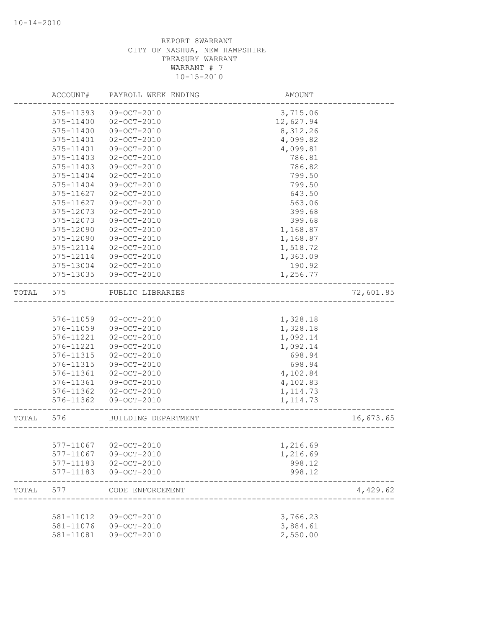|       | ACCOUNT#      | PAYROLL WEEK ENDING   | AMOUNT    |           |
|-------|---------------|-----------------------|-----------|-----------|
|       | 575-11393     | $09-OCT-2010$         | 3,715.06  |           |
|       | 575-11400     | $02 - OCT - 2010$     | 12,627.94 |           |
|       | 575-11400     | 09-OCT-2010           | 8,312.26  |           |
|       | 575-11401     | $02 - OCT - 2010$     | 4,099.82  |           |
|       | 575-11401     | 09-OCT-2010           | 4,099.81  |           |
|       | 575-11403     | $02 - OCT - 2010$     | 786.81    |           |
|       | 575-11403     | 09-OCT-2010           | 786.82    |           |
|       | 575-11404     | $02 - OCT - 2010$     | 799.50    |           |
|       | 575-11404     | 09-OCT-2010           | 799.50    |           |
|       | 575-11627     | $02 - OCT - 2010$     | 643.50    |           |
|       | 575-11627     | 09-OCT-2010           | 563.06    |           |
|       | 575-12073     | $02 - OCT - 2010$     | 399.68    |           |
|       | 575-12073     | 09-OCT-2010           | 399.68    |           |
|       | 575-12090     | $02 - OCT - 2010$     | 1,168.87  |           |
|       | 575-12090     | 09-OCT-2010           | 1,168.87  |           |
|       | 575-12114     | $02 - OCT - 2010$     | 1,518.72  |           |
|       | 575-12114     | 09-OCT-2010           | 1,363.09  |           |
|       | 575-13004     | $02 - OCT - 2010$     | 190.92    |           |
|       | 575-13035     | 09-OCT-2010           | 1,256.77  |           |
| TOTAL | 575           | PUBLIC LIBRARIES      |           | 72,601.85 |
|       |               |                       |           |           |
|       | 576-11059     | $02 - OCT - 2010$     | 1,328.18  |           |
|       | 576-11059     | 09-OCT-2010           | 1,328.18  |           |
|       | 576-11221     | $02 - OCT - 2010$     | 1,092.14  |           |
|       | 576-11221     | 09-OCT-2010           | 1,092.14  |           |
|       | 576-11315     | $02 - OCT - 2010$     | 698.94    |           |
|       | 576-11315     | $09-OCT-2010$         | 698.94    |           |
|       | 576-11361     | $02 - OCT - 2010$     | 4,102.84  |           |
|       | 576-11361     | 09-OCT-2010           | 4,102.83  |           |
|       | 576-11362     | $02 - OCT - 2010$     | 1, 114.73 |           |
|       | 576-11362     | 09-OCT-2010           | 1, 114.73 |           |
| TOTAL | 576           | BUILDING DEPARTMENT   |           | 16,673.65 |
|       |               |                       |           |           |
|       |               | 577-11067 02-OCT-2010 | 1,216.69  |           |
|       | 577-11067     | 09-OCT-2010           | 1,216.69  |           |
|       | $577 - 11183$ | $02 - OCT - 2010$     | 998.12    |           |
|       | 577-11183     | 09-OCT-2010           | 998.12    |           |
| TOTAL | 577           | CODE ENFORCEMENT      |           | 4,429.62  |
|       |               |                       |           |           |
|       | 581-11012     | $09 - OCT - 2010$     | 3,766.23  |           |
|       | 581-11076     | $09 - OCT - 2010$     | 3,884.61  |           |
|       | 581-11081     | 09-OCT-2010           | 2,550.00  |           |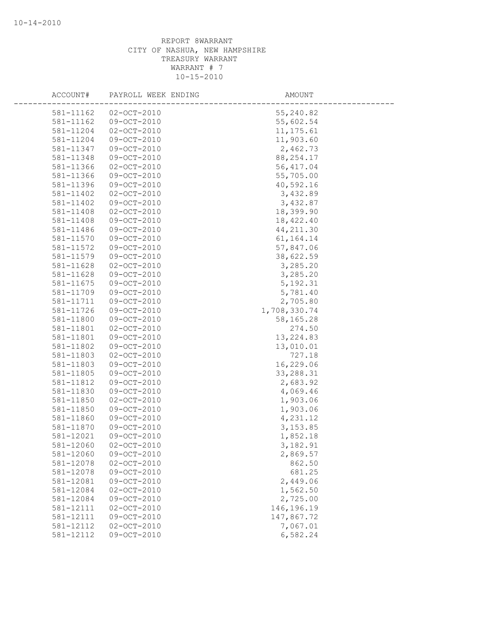| ACCOUNT#  | PAYROLL WEEK ENDING | AMOUNT       |
|-----------|---------------------|--------------|
| 581-11162 | $02 - OCT - 2010$   | 55,240.82    |
| 581-11162 | $09 - OCT - 2010$   | 55,602.54    |
| 581-11204 | $02 - OCT - 2010$   | 11, 175.61   |
| 581-11204 | 09-OCT-2010         | 11,903.60    |
| 581-11347 | 09-OCT-2010         | 2,462.73     |
| 581-11348 | $09 - OCT - 2010$   | 88, 254.17   |
| 581-11366 | $02 - OCT - 2010$   | 56, 417.04   |
| 581-11366 | 09-OCT-2010         | 55,705.00    |
| 581-11396 | $09-OCT-2010$       | 40,592.16    |
| 581-11402 | $02 - OCT - 2010$   | 3,432.89     |
| 581-11402 | 09-OCT-2010         | 3,432.87     |
| 581-11408 | $02 - OCT - 2010$   | 18,399.90    |
| 581-11408 | 09-OCT-2010         | 18,422.40    |
| 581-11486 | 09-OCT-2010         | 44, 211.30   |
| 581-11570 | $09 - OCT - 2010$   | 61, 164. 14  |
| 581-11572 | 09-OCT-2010         | 57,847.06    |
| 581-11579 | 09-OCT-2010         | 38,622.59    |
| 581-11628 | $02 - OCT - 2010$   | 3,285.20     |
| 581-11628 | $09-OCT-2010$       | 3,285.20     |
| 581-11675 | $09 - OCT - 2010$   | 5, 192.31    |
| 581-11709 | 09-OCT-2010         | 5,781.40     |
| 581-11711 | 09-OCT-2010         | 2,705.80     |
| 581-11726 | 09-OCT-2010         | 1,708,330.74 |
| 581-11800 | $09 - OCT - 2010$   | 58,165.28    |
| 581-11801 | $02 - OCT - 2010$   | 274.50       |
| 581-11801 | 09-OCT-2010         | 13, 224.83   |
| 581-11802 | 09-OCT-2010         | 13,010.01    |
| 581-11803 | $02 - OCT - 2010$   | 727.18       |
| 581-11803 | $09 - OCT - 2010$   | 16,229.06    |
| 581-11805 | 09-OCT-2010         | 33, 288.31   |
| 581-11812 | 09-OCT-2010         | 2,683.92     |
| 581-11830 | 09-OCT-2010         | 4,069.46     |
| 581-11850 | $02 - OCT - 2010$   | 1,903.06     |
| 581-11850 | 09-OCT-2010         | 1,903.06     |
| 581-11860 | 09-OCT-2010         | 4,231.12     |
| 581-11870 | $09-OCT-2010$       | 3, 153.85    |
| 581-12021 | 09-OCT-2010         | 1,852.18     |
| 581-12060 | $02 - OCT - 2010$   | 3,182.91     |
| 581-12060 | 09-OCT-2010         | 2,869.57     |
| 581-12078 | $02 - OCT - 2010$   | 862.50       |
| 581-12078 | 09-OCT-2010         | 681.25       |
| 581-12081 | 09-OCT-2010         | 2,449.06     |
| 581-12084 | $02 - OCT - 2010$   | 1,562.50     |
| 581-12084 | 09-OCT-2010         | 2,725.00     |
| 581-12111 | $02 - OCT - 2010$   | 146,196.19   |
| 581-12111 | $09 - OCT - 2010$   | 147,867.72   |
| 581-12112 | $02 - OCT - 2010$   | 7,067.01     |
| 581-12112 | 09-OCT-2010         | 6,582.24     |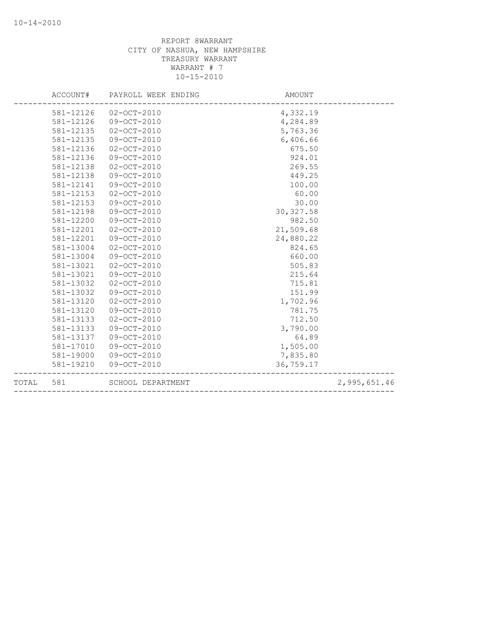|       | ACCOUNT#  | PAYROLL WEEK ENDING | AMOUNT     |              |
|-------|-----------|---------------------|------------|--------------|
|       | 581-12126 | $02 - OCT - 2010$   | 4,332.19   |              |
|       | 581-12126 | 09-OCT-2010         | 4,284.89   |              |
|       | 581-12135 | $02 - OCT - 2010$   | 5,763.36   |              |
|       | 581-12135 | 09-OCT-2010         | 6,406.66   |              |
|       | 581-12136 | $02 - OCT - 2010$   | 675.50     |              |
|       | 581-12136 | $09 - OCT - 2010$   | 924.01     |              |
|       | 581-12138 | $02 - OCT - 2010$   | 269.55     |              |
|       | 581-12138 | 09-OCT-2010         | 449.25     |              |
|       | 581-12141 | $09 - OCT - 2010$   | 100.00     |              |
|       | 581-12153 | $02 - OCT - 2010$   | 60.00      |              |
|       | 581-12153 | $09 - OCT - 2010$   | 30.00      |              |
|       | 581-12198 | 09-OCT-2010         | 30, 327.58 |              |
|       | 581-12200 | 09-OCT-2010         | 982.50     |              |
|       | 581-12201 | $02 - OCT - 2010$   | 21,509.68  |              |
|       | 581-12201 | $09 - OCT - 2010$   | 24,880.22  |              |
|       | 581-13004 | $02 - OCT - 2010$   | 824.65     |              |
|       | 581-13004 | 09-OCT-2010         | 660.00     |              |
|       | 581-13021 | $02 - OCT - 2010$   | 505.83     |              |
|       | 581-13021 | 09-OCT-2010         | 215.64     |              |
|       | 581-13032 | $02 - OCT - 2010$   | 715.81     |              |
|       | 581-13032 | $09 - OCT - 2010$   | 151.99     |              |
|       | 581-13120 | $02 - OCT - 2010$   | 1,702.96   |              |
|       | 581-13120 | 09-OCT-2010         | 781.75     |              |
|       | 581-13133 | $02 - OCT - 2010$   | 712.50     |              |
|       | 581-13133 | $09 - OCT - 2010$   | 3,790.00   |              |
|       | 581-13137 | $09 - OCT - 2010$   | 64.89      |              |
|       | 581-17010 | 09-OCT-2010         | 1,505.00   |              |
|       | 581-19000 | 09-OCT-2010         | 7,835.80   |              |
|       | 581-19210 | 09-OCT-2010         | 36,759.17  |              |
| TOTAL | 581       | SCHOOL DEPARTMENT   |            | 2,995,651.46 |
|       |           |                     |            |              |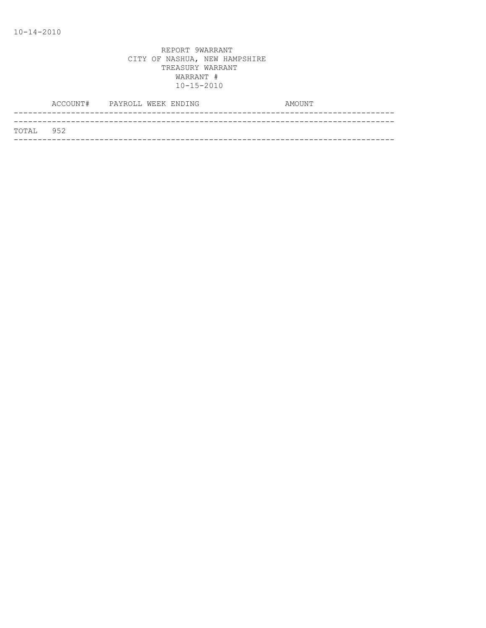|           | ACCOUNT# PAYROLL WEEK ENDING |  | AMOUNT |
|-----------|------------------------------|--|--------|
|           |                              |  |        |
| TOTAL 952 |                              |  |        |
|           |                              |  |        |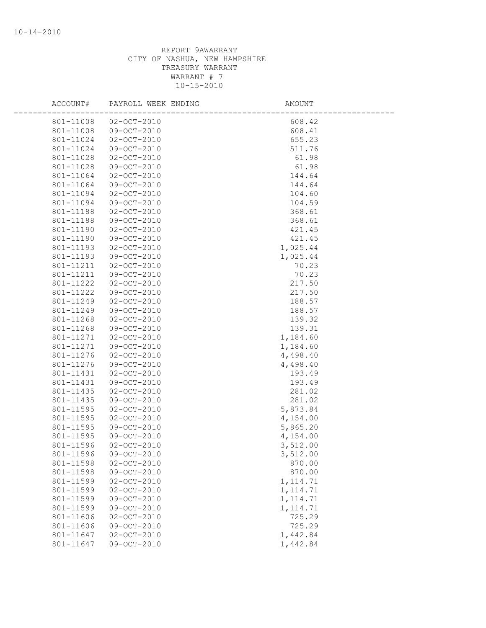| ACCOUNT#  | PAYROLL WEEK ENDING | AMOUNT    |  |
|-----------|---------------------|-----------|--|
| 801-11008 | $02 - OCT - 2010$   | 608.42    |  |
| 801-11008 | 09-OCT-2010         | 608.41    |  |
| 801-11024 | $02 - OCT - 2010$   | 655.23    |  |
| 801-11024 | 09-OCT-2010         | 511.76    |  |
| 801-11028 | $02 - OCT - 2010$   | 61.98     |  |
| 801-11028 | 09-OCT-2010         | 61.98     |  |
| 801-11064 | $02 - OCT - 2010$   | 144.64    |  |
| 801-11064 | 09-OCT-2010         | 144.64    |  |
| 801-11094 | $02 - OCT - 2010$   | 104.60    |  |
| 801-11094 | 09-OCT-2010         | 104.59    |  |
| 801-11188 | $02 - OCT - 2010$   | 368.61    |  |
| 801-11188 | 09-OCT-2010         | 368.61    |  |
| 801-11190 | $02 - OCT - 2010$   | 421.45    |  |
| 801-11190 | 09-OCT-2010         | 421.45    |  |
| 801-11193 | $02 - OCT - 2010$   | 1,025.44  |  |
| 801-11193 | 09-OCT-2010         | 1,025.44  |  |
| 801-11211 | $02 - OCT - 2010$   | 70.23     |  |
| 801-11211 | 09-OCT-2010         | 70.23     |  |
| 801-11222 | $02 - OCT - 2010$   | 217.50    |  |
| 801-11222 | 09-OCT-2010         | 217.50    |  |
| 801-11249 | $02 - OCT - 2010$   | 188.57    |  |
| 801-11249 | 09-OCT-2010         | 188.57    |  |
| 801-11268 | $02 - OCT - 2010$   | 139.32    |  |
| 801-11268 | 09-OCT-2010         | 139.31    |  |
| 801-11271 | $02 - OCT - 2010$   | 1,184.60  |  |
| 801-11271 | 09-OCT-2010         | 1,184.60  |  |
| 801-11276 | $02 - OCT - 2010$   | 4,498.40  |  |
| 801-11276 | 09-OCT-2010         | 4,498.40  |  |
| 801-11431 | $02 - OCT - 2010$   | 193.49    |  |
| 801-11431 | 09-OCT-2010         | 193.49    |  |
| 801-11435 | $02 - OCT - 2010$   | 281.02    |  |
| 801-11435 | 09-OCT-2010         | 281.02    |  |
| 801-11595 | $02 - OCT - 2010$   | 5,873.84  |  |
| 801-11595 | $02 - OCT - 2010$   | 4,154.00  |  |
| 801-11595 | 09-OCT-2010         | 5,865.20  |  |
| 801-11595 | 09-OCT-2010         | 4,154.00  |  |
| 801-11596 | $02 - OCT - 2010$   | 3,512.00  |  |
| 801-11596 | $09 - OCT - 2010$   | 3,512.00  |  |
| 801-11598 | $02 - OCT - 2010$   | 870.00    |  |
| 801-11598 | 09-OCT-2010         | 870.00    |  |
| 801-11599 | $02 - OCT - 2010$   | 1, 114.71 |  |
| 801-11599 | $02 - OCT - 2010$   | 1, 114.71 |  |
| 801-11599 | 09-OCT-2010         | 1, 114.71 |  |
| 801-11599 | 09-OCT-2010         | 1, 114.71 |  |
| 801-11606 | $02 - OCT - 2010$   | 725.29    |  |
| 801-11606 | 09-OCT-2010         | 725.29    |  |
| 801-11647 | $02 - OCT - 2010$   | 1,442.84  |  |
| 801-11647 | $09-OCT-2010$       | 1,442.84  |  |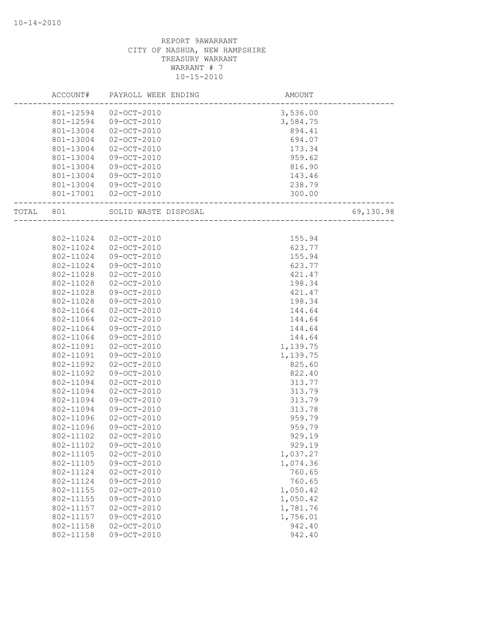|       | ACCOUNT#  | PAYROLL WEEK ENDING  | AMOUNT   |           |
|-------|-----------|----------------------|----------|-----------|
|       | 801-12594 | $02 - OCT - 2010$    | 3,536.00 |           |
|       | 801-12594 | 09-OCT-2010          | 3,584.75 |           |
|       | 801-13004 | $02 - OCT - 2010$    | 894.41   |           |
|       | 801-13004 | $02 - OCT - 2010$    | 694.07   |           |
|       | 801-13004 | $02 - OCT - 2010$    | 173.34   |           |
|       | 801-13004 | 09-OCT-2010          | 959.62   |           |
|       | 801-13004 | 09-OCT-2010          | 816.90   |           |
|       | 801-13004 | 09-OCT-2010          | 143.46   |           |
|       | 801-13004 | 09-OCT-2010          | 238.79   |           |
|       | 801-17001 | $02 - OCT - 2010$    | 300.00   |           |
| TOTAL | 801       | SOLID WASTE DISPOSAL |          | 69,130.98 |
|       |           |                      |          |           |
|       | 802-11024 | $02 - OCT - 2010$    | 155.94   |           |
|       | 802-11024 | $02 - OCT - 2010$    | 623.77   |           |
|       | 802-11024 | 09-OCT-2010          | 155.94   |           |
|       | 802-11024 | $09 - OCT - 2010$    | 623.77   |           |
|       | 802-11028 | $02 - OCT - 2010$    | 421.47   |           |
|       | 802-11028 | $02 - OCT - 2010$    | 198.34   |           |
|       | 802-11028 | 09-OCT-2010          | 421.47   |           |
|       | 802-11028 | 09-OCT-2010          | 198.34   |           |
|       | 802-11064 | $02 - OCT - 2010$    | 144.64   |           |
|       | 802-11064 | $02 - OCT - 2010$    | 144.64   |           |
|       | 802-11064 | 09-OCT-2010          | 144.64   |           |
|       | 802-11064 | 09-OCT-2010          | 144.64   |           |
|       | 802-11091 | $02 - OCT - 2010$    | 1,139.75 |           |
|       | 802-11091 | 09-OCT-2010          | 1,139.75 |           |
|       | 802-11092 | $02 - OCT - 2010$    | 825.60   |           |
|       | 802-11092 | 09-OCT-2010          | 822.40   |           |
|       | 802-11094 | $02 - OCT - 2010$    | 313.77   |           |
|       | 802-11094 | $02 - OCT - 2010$    | 313.79   |           |
|       | 802-11094 | 09-OCT-2010          | 313.79   |           |
|       | 802-11094 | 09-OCT-2010          | 313.78   |           |
|       | 802-11096 | $02 - OCT - 2010$    | 959.79   |           |
|       | 802-11096 | $09-OCT-2010$        | 959.79   |           |
|       | 802-11102 | $02 - OCT - 2010$    | 929.19   |           |
|       | 802-11102 | 09-OCT-2010          | 929.19   |           |
|       | 802-11105 | $02 - OCT - 2010$    | 1,037.27 |           |
|       | 802-11105 | 09-OCT-2010          | 1,074.36 |           |
|       | 802-11124 | $02 - OCT - 2010$    | 760.65   |           |
|       | 802-11124 | 09-OCT-2010          | 760.65   |           |
|       | 802-11155 | $02 - OCT - 2010$    | 1,050.42 |           |
|       | 802-11155 | 09-OCT-2010          | 1,050.42 |           |
|       | 802-11157 | $02 - OCT - 2010$    | 1,781.76 |           |
|       | 802-11157 | 09-OCT-2010          | 1,756.01 |           |
|       | 802-11158 | $02 - OCT - 2010$    | 942.40   |           |
|       | 802-11158 | 09-OCT-2010          | 942.40   |           |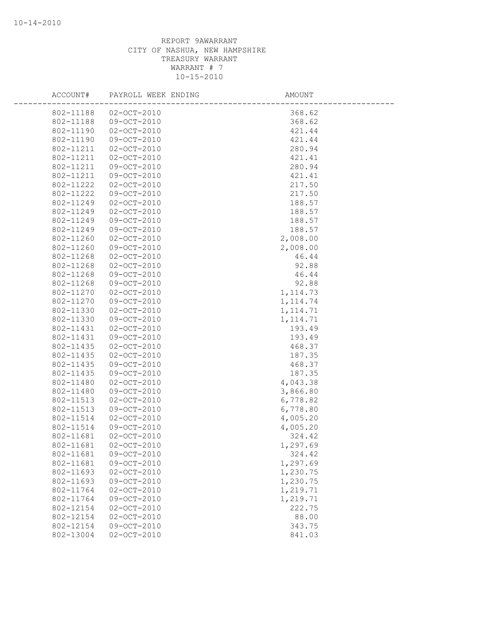| ACCOUNT#  | PAYROLL WEEK ENDING | AMOUNT    |
|-----------|---------------------|-----------|
| 802-11188 | $02 - OCT - 2010$   | 368.62    |
| 802-11188 | 09-OCT-2010         | 368.62    |
| 802-11190 | $02 - OCT - 2010$   | 421.44    |
| 802-11190 | 09-OCT-2010         | 421.44    |
| 802-11211 | $02 - OCT - 2010$   | 280.94    |
| 802-11211 | $02 - OCT - 2010$   | 421.41    |
| 802-11211 | 09-OCT-2010         | 280.94    |
| 802-11211 | 09-OCT-2010         | 421.41    |
| 802-11222 | $02 - OCT - 2010$   | 217.50    |
| 802-11222 | $09 - OCT - 2010$   | 217.50    |
| 802-11249 | $02 - OCT - 2010$   | 188.57    |
| 802-11249 | $02 - OCT - 2010$   | 188.57    |
| 802-11249 | 09-OCT-2010         | 188.57    |
| 802-11249 | 09-OCT-2010         | 188.57    |
| 802-11260 | $02 - OCT - 2010$   | 2,008.00  |
| 802-11260 | 09-OCT-2010         | 2,008.00  |
| 802-11268 | $02 - OCT - 2010$   | 46.44     |
| 802-11268 | $02 - OCT - 2010$   | 92.88     |
| 802-11268 | 09-OCT-2010         | 46.44     |
| 802-11268 | 09-OCT-2010         | 92.88     |
| 802-11270 | $02 - OCT - 2010$   | 1, 114.73 |
| 802-11270 | 09-OCT-2010         | 1, 114.74 |
| 802-11330 | $02 - OCT - 2010$   | 1, 114.71 |
| 802-11330 | 09-OCT-2010         | 1, 114.71 |
| 802-11431 | $02 - OCT - 2010$   | 193.49    |
| 802-11431 | 09-OCT-2010         | 193.49    |
| 802-11435 | $02 - OCT - 2010$   | 468.37    |
| 802-11435 | $02 - OCT - 2010$   | 187.35    |
| 802-11435 | 09-OCT-2010         | 468.37    |
| 802-11435 | 09-OCT-2010         | 187.35    |
| 802-11480 | $02 - OCT - 2010$   | 4,043.38  |
| 802-11480 | 09-OCT-2010         | 3,866.80  |
| 802-11513 | $02 - OCT - 2010$   | 6,778.82  |
| 802-11513 | 09-OCT-2010         | 6,778.80  |
| 802-11514 | $02 - OCT - 2010$   | 4,005.20  |
| 802-11514 | 09-OCT-2010         | 4,005.20  |
| 802-11681 | $02 - OCT - 2010$   | 324.42    |
| 802-11681 | $02 - OCT - 2010$   | 1,297.69  |
| 802-11681 | 09-OCT-2010         | 324.42    |
| 802-11681 | 09-OCT-2010         | 1,297.69  |
| 802-11693 | $02 - OCT - 2010$   | 1,230.75  |
| 802-11693 | 09-OCT-2010         | 1,230.75  |
| 802-11764 | $02 - OCT - 2010$   | 1,219.71  |
| 802-11764 | 09-OCT-2010         | 1,219.71  |
| 802-12154 | $02 - OCT - 2010$   | 222.75    |
| 802-12154 | $02 - OCT - 2010$   | 88.00     |
| 802-12154 | $09 - OCT - 2010$   | 343.75    |
| 802-13004 | $02 - OCT - 2010$   | 841.03    |